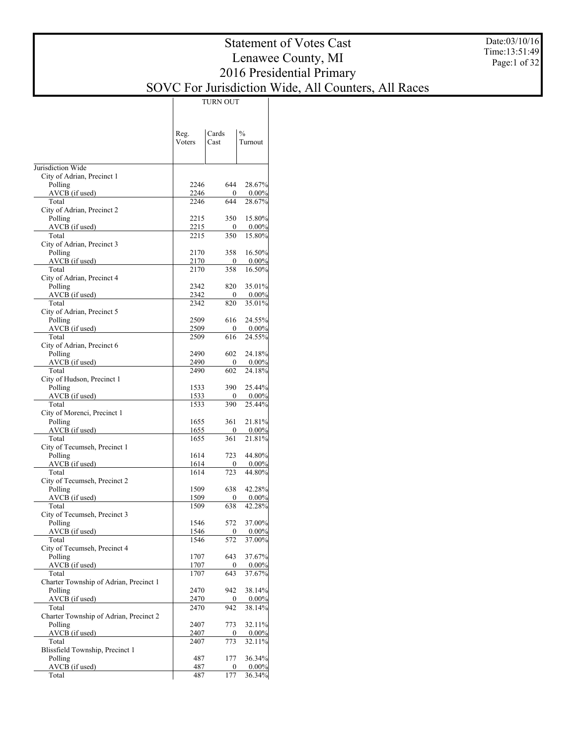Date:03/10/16 Time:13:51:49 Page:1 of 32

# Statement of Votes Cast Lenawee County, MI 2016 Presidential Primary SOVC For Jurisdiction Wide, All Counters, All Races

TURN OUT

|                                        | Reg.         | Cards               | $\frac{0}{0}$      |
|----------------------------------------|--------------|---------------------|--------------------|
|                                        | Voters       | Cast                | Turnout            |
| Jurisdiction Wide                      |              |                     |                    |
| City of Adrian, Precinct 1             |              |                     |                    |
| Polling                                | 2246         | 644                 | 28.67%             |
| $AVCB$ (if used)                       | 2246         | $\Omega$            | $0.00\%$           |
| Total                                  | 2246         | 644                 | 28.67%             |
| City of Adrian, Precinct 2             |              |                     |                    |
| Polling                                | 2215         | 350                 | 15.80%             |
| $AVCB$ (if used)                       | 2215         | $\Omega$            | $0.00\%$           |
| Total<br>City of Adrian, Precinct 3    | 2215         | 350                 | 15.80%             |
| Polling                                | 2170         | 358                 | 16.50%             |
| $AVCB$ (if used)                       | 2170         | $\Omega$            | $0.00\%$           |
| Total                                  | 2170         | 358                 | 16.50%             |
| City of Adrian, Precinct 4             |              |                     |                    |
| Polling                                | 2342         | 820                 | 35.01%             |
| $AVCB$ (if used)                       | 2342         | $\Omega$            | $0.00\%$           |
| Total                                  | 2342         | 820                 | 35.01%             |
| City of Adrian, Precinct 5             |              |                     |                    |
| Polling                                | 2509         | 616                 | 24.55%             |
| $AVCB$ (if used)                       | 2509         | 0                   | $0.00\%$           |
| Total                                  | 2509         | 616                 | 24.55%             |
| City of Adrian, Precinct 6<br>Polling  | 2490         | 602                 | 24.18%             |
| $AVCB$ (if used)                       | 2490         | 0                   | $0.00\%$           |
| Total                                  | 2490         | 602                 | 24.18%             |
| City of Hudson, Precinct 1             |              |                     |                    |
| Polling                                | 1533         | 390                 | 25.44%             |
| $AVCB$ (if used)                       | 1533         | $\Omega$            | $0.00\%$           |
| Total                                  | 1533         | 390                 | 25.44%             |
| City of Morenci, Precinct 1            |              |                     |                    |
| Polling                                | 1655         | 361                 | 21.81%             |
| $AVCB$ (if used)                       | 1655         | 0                   | $0.00\%$           |
| Total                                  | 1655         | 361                 | 21.81%             |
| City of Tecumseh, Precinct 1           |              |                     |                    |
| Polling                                | 1614         | 723<br>0            | 44.80%             |
| $AVCB$ (if used)<br>Total              | 1614<br>1614 | 723                 | $0.00\%$<br>44.80% |
| City of Tecumseh, Precinct 2           |              |                     |                    |
| Polling                                | 1509         | 638                 | 42.28%             |
| AVCB (if used)                         | 1509         | $\Omega$            | $0.00\%$           |
| Total                                  | 1509         | 638                 | 42.28%             |
| City of Tecumseh, Precinct 3           |              |                     |                    |
| Polling                                | 1546         | 572                 | 37.00%             |
| AVCB (if used)                         | 1546         | 0                   | $0.00\%$           |
| Total                                  | 1546         | 572                 | 37.00%             |
| City of Tecumseh, Precinct 4           |              |                     |                    |
| Polling<br>AVCB (if used)              | 1707<br>1707 | 643                 | 37.67%             |
| Total                                  | 1707         | $\mathbf{0}$<br>643 | $0.00\%$<br>37.67% |
| Charter Township of Adrian, Precinct 1 |              |                     |                    |
| Polling                                | 2470         | 942                 | 38.14%             |
| AVCB (if used)                         | 2470         | $\mathbf{0}$        | $0.00\%$           |
| Total                                  | 2470         | 942                 | 38.14%             |
| Charter Township of Adrian, Precinct 2 |              |                     |                    |
| Polling                                | 2407         | 773                 | 32.11%             |
| AVCB (if used)                         | 2407         | 0                   | $0.00\%$           |
| Total                                  | 2407         | 773                 | 32.11%             |
| Blissfield Township, Precinct 1        |              |                     |                    |
| Polling                                | 487          | 177                 | 36.34%             |
| AVCB (if used)                         | 487          | 0                   | $0.00\%$           |
| Total                                  | 487          | 177                 | 36.34%             |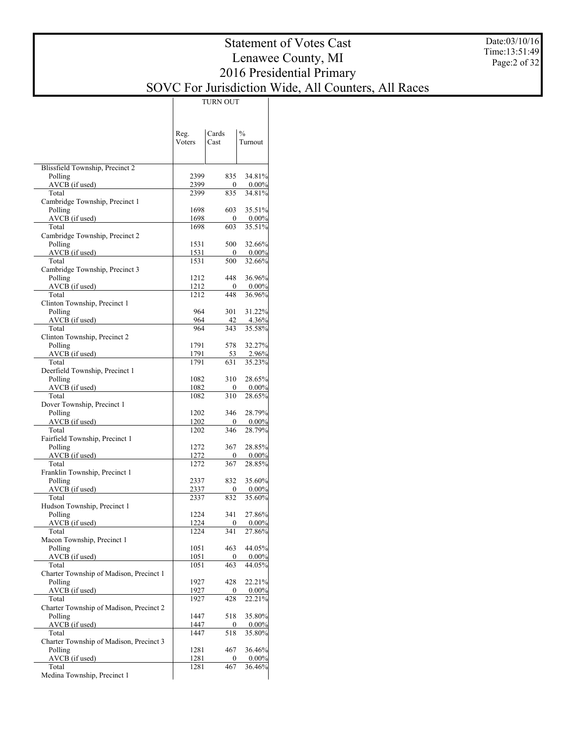# Statement of Votes Cast Lenawee County, MI 2016 Presidential Primary SOVC For Jurisdiction Wide, All Counters, All Races

TURN OUT

|                                            | Reg.         | Cards                   | $\frac{0}{0}$      |
|--------------------------------------------|--------------|-------------------------|--------------------|
|                                            | Voters       | Cast                    | Turnout            |
|                                            |              |                         |                    |
|                                            |              |                         |                    |
| Blissfield Township, Precinct 2<br>Polling | 2399         | 835                     | 34.81%             |
| AVCB (if used)                             | 2399         | 0                       | $0.00\%$           |
| Total                                      | 2399         | 835                     | 34.81%             |
| Cambridge Township, Precinct 1             |              |                         |                    |
| Polling                                    | 1698         | 603                     | 35.51%             |
| AVCB (if used)                             | 1698         | $\mathbf{0}$            | 0.00%              |
| Total<br>Cambridge Township, Precinct 2    | 1698         | 603                     | 35.51%             |
| Polling                                    | 1531         | 500                     | 32.66%             |
| AVCB (if used)                             | 1531         | 0                       | 0.00%              |
| Total                                      | 1531         | 500                     | 32.66%             |
| Cambridge Township, Precinct 3             |              |                         |                    |
| Polling                                    | 1212         | 448                     | 36.96%             |
| AVCB (if used)                             | 1212         | 0                       | 0.00%              |
| Total                                      | 1212         | 448                     | 36.96%             |
| Clinton Township, Precinct 1<br>Polling    | 964          | 301                     | 31.22%             |
| AVCB (if used)                             | 964          | 42                      | 4.36%              |
| Total                                      | 964          | 343                     | 35.58%             |
| Clinton Township, Precinct 2               |              |                         |                    |
| Polling                                    | 1791         | 578                     | 32.27%             |
| AVCB (if used)                             | 1791         | 53                      | 2.96%              |
| Total                                      | 1791         | 631                     | 35.23%             |
| Deerfield Township, Precinct 1<br>Polling  | 1082         | 310                     | 28.65%             |
| AVCB (if used)                             | 1082         | 0                       | $0.00\%$           |
| Total                                      | 1082         | 310                     | 28.65%             |
| Dover Township, Precinct 1                 |              |                         |                    |
| Polling                                    | 1202         | 346                     | 28.79%             |
| AVCB (if used)                             | 1202         | 0                       | $0.00\%$           |
| Total                                      | 1202         | 346                     | 28.79%             |
| Fairfield Township, Precinct 1             |              |                         |                    |
| Polling<br>AVCB (if used)                  | 1272<br>1272 | 367<br>0                | 28.85%<br>$0.00\%$ |
| Total                                      | 1272         | 367                     | 28.85%             |
| Franklin Township, Precinct 1              |              |                         |                    |
| Polling                                    | 2337         | 832                     | 35.60%             |
| AVCB (if used)                             | 2337         | 0                       | 0.00%              |
| Total                                      | 2337         | 832                     | 35.60%             |
| Hudson Township, Precinct 1                |              |                         |                    |
| Polling<br>AVCB (if used)                  | 1224<br>1224 | 341<br>$\boldsymbol{0}$ | 27.86%<br>$0.00\%$ |
| Total                                      | 1224         | $\overline{3}41$        | 27.86%             |
| Macon Township, Precinct 1                 |              |                         |                    |
| Polling                                    | 1051         | 463                     | 44.05%             |
| AVCB (if used)                             | 1051         | $\mathbf{0}$            | 0.00%              |
| Total                                      | 1051         | 463                     | 44.05%             |
| Charter Township of Madison, Precinct 1    |              |                         |                    |
| Polling                                    | 1927         | 428                     | 22.21%             |
| AVCB (if used)<br>Total                    | 1927<br>1927 | $\bf{0}$<br>428         | $0.00\%$<br>22.21% |
| Charter Township of Madison, Precinct 2    |              |                         |                    |
| Polling                                    | 1447         | 518                     | 35.80%             |
| AVCB (if used)                             | 1447         | 0                       | 0.00%              |
| Total                                      | 1447         | 518                     | 35.80%             |
| Charter Township of Madison, Precinct 3    |              |                         |                    |
| Polling                                    | 1281         | 467                     | 36.46%             |
| AVCB (if used)                             | 1281         | 0                       | $0.00\%$           |
| Total<br>Medina Township, Precinct 1       | 1281         | 467                     | 36.46%             |
|                                            |              |                         |                    |

Date:03/10/16 Time:13:51:49 Page:2 of 32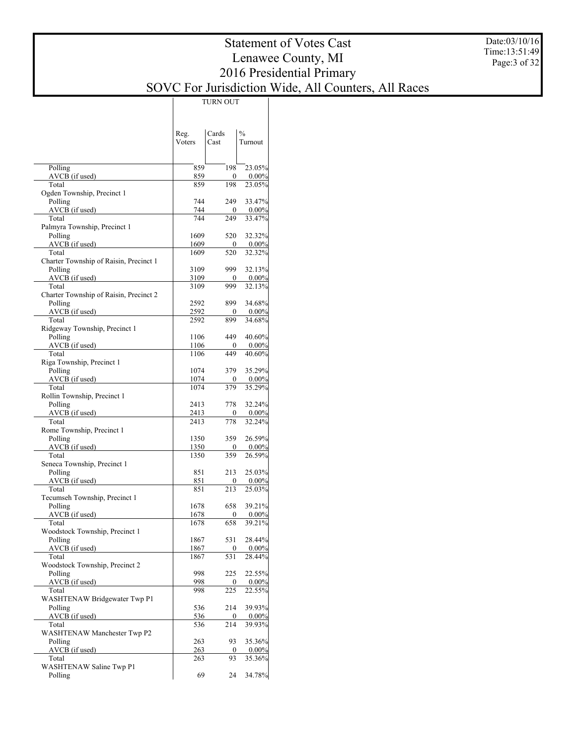### Date:03/10/16 Time:13:51:49 Page:3 of 32

|                                                   | Reg.         | Cards               | $\frac{0}{0}$      |
|---------------------------------------------------|--------------|---------------------|--------------------|
|                                                   | Voters       | Cast                | Turnout            |
|                                                   |              |                     |                    |
| Polling                                           | 859          | 198                 | 23.05%             |
| AVCB (if used)                                    | 859          | 0<br>198            | $0.00\%$           |
| Total<br>Ogden Township, Precinct 1               | 859          |                     | 23.05%             |
| Polling                                           | 744          | 249                 | 33.47%             |
| AVCB (if used)                                    | 744          | 0                   | $0.00\%$           |
| Total                                             | 744          | 249                 | 33.47%             |
| Palmyra Township, Precinct 1                      |              |                     |                    |
| Polling<br>AVCB (if used)                         | 1609<br>1609 | 520<br>0            | 32.32%<br>0.00%    |
| Total                                             | 1609         | 520                 | 32.32%             |
| Charter Township of Raisin, Precinct 1            |              |                     |                    |
| Polling                                           | 3109         | 999                 | 32.13%             |
| AVCB (if used)                                    | 3109         | $\boldsymbol{0}$    | $0.00\%$           |
| Total                                             | 3109         | 999                 | 32.13%             |
| Charter Township of Raisin, Precinct 2<br>Polling | 2592         | 899                 | 34.68%             |
| AVCB (if used)                                    | 2592         | $\boldsymbol{0}$    | 0.00%              |
| Total                                             | 2592         | 899                 | 34.68%             |
| Ridgeway Township, Precinct 1                     |              |                     |                    |
| Polling                                           | 1106         | 449                 | 40.60%             |
| AVCB (if used)                                    | 1106         | 0                   | 0.00%              |
| Total<br>Riga Township, Precinct 1                | 1106         | 449                 | 40.60%             |
| Polling                                           | 1074         | 379                 | 35.29%             |
| AVCB (if used)                                    | 1074         | 0                   | $0.00\%$           |
| Total                                             | 1074         | 379                 | 35.29%             |
| Rollin Township, Precinct 1                       |              |                     |                    |
| Polling                                           | 2413         | 778                 | 32.24%             |
| AVCB (if used)                                    | 2413         | 0                   | $0.00\%$           |
| Total<br>Rome Township, Precinct 1                | 2413         | 778                 | 32.24%             |
| Polling                                           | 1350         | 359                 | 26.59%             |
| AVCB (if used)                                    | 1350         | 0                   | $0.00\%$           |
| Total                                             | 1350         | 359                 | 26.59%             |
| Seneca Township, Precinct 1                       |              |                     |                    |
| Polling                                           | 851          | 213                 | 25.03%             |
| AVCB (if used)<br>Total                           | 851<br>851   | $\mathbf{0}$<br>213 | $0.00\%$<br>25.03% |
| Tecumseh Township, Precinct 1                     |              |                     |                    |
| Polling                                           | 1678         | 658                 | 39.21%             |
| AVCB (if used)                                    | 1678         | 0                   | 0.00%              |
| Total                                             | 1678         | 658                 | 39.21%             |
| Woodstock Township, Precinct 1                    |              |                     |                    |
| Polling<br>AVCB (if used)                         | 1867<br>1867 | 531<br>0            | 28.44%<br>$0.00\%$ |
| Total                                             | 1867         | 531                 | 28.44%             |
| Woodstock Township, Precinct 2                    |              |                     |                    |
| Polling                                           | 998          | 225                 | 22.55%             |
| AVCB (if used)                                    | 998          | 0                   | $0.00\%$           |
| Total                                             | 998          | 225                 | 22.55%             |
| WASHTENAW Bridgewater Twp P1<br>Polling           | 536          | 214                 | 39.93%             |
| AVCB (if used)                                    | 536          | 0                   | $0.00\%$           |
| Total                                             | 536          | $\overline{214}$    | 39.93%             |
| <b>WASHTENAW Manchester Twp P2</b>                |              |                     |                    |
| Polling                                           | 263          | 93                  | 35.36%             |
| AVCB (if used)                                    | 263          | 0                   | $0.00\%$           |
| Total<br>WASHTENAW Saline Twp P1                  | 263          | 93                  | 35.36%             |
| Polling                                           | 69           | 24                  | 34.78%             |
|                                                   |              |                     |                    |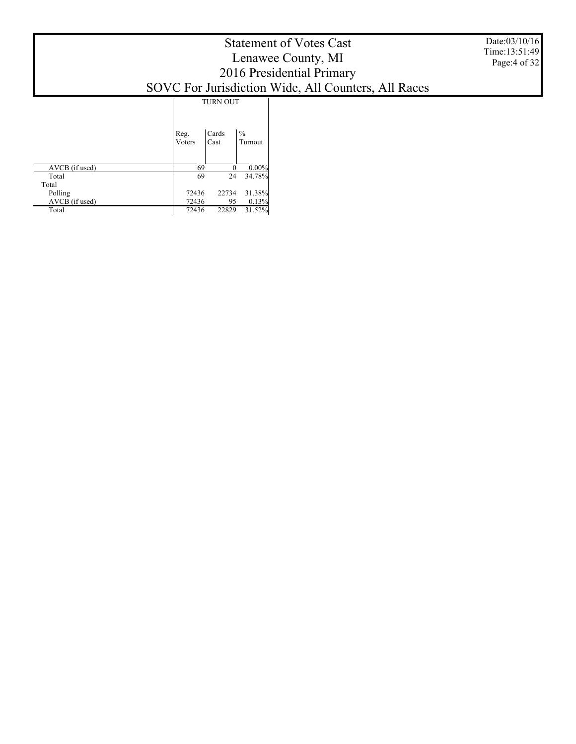|                  |                | <b>TURN OUT</b> |                          |
|------------------|----------------|-----------------|--------------------------|
|                  | Reg.<br>Voters | Cards<br>Cast   | $\frac{0}{0}$<br>Turnout |
| AVCB (if used)   | 69             | $\Omega$        | $0.00\%$                 |
| Total            | 69             | 24              | 34.78%                   |
| Total<br>Polling | 72436          | 22734           | 31.38%                   |
| AVCB (if used)   | 72436          | 95              | 0.13%                    |
| Total            | 72436          | 22829           | 31.52%                   |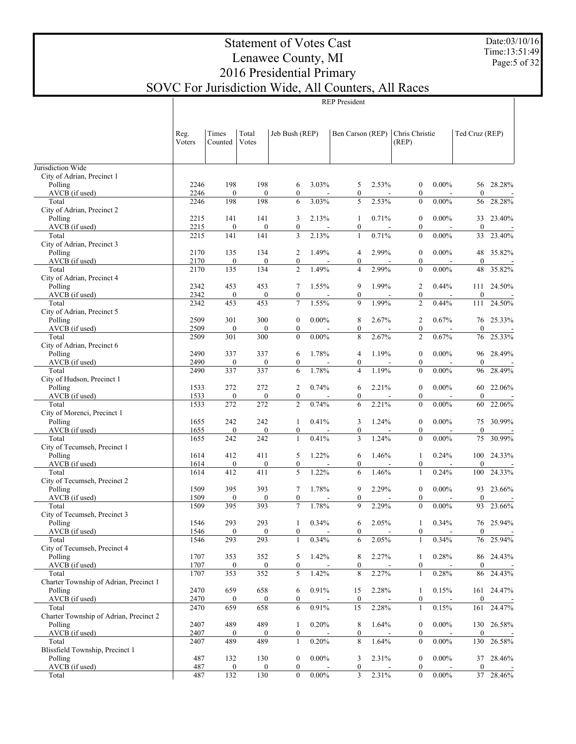Date:03/10/16 Time:13:51:49 Page:5 of 32

# Statement of Votes Cast Lenawee County, MI 2016 Presidential Primary SOVC For Jurisdiction Wide, All Counters, All Races

|                                                   | Reg.         | Times                   | Total                   | Jeb Bush (REP)                       |                          | Ben Carson (REP)      |                          | Chris Christie                       |                          | Ted Cruz (REP)         |                          |
|---------------------------------------------------|--------------|-------------------------|-------------------------|--------------------------------------|--------------------------|-----------------------|--------------------------|--------------------------------------|--------------------------|------------------------|--------------------------|
|                                                   | Voters       | Counted                 | Votes                   |                                      |                          |                       |                          | (REP)                                |                          |                        |                          |
|                                                   |              |                         |                         |                                      |                          |                       |                          |                                      |                          |                        |                          |
| Jurisdiction Wide<br>City of Adrian, Precinct 1   |              |                         |                         |                                      |                          |                       |                          |                                      |                          |                        |                          |
| Polling                                           | 2246         | 198                     | 198                     | 6                                    | 3.03%                    | 5                     | 2.53%                    | $\boldsymbol{0}$                     | $0.00\%$                 | 56                     | 28.28%                   |
| AVCB (if used)                                    | 2246         | $\boldsymbol{0}$        | $\mathbf{0}$            | $\mathbf{0}$                         |                          | $\boldsymbol{0}$      | $\overline{a}$           | $\boldsymbol{0}$                     |                          | $\boldsymbol{0}$       | $\overline{\phantom{a}}$ |
| Total                                             | 2246         | 198                     | 198                     | 6                                    | 3.03%                    | 5                     | 2.53%                    | $\boldsymbol{0}$                     | $0.00\%$                 | 56                     | 28.28%                   |
| City of Adrian, Precinct 2                        |              |                         |                         |                                      |                          |                       |                          |                                      |                          |                        |                          |
| Polling<br>AVCB (if used)                         | 2215<br>2215 | 141<br>$\boldsymbol{0}$ | 141<br>$\boldsymbol{0}$ | 3<br>$\boldsymbol{0}$                | 2.13%                    | 1<br>$\boldsymbol{0}$ | 0.71%                    | $\boldsymbol{0}$<br>$\boldsymbol{0}$ | $0.00\%$                 | 33<br>$\boldsymbol{0}$ | 23.40%                   |
| Total                                             | 2215         | 141                     | 141                     | 3                                    | 2.13%                    | $\mathbf{1}$          | 0.71%                    | $\boldsymbol{0}$                     | $0.00\%$                 | 33                     | 23.40%                   |
| City of Adrian, Precinct 3                        |              |                         |                         |                                      |                          |                       |                          |                                      |                          |                        |                          |
| Polling                                           | 2170         | 135                     | 134                     | 2                                    | 1.49%                    | 4                     | 2.99%                    | $\boldsymbol{0}$                     | $0.00\%$                 | 48                     | 35.82%                   |
| AVCB (if used)                                    | 2170         | $\boldsymbol{0}$        | $\overline{0}$          | $\boldsymbol{0}$                     |                          | $\boldsymbol{0}$      |                          | $\boldsymbol{0}$                     |                          | $\boldsymbol{0}$       |                          |
| Total<br>City of Adrian, Precinct 4               | 2170         | 135                     | 134                     | $\overline{c}$                       | 1.49%                    | $\overline{4}$        | 2.99%                    | $\boldsymbol{0}$                     | $0.00\%$                 | 48                     | 35.82%                   |
| Polling                                           | 2342         | 453                     | 453                     | 7                                    | 1.55%                    | 9                     | 1.99%                    | 2                                    | 0.44%                    | 111                    | 24.50%                   |
| AVCB (if used)                                    | 2342         | $\boldsymbol{0}$        | $\mathbf{0}$            | $\boldsymbol{0}$                     |                          | $\boldsymbol{0}$      | $\overline{\phantom{a}}$ | $\boldsymbol{0}$                     | $\overline{\phantom{a}}$ | $\boldsymbol{0}$       |                          |
| Total                                             | 2342         | 453                     | 453                     | $\tau$                               | 1.55%                    | 9                     | 1.99%                    | $\overline{c}$                       | 0.44%                    | 111                    | 24.50%                   |
| City of Adrian, Precinct 5                        |              |                         |                         |                                      |                          |                       |                          |                                      |                          |                        |                          |
| Polling                                           | 2509         | 301                     | 300                     | $\boldsymbol{0}$                     | $0.00\%$                 | 8                     | 2.67%                    | 2                                    | 0.67%                    | 76                     | 25.33%                   |
| AVCB (if used)<br>Total                           | 2509<br>2509 | $\boldsymbol{0}$<br>301 | $\mathbf{0}$<br>300     | $\boldsymbol{0}$<br>$\boldsymbol{0}$ | $0.00\%$                 | $\boldsymbol{0}$<br>8 | $\overline{a}$<br>2.67%  | $\boldsymbol{0}$<br>$\overline{c}$   | $\blacksquare$<br>0.67%  | $\boldsymbol{0}$<br>76 | 25.33%                   |
| City of Adrian, Precinct 6                        |              |                         |                         |                                      |                          |                       |                          |                                      |                          |                        |                          |
| Polling                                           | 2490         | 337                     | 337                     | 6                                    | 1.78%                    | $\overline{4}$        | 1.19%                    | $\boldsymbol{0}$                     | $0.00\%$                 | 96                     | 28.49%                   |
| AVCB (if used)                                    | 2490         | $\boldsymbol{0}$        | $\boldsymbol{0}$        | $\boldsymbol{0}$                     |                          | $\boldsymbol{0}$      |                          | $\boldsymbol{0}$                     |                          | $\boldsymbol{0}$       |                          |
| Total                                             | 2490         | 337                     | 337                     | 6                                    | 1.78%                    | $\overline{4}$        | 1.19%                    | $\boldsymbol{0}$                     | $0.00\%$                 | 96                     | 28.49%                   |
| City of Hudson, Precinct 1                        |              |                         |                         |                                      |                          |                       |                          |                                      |                          |                        |                          |
| Polling<br>AVCB (if used)                         | 1533<br>1533 | 272<br>$\boldsymbol{0}$ | 272<br>$\boldsymbol{0}$ | 2<br>$\boldsymbol{0}$                | 0.74%                    | 6<br>$\boldsymbol{0}$ | 2.21%                    | $\boldsymbol{0}$<br>$\boldsymbol{0}$ | $0.00\%$                 | 60<br>$\boldsymbol{0}$ | 22.06%                   |
| Total                                             | 1533         | 272                     | 272                     | $\overline{c}$                       | 0.74%                    | 6                     | 2.21%                    | $\boldsymbol{0}$                     | $0.00\%$                 | 60                     | 22.06%                   |
| City of Morenci, Precinct 1                       |              |                         |                         |                                      |                          |                       |                          |                                      |                          |                        |                          |
| Polling                                           | 1655         | 242                     | 242                     | 1                                    | 0.41%                    | 3                     | 1.24%                    | $\boldsymbol{0}$                     | $0.00\%$                 | 75                     | 30.99%                   |
| AVCB (if used)                                    | 1655         | $\boldsymbol{0}$        | $\overline{0}$          | $\boldsymbol{0}$                     | $\blacksquare$           | $\boldsymbol{0}$      | $\overline{\phantom{a}}$ | $\boldsymbol{0}$                     |                          | $\boldsymbol{0}$       |                          |
| Total<br>City of Tecumseh, Precinct 1             | 1655         | 242                     | 242                     | $\mathbf{1}$                         | 0.41%                    | 3                     | 1.24%                    | $\boldsymbol{0}$                     | $0.00\%$                 | 75                     | 30.99%                   |
| Polling                                           | 1614         | 412                     | 411                     | 5                                    | 1.22%                    | 6                     | 1.46%                    | 1                                    | 0.24%                    | 100                    | 24.33%                   |
| AVCB (if used)                                    | 1614         | $\boldsymbol{0}$        | $\mathbf{0}$            | $\boldsymbol{0}$                     | $\overline{\phantom{a}}$ | $\boldsymbol{0}$      | $\overline{\phantom{a}}$ | $\boldsymbol{0}$                     | $\blacksquare$           | $\mathbf{0}$           |                          |
| Total                                             | 1614         | 412                     | 411                     | 5                                    | 1.22%                    | 6                     | 1.46%                    | 1                                    | 0.24%                    | 100                    | 24.33%                   |
| City of Tecumseh, Precinct 2                      |              |                         |                         |                                      |                          |                       |                          |                                      |                          |                        |                          |
| Polling                                           | 1509         | 395                     | 393                     | 7                                    | 1.78%                    | 9                     | 2.29%                    | $\boldsymbol{0}$                     | $0.00\%$                 | 93                     | 23.66%                   |
| AVCB (if used)<br>Total                           | 1509<br>1509 | $\boldsymbol{0}$<br>395 | $\boldsymbol{0}$<br>393 | $\boldsymbol{0}$<br>$\tau$           | 1.78%                    | $\boldsymbol{0}$<br>9 | ٠<br>2.29%               | $\boldsymbol{0}$<br>$\boldsymbol{0}$ | $0.00\%$                 | $\mathbf{0}$<br>93     | 23.66%                   |
| City of Tecumseh, Precinct 3                      |              |                         |                         |                                      |                          |                       |                          |                                      |                          |                        |                          |
| Polling                                           | 1546         | 293                     | 293                     | 1                                    | 0.34%                    | 6                     | 2.05%                    | 1                                    | 0.34%                    |                        | 76 25.94%                |
| AVCB (if used)                                    | 1546         | $\mathbf{0}$            | $\mathbf{0}$            | $\mathbf{0}$                         | $\sim$                   | $\mathbf{0}$          | $\overline{\phantom{a}}$ | $\mathbf{0}$                         | $\sim 100$               | $\mathbf{0}$           | $\sim$ $-$               |
| Total                                             | 1546         | 293                     | 293                     | $\mathbf{1}$                         | 0.34%                    | 6                     | 2.05%                    | 1                                    | 0.34%                    |                        | 76 25.94%                |
| City of Tecumseh, Precinct 4                      |              |                         |                         |                                      |                          |                       |                          |                                      |                          |                        |                          |
| Polling<br>AVCB (if used)                         | 1707<br>1707 | 353<br>$\boldsymbol{0}$ | 352<br>0                | 5<br>$\boldsymbol{0}$                | 1.42%                    | 8<br>$\boldsymbol{0}$ | 2.27%                    | 1<br>$\boldsymbol{0}$                | 0.28%                    | 86<br>$\boldsymbol{0}$ | 24.43%                   |
| Total                                             | 1707         | 353                     | 352                     | $\sqrt{5}$                           | 1.42%                    | 8                     | 2.27%                    | 1                                    | 0.28%                    | 86                     | 24.43%                   |
| Charter Township of Adrian, Precinct 1            |              |                         |                         |                                      |                          |                       |                          |                                      |                          |                        |                          |
| Polling                                           | 2470         | 659                     | 658                     | 6                                    | 0.91%                    | 15                    | 2.28%                    | 1                                    | 0.15%                    | 161                    | 24.47%                   |
| AVCB (if used)                                    | 2470         | $\boldsymbol{0}$        | $\bf{0}$                | $\boldsymbol{0}$                     |                          | $\boldsymbol{0}$      |                          | $\boldsymbol{0}$                     |                          | $\boldsymbol{0}$       |                          |
| Total                                             | 2470         | 659                     | 658                     | 6                                    | 0.91%                    | 15                    | 2.28%                    | 1                                    | 0.15%                    | 161                    | 24.47%                   |
| Charter Township of Adrian, Precinct 2<br>Polling | 2407         | 489                     | 489                     | 1                                    | 0.20%                    | 8                     | 1.64%                    | $\boldsymbol{0}$                     | $0.00\%$                 | 130                    | 26.58%                   |
| AVCB (if used)                                    | 2407         | $\boldsymbol{0}$        | $\mathbf{0}$            | $\boldsymbol{0}$                     |                          | $\boldsymbol{0}$      |                          | $\boldsymbol{0}$                     |                          | $\boldsymbol{0}$       |                          |
| Total                                             | 2407         | 489                     | 489                     | $\mathbf{1}$                         | 0.20%                    | $\,$ 8 $\,$           | 1.64%                    | $\boldsymbol{0}$                     | $0.00\%$                 | 130                    | 26.58%                   |
| Blissfield Township, Precinct 1                   |              |                         |                         |                                      |                          |                       |                          |                                      |                          |                        |                          |
| Polling                                           | 487          | 132                     | 130                     | $\boldsymbol{0}$                     | $0.00\%$                 | 3                     | 2.31%                    | $\boldsymbol{0}$                     | $0.00\%$                 | 37                     | 28.46%                   |
| AVCB (if used)                                    | 487          | $\boldsymbol{0}$        | 0                       | $\boldsymbol{0}$                     |                          | $\boldsymbol{0}$      |                          | $\boldsymbol{0}$                     |                          | $\boldsymbol{0}$       |                          |
| Total                                             | 487          | 132                     | 130                     | $\bf{0}$                             | $0.00\%$                 | 3                     | 2.31%                    | $\boldsymbol{0}$                     | $0.00\%$                 | 37                     | 28.46%                   |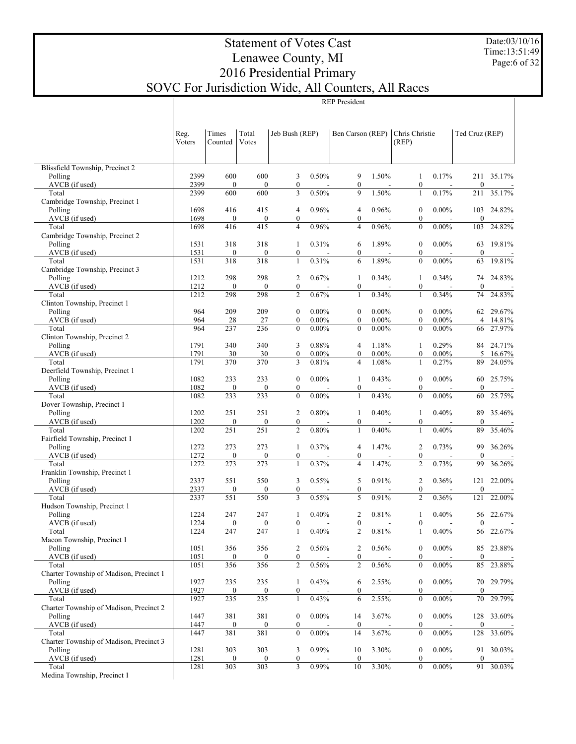Date:03/10/16 Time:13:51:49 Page:6 of 32

# Statement of Votes Cast Lenawee County, MI 2016 Presidential Primary SOVC For Jurisdiction Wide, All Counters, All Races

|                                                  | Reg.<br>Voters | Times<br>Counted        | Total<br>Votes          |                                      | Jeb Bush (REP)    |                                    | Ben Carson (REP)  | Chris Christie<br>(REP)              |                   | Ted Cruz (REP)          |                          |
|--------------------------------------------------|----------------|-------------------------|-------------------------|--------------------------------------|-------------------|------------------------------------|-------------------|--------------------------------------|-------------------|-------------------------|--------------------------|
| Blissfield Township, Precinct 2                  |                |                         |                         |                                      |                   |                                    |                   |                                      |                   |                         |                          |
| Polling                                          | 2399           | 600                     | 600                     | 3                                    | 0.50%             | 9                                  | 1.50%             | 1                                    | 0.17%             | 211                     | 35.17%                   |
| AVCB (if used)                                   | 2399           | $\mathbf{0}$            | $\boldsymbol{0}$        | $\boldsymbol{0}$                     |                   | $\boldsymbol{0}$                   |                   | $\boldsymbol{0}$                     | $\overline{a}$    | $\boldsymbol{0}$        |                          |
| Total                                            | 2399           | 600                     | 600                     | $\mathfrak{Z}$                       | 0.50%             | 9                                  | 1.50%             | $\mathbf{1}$                         | 0.17%             | 211                     | 35.17%                   |
| Cambridge Township, Precinct 1<br>Polling        | 1698           | 416                     | 415                     | $\overline{4}$                       | 0.96%             | $\overline{4}$                     | 0.96%             | $\boldsymbol{0}$                     | $0.00\%$          | 103                     | 24.82%                   |
| AVCB (if used)                                   | 1698           | $\boldsymbol{0}$        | $\boldsymbol{0}$        | $\boldsymbol{0}$                     |                   | $\boldsymbol{0}$                   |                   | $\boldsymbol{0}$                     |                   | $\mathbf{0}$            |                          |
| Total                                            | 1698           | 416                     | 415                     | $\overline{4}$                       | 0.96%             | $\overline{4}$                     | 0.96%             | $\boldsymbol{0}$                     | $0.00\%$          | 103                     | 24.82%                   |
| Cambridge Township, Precinct 2                   |                |                         |                         |                                      |                   |                                    |                   |                                      |                   |                         |                          |
| Polling                                          | 1531           | 318                     | 318                     | 1                                    | 0.31%             | 6                                  | 1.89%             | $\boldsymbol{0}$                     | $0.00\%$          | 63                      | 19.81%                   |
| AVCB (if used)<br>Total                          | 1531<br>1531   | $\boldsymbol{0}$<br>318 | $\mathbf{0}$<br>318     | $\boldsymbol{0}$<br>$\mathbf{1}$     | 0.31%             | $\boldsymbol{0}$<br>6              | 1.89%             | $\boldsymbol{0}$<br>$\boldsymbol{0}$ | $0.00\%$          | $\mathbf{0}$<br>63      | 19.81%                   |
| Cambridge Township, Precinct 3                   |                |                         |                         |                                      |                   |                                    |                   |                                      |                   |                         |                          |
| Polling                                          | 1212           | 298                     | 298                     | $\overline{2}$                       | 0.67%             | 1                                  | 0.34%             | 1                                    | 0.34%             | 74                      | 24.83%                   |
| AVCB (if used)                                   | 1212           | $\boldsymbol{0}$        | $\mathbf{0}$            | $\boldsymbol{0}$                     |                   | $\boldsymbol{0}$                   |                   | $\boldsymbol{0}$                     |                   | $\mathbf{0}$            |                          |
| Total                                            | 1212           | 298                     | 298                     | $\overline{c}$                       | 0.67%             | $\mathbf{1}$                       | 0.34%             | $\mathbf{1}$                         | 0.34%             | 74                      | 24.83%                   |
| Clinton Township, Precinct 1<br>Polling          | 964            | 209                     | 209                     | $\boldsymbol{0}$                     | $0.00\%$          | $\boldsymbol{0}$                   | $0.00\%$          | $\boldsymbol{0}$                     | $0.00\%$          | 62                      | 29.67%                   |
| AVCB (if used)                                   | 964            | 28                      | 27                      | $\boldsymbol{0}$                     | $0.00\%$          | $\mathbf{0}$                       | $0.00\%$          | $\boldsymbol{0}$                     | $0.00\%$          | $\overline{4}$          | 14.81%                   |
| Total                                            | 964            | 237                     | 236                     | $\boldsymbol{0}$                     | $0.00\%$          | $\boldsymbol{0}$                   | $0.00\%$          | $\boldsymbol{0}$                     | $0.00\%$          | 66                      | 27.97%                   |
| Clinton Township, Precinct 2                     |                |                         |                         |                                      |                   |                                    |                   |                                      |                   |                         |                          |
| Polling                                          | 1791           | 340                     | 340                     | 3                                    | 0.88%             | $\overline{4}$                     | 1.18%             | 1                                    | 0.29%             | 84                      | 24.71%                   |
| AVCB (if used)<br>Total                          | 1791<br>1791   | 30<br>370               | 30<br>370               | $\boldsymbol{0}$<br>$\mathfrak{Z}$   | $0.00\%$<br>0.81% | $\boldsymbol{0}$<br>$\overline{4}$ | $0.00\%$<br>1.08% | $\boldsymbol{0}$<br>1                | $0.00\%$<br>0.27% | 5<br>89                 | 16.67%<br>24.05%         |
| Deerfield Township, Precinct 1                   |                |                         |                         |                                      |                   |                                    |                   |                                      |                   |                         |                          |
| Polling                                          | 1082           | 233                     | 233                     | $\boldsymbol{0}$                     | $0.00\%$          | 1                                  | 0.43%             | $\boldsymbol{0}$                     | $0.00\%$          | 60                      | 25.75%                   |
| AVCB (if used)                                   | 1082           | $\boldsymbol{0}$        | $\boldsymbol{0}$        | $\boldsymbol{0}$                     |                   | $\boldsymbol{0}$                   |                   | $\boldsymbol{0}$                     |                   | $\mathbf{0}$            |                          |
| Total                                            | 1082           | 233                     | 233                     | $\boldsymbol{0}$                     | $0.00\%$          | $\mathbf{1}$                       | 0.43%             | $\boldsymbol{0}$                     | $0.00\%$          | 60                      | 25.75%                   |
| Dover Township, Precinct 1<br>Polling            | 1202           | 251                     | 251                     | $\overline{2}$                       | 0.80%             | 1                                  | 0.40%             | 1                                    | 0.40%             | 89                      | 35.46%                   |
| AVCB (if used)                                   | 1202           | $\boldsymbol{0}$        | $\boldsymbol{0}$        | $\boldsymbol{0}$                     |                   | $\boldsymbol{0}$                   |                   | $\boldsymbol{0}$                     |                   | $\boldsymbol{0}$        |                          |
| Total                                            | 1202           | 251                     | 251                     | $\overline{c}$                       | 0.80%             | $\mathbf{1}$                       | 0.40%             | $\mathbf{1}$                         | 0.40%             | 89                      | 35.46%                   |
| Fairfield Township, Precinct 1                   |                |                         |                         |                                      |                   |                                    |                   |                                      |                   |                         |                          |
| Polling                                          | 1272           | 273                     | 273                     | 1                                    | 0.37%             | $\overline{4}$                     | 1.47%             | $\overline{2}$                       | 0.73%             | 99                      | 36.26%                   |
| AVCB (if used)<br>Total                          | 1272<br>1272   | $\boldsymbol{0}$<br>273 | $\boldsymbol{0}$<br>273 | $\boldsymbol{0}$<br>$\mathbf{1}$     | 0.37%             | $\boldsymbol{0}$<br>$\overline{4}$ | 1.47%             | $\boldsymbol{0}$<br>$\overline{2}$   | 0.73%             | $\mathbf{0}$<br>99      | 36.26%                   |
| Franklin Township, Precinct 1                    |                |                         |                         |                                      |                   |                                    |                   |                                      |                   |                         |                          |
| Polling                                          | 2337           | 551                     | 550                     | 3                                    | 0.55%             | 5                                  | 0.91%             | $\overline{2}$                       | 0.36%             | 121                     | 22.00%                   |
| AVCB (if used)                                   | 2337           | $\boldsymbol{0}$        | $\mathbf{0}$            | $\boldsymbol{0}$                     |                   | $\boldsymbol{0}$                   |                   | $\boldsymbol{0}$                     |                   | $\boldsymbol{0}$        |                          |
| Total                                            | 2337           | 551                     | 550                     | $\overline{3}$                       | 0.55%             | 5                                  | 0.91%             | $\overline{2}$                       | 0.36%             | 121                     | 22.00%                   |
| Hudson Township, Precinct 1                      | 1224           | 247                     | 247                     |                                      | 0.40%             | $\overline{c}$                     | 0.81%             |                                      | 0.40%             | 56                      | 22.67%                   |
| Polling<br>AVCB (if used)                        | 1224           | $\boldsymbol{0}$        | $\mathbf{0}$            | 1<br>$\boldsymbol{0}$                |                   | $\boldsymbol{0}$                   | ÷,                | 1<br>$\boldsymbol{0}$                |                   | $\mathbf{0}$            | $\overline{\phantom{a}}$ |
| Total                                            | 1224           | 247                     | 247                     | $\mathbf{1}$                         | 0.40%             | $\overline{2}$                     | 0.81%             | $\mathbf{1}$                         | 0.40%             | 56                      | 22.67%                   |
| Macon Township, Precinct 1                       |                |                         |                         |                                      |                   |                                    |                   |                                      |                   |                         |                          |
| Polling                                          | 1051           | 356                     | 356                     | $\overline{c}$                       | 0.56%             | $\overline{c}$                     | 0.56%             | $\boldsymbol{0}$                     | $0.00\%$          | 85                      | 23.88%                   |
| AVCB (if used)                                   | 1051           | $\boldsymbol{0}$        | $\bf{0}$                | $\boldsymbol{0}$                     |                   | $\boldsymbol{0}$                   |                   | $\boldsymbol{0}$                     |                   | $\boldsymbol{0}$        |                          |
| Total<br>Charter Township of Madison, Precinct 1 | 1051           | 356                     | 356                     | $\overline{2}$                       | 0.56%             | $\overline{2}$                     | 0.56%             | $\boldsymbol{0}$                     | $0.00\%$          | 85                      | 23.88%                   |
| Polling                                          | 1927           | 235                     | 235                     | 1                                    | 0.43%             | 6                                  | 2.55%             | $\boldsymbol{0}$                     | $0.00\%$          | 70                      | 29.79%                   |
| AVCB (if used)                                   | 1927           | $\boldsymbol{0}$        | $\boldsymbol{0}$        | $\boldsymbol{0}$                     |                   | $\boldsymbol{0}$                   |                   | $\boldsymbol{0}$                     |                   | $\boldsymbol{0}$        |                          |
| Total                                            | 1927           | 235                     | 235                     | 1                                    | 0.43%             | 6                                  | 2.55%             | $\boldsymbol{0}$                     | $0.00\%$          | 70                      | 29.79%                   |
| Charter Township of Madison, Precinct 2          |                |                         |                         |                                      |                   |                                    |                   |                                      |                   |                         |                          |
| Polling<br>AVCB (if used)                        | 1447<br>1447   | 381<br>$\boldsymbol{0}$ | 381<br>$\boldsymbol{0}$ | $\boldsymbol{0}$<br>$\boldsymbol{0}$ | $0.00\%$          | 14<br>$\boldsymbol{0}$             | 3.67%             | $\boldsymbol{0}$<br>$\boldsymbol{0}$ | $0.00\%$          | 128<br>$\boldsymbol{0}$ | 33.60%                   |
| Total                                            | 1447           | 381                     | 381                     | $\boldsymbol{0}$                     | $0.00\%$          | 14                                 | 3.67%             | $\boldsymbol{0}$                     | $0.00\%$          | 128                     | 33.60%                   |
| Charter Township of Madison, Precinct 3          |                |                         |                         |                                      |                   |                                    |                   |                                      |                   |                         |                          |
| Polling                                          | 1281           | 303                     | 303                     | 3                                    | 0.99%             | 10                                 | 3.30%             | $\boldsymbol{0}$                     | $0.00\%$          | 91                      | 30.03%                   |
| AVCB (if used)<br>Total                          | 1281           | $\boldsymbol{0}$        | $\mathbf{0}$            | $\boldsymbol{0}$                     | 0.99%             | $\boldsymbol{0}$                   |                   | $\boldsymbol{0}$                     |                   | $\boldsymbol{0}$        |                          |
| Medina Township, Precinct 1                      | 1281           | 303                     | 303                     | $\mathfrak{Z}$                       |                   | 10                                 | 3.30%             | $\boldsymbol{0}$                     | $0.00\%$          | 91                      | 30.03%                   |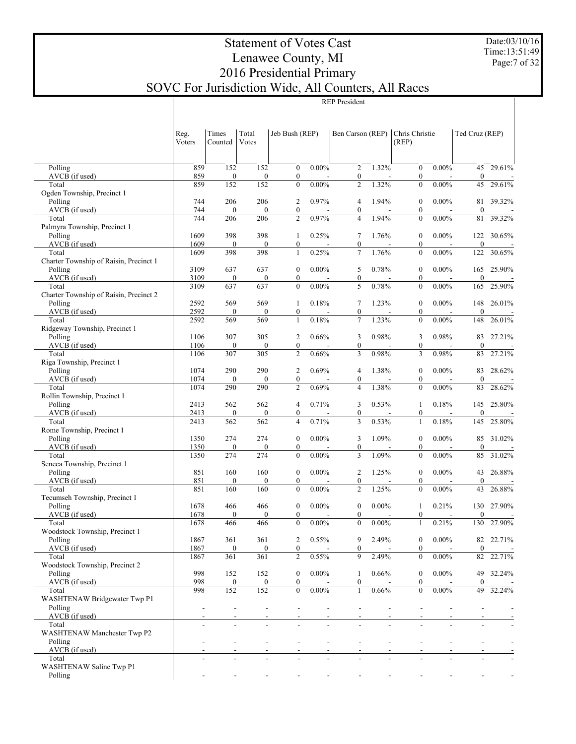Date:03/10/16 Time:13:51:49 Page:7 of 32

# Statement of Votes Cast Lenawee County, MI 2016 Presidential Primary SOVC For Jurisdiction Wide, All Counters, All Races

|                                           | Reg.<br>Voters | Times<br>Counted        | Total<br>Votes          | Jeb Bush (REP)                       |          | Ben Carson (REP)                   |          | Chris Christie<br>(REP)              |          | Ted Cruz (REP)          |        |
|-------------------------------------------|----------------|-------------------------|-------------------------|--------------------------------------|----------|------------------------------------|----------|--------------------------------------|----------|-------------------------|--------|
| Polling                                   | 859            |                         |                         | $\boldsymbol{0}$                     | $0.00\%$ | $\overline{2}$                     | 1.32%    |                                      | $0.00\%$ |                         | 29.61% |
| AVCB (if used)                            | 859            | 152<br>$\boldsymbol{0}$ | 152<br>$\boldsymbol{0}$ | $\boldsymbol{0}$                     |          | $\boldsymbol{0}$                   |          | $\boldsymbol{0}$<br>$\boldsymbol{0}$ |          | 45<br>$\boldsymbol{0}$  |        |
| Total                                     | 859            | 152                     | 152                     | $\mathbf{0}$                         | $0.00\%$ | $\overline{c}$                     | 1.32%    | $\boldsymbol{0}$                     | $0.00\%$ | 45                      | 29.61% |
| Ogden Township, Precinct 1<br>Polling     | 744            | 206                     | 206                     | $\overline{c}$                       | 0.97%    |                                    | 1.94%    | $\boldsymbol{0}$                     | $0.00\%$ | 81                      | 39.32% |
| AVCB (if used)                            | 744            | $\boldsymbol{0}$        | $\boldsymbol{0}$        | $\boldsymbol{0}$                     |          | 4<br>$\boldsymbol{0}$              |          | $\boldsymbol{0}$                     |          | $\boldsymbol{0}$        |        |
| Total                                     | 744            | 206                     | 206                     | $\overline{c}$                       | 0.97%    | $\overline{4}$                     | 1.94%    | $\boldsymbol{0}$                     | $0.00\%$ | 81                      | 39.32% |
| Palmyra Township, Precinct 1              |                |                         |                         |                                      |          |                                    | 1.76%    |                                      |          |                         |        |
| Polling<br>AVCB (if used)                 | 1609<br>1609   | 398<br>$\boldsymbol{0}$ | 398<br>$\boldsymbol{0}$ | $\mathbf{1}$<br>$\boldsymbol{0}$     | 0.25%    | 7<br>$\boldsymbol{0}$              |          | $\boldsymbol{0}$<br>$\boldsymbol{0}$ | $0.00\%$ | 122<br>$\boldsymbol{0}$ | 30.65% |
| Total                                     | 1609           | 398                     | 398                     | $\mathbf{1}$                         | 0.25%    | $\overline{7}$                     | 1.76%    | $\boldsymbol{0}$                     | $0.00\%$ | 122                     | 30.65% |
| Charter Township of Raisin, Precinct 1    |                |                         |                         |                                      |          |                                    |          |                                      |          |                         |        |
| Polling<br>AVCB (if used)                 | 3109<br>3109   | 637<br>$\boldsymbol{0}$ | 637<br>$\boldsymbol{0}$ | $\boldsymbol{0}$<br>$\boldsymbol{0}$ | $0.00\%$ | 5<br>$\boldsymbol{0}$              | 0.78%    | $\boldsymbol{0}$<br>$\boldsymbol{0}$ | $0.00\%$ | 165<br>$\boldsymbol{0}$ | 25.90% |
| Total                                     | 3109           | 637                     | 637                     | $\mathbf{0}$                         | $0.00\%$ | 5                                  | 0.78%    | $\boldsymbol{0}$                     | $0.00\%$ | 165                     | 25.90% |
| Charter Township of Raisin, Precinct 2    |                |                         |                         |                                      |          |                                    |          |                                      |          |                         |        |
| Polling                                   | 2592<br>2592   | 569                     | 569                     | $\mathbf{1}$                         | 0.18%    | 7                                  | 1.23%    | $\boldsymbol{0}$                     | $0.00\%$ | 148                     | 26.01% |
| AVCB (if used)<br>Total                   | 2592           | $\boldsymbol{0}$<br>569 | $\boldsymbol{0}$<br>569 | $\boldsymbol{0}$<br>$\mathbf{1}$     | 0.18%    | $\boldsymbol{0}$<br>$\overline{7}$ | 1.23%    | $\boldsymbol{0}$<br>$\boldsymbol{0}$ | $0.00\%$ | $\boldsymbol{0}$<br>148 | 26.01% |
| Ridgeway Township, Precinct 1             |                |                         |                         |                                      |          |                                    |          |                                      |          |                         |        |
| Polling                                   | 1106           | 307                     | 305                     | $\overline{c}$                       | 0.66%    | 3                                  | 0.98%    | 3                                    | 0.98%    | 83                      | 27.21% |
| AVCB (if used)<br>Total                   | 1106<br>1106   | $\boldsymbol{0}$<br>307 | $\boldsymbol{0}$<br>305 | $\boldsymbol{0}$<br>$\overline{c}$   | 0.66%    | $\boldsymbol{0}$<br>3              | 0.98%    | $\boldsymbol{0}$<br>3                | 0.98%    | $\boldsymbol{0}$<br>83  | 27.21% |
| Riga Township, Precinct 1                 |                |                         |                         |                                      |          |                                    |          |                                      |          |                         |        |
| Polling                                   | 1074           | 290                     | 290                     | $\overline{c}$                       | 0.69%    | 4                                  | 1.38%    | $\boldsymbol{0}$                     | $0.00\%$ | 83                      | 28.62% |
| AVCB (if used)                            | 1074<br>1074   | $\boldsymbol{0}$<br>290 | $\boldsymbol{0}$<br>290 | $\boldsymbol{0}$<br>$\overline{c}$   | 0.69%    | $\boldsymbol{0}$<br>$\overline{4}$ | 1.38%    | $\boldsymbol{0}$<br>$\overline{0}$   | $0.00\%$ | $\boldsymbol{0}$        | 28.62% |
| Total<br>Rollin Township, Precinct 1      |                |                         |                         |                                      |          |                                    |          |                                      |          | 83                      |        |
| Polling                                   | 2413           | 562                     | 562                     | 4                                    | 0.71%    | 3                                  | 0.53%    | 1                                    | 0.18%    | 145                     | 25.80% |
| AVCB (if used)                            | 2413           | $\boldsymbol{0}$        | $\boldsymbol{0}$        | $\boldsymbol{0}$                     |          | $\boldsymbol{0}$                   |          | $\boldsymbol{0}$                     |          | $\boldsymbol{0}$        |        |
| Total<br>Rome Township, Precinct 1        | 2413           | 562                     | 562                     | $\overline{4}$                       | 0.71%    | 3                                  | 0.53%    | $\mathbf{1}$                         | 0.18%    | 145                     | 25.80% |
| Polling                                   | 1350           | 274                     | 274                     | $\boldsymbol{0}$                     | $0.00\%$ | 3                                  | 1.09%    | $\boldsymbol{0}$                     | $0.00\%$ | 85                      | 31.02% |
| AVCB (if used)                            | 1350           | $\boldsymbol{0}$        | $\boldsymbol{0}$        | $\boldsymbol{0}$                     |          | $\boldsymbol{0}$                   |          | $\boldsymbol{0}$                     |          | $\boldsymbol{0}$        |        |
| Total<br>Seneca Township, Precinct 1      | 1350           | 274                     | 274                     | $\mathbf{0}$                         | $0.00\%$ | 3                                  | 1.09%    | $\boldsymbol{0}$                     | $0.00\%$ | 85                      | 31.02% |
| Polling                                   | 851            | 160                     | 160                     | $\boldsymbol{0}$                     | $0.00\%$ | $\overline{2}$                     | 1.25%    | $\boldsymbol{0}$                     | $0.00\%$ | 43                      | 26.88% |
| AVCB (if used)                            | 851            | $\boldsymbol{0}$        | $\boldsymbol{0}$        | $\boldsymbol{0}$                     |          | $\boldsymbol{0}$                   |          | $\boldsymbol{0}$                     |          | $\boldsymbol{0}$        |        |
| Total                                     | 851            | 160                     | 160                     | $\mathbf{0}$                         | $0.00\%$ | $\overline{c}$                     | 1.25%    | $\overline{0}$                       | $0.00\%$ | 43                      | 26.88% |
| Tecumseh Township, Precinct 1<br>Polling  | 1678           | 466                     | 466                     | $\boldsymbol{0}$                     | $0.00\%$ | $\boldsymbol{0}$                   | $0.00\%$ | 1                                    | 0.21%    | 130                     | 27.90% |
| AVCB (if used)                            | 1678           | $\boldsymbol{0}$        | $\boldsymbol{0}$        | $\boldsymbol{0}$                     |          | $\boldsymbol{0}$                   |          | $\boldsymbol{0}$                     |          | $\mathbf{0}$            |        |
| Total                                     | 1678           | 466                     | 466                     | $\mathbf{0}$                         | $0.00\%$ | $\mathbf{0}$                       | $0.00\%$ | $\mathbf{1}$                         | 0.21%    | 130                     | 27.90% |
| Woodstock Township, Precinct 1<br>Polling | 1867           | 361                     | 361                     | $\overline{c}$                       | 0.55%    | 9                                  | 2.49%    | $\boldsymbol{0}$                     | $0.00\%$ | 82                      | 22.71% |
| AVCB (if used)                            | 1867           | $\boldsymbol{0}$        | $\mathbf{0}$            | $\boldsymbol{0}$                     |          | $\boldsymbol{0}$                   |          | $\boldsymbol{0}$                     |          | $\mathbf{0}$            |        |
| Total                                     | 1867           | 361                     | 361                     | $\overline{c}$                       | 0.55%    | 9                                  | 2.49%    | $\boldsymbol{0}$                     | $0.00\%$ | 82                      | 22.71% |
| Woodstock Township, Precinct 2<br>Polling | 998            | 152                     | 152                     | $\boldsymbol{0}$                     | $0.00\%$ | $\mathbf{1}$                       | 0.66%    | $\boldsymbol{0}$                     | $0.00\%$ | 49                      | 32.24% |
| AVCB (if used)                            | 998            | $\boldsymbol{0}$        | $\boldsymbol{0}$        | $\boldsymbol{0}$                     |          | $\boldsymbol{0}$                   |          | $\boldsymbol{0}$                     |          | $\mathbf{0}$            |        |
| Total                                     | 998            | 152                     | 152                     | $\boldsymbol{0}$                     | $0.00\%$ | $\mathbf{1}$                       | $0.66\%$ | $\boldsymbol{0}$                     | $0.00\%$ | 49                      | 32.24% |
| WASHTENAW Bridgewater Twp P1              |                |                         |                         |                                      |          |                                    |          |                                      |          |                         |        |
| Polling<br>AVCB (if used)                 |                |                         |                         |                                      |          |                                    |          | $\overline{a}$                       |          |                         |        |
| Total                                     |                |                         |                         |                                      |          |                                    |          |                                      |          |                         |        |
| WASHTENAW Manchester Twp P2               |                |                         |                         |                                      |          |                                    |          |                                      |          |                         |        |
| Polling<br>AVCB (if used)                 |                |                         | $\overline{a}$          | L,                                   |          | $\overline{\phantom{a}}$           |          |                                      |          |                         |        |
| Total                                     |                |                         |                         |                                      |          |                                    |          |                                      |          |                         |        |
| WASHTENAW Saline Twp P1                   |                |                         |                         |                                      |          |                                    |          |                                      |          |                         |        |
| Polling                                   |                |                         |                         |                                      |          |                                    |          |                                      |          |                         |        |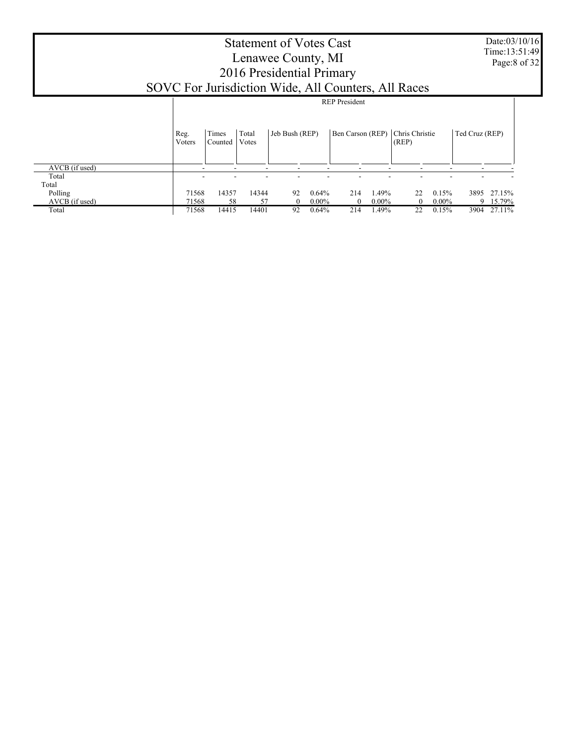| <b>Statement of Votes Cast</b>                      |
|-----------------------------------------------------|
| Lenawee County, MI                                  |
| 2016 Presidential Primary                           |
| SOVC For Jurisdiction Wide, All Counters, All Races |
| <b>REP</b> President                                |
|                                                     |

|                | Reg.<br>Voters           | Times<br>Counted | Total<br>Votes           | Jeb Bush (REP) |          |     |          | Ben Carson (REP) Chris Christie<br>(REP) |          | Ted Cruz (REP) |        |
|----------------|--------------------------|------------------|--------------------------|----------------|----------|-----|----------|------------------------------------------|----------|----------------|--------|
| AVCB (if used) | $\overline{\phantom{a}}$ | -                | $\overline{\phantom{a}}$ | -              | -        | -   | -        | -                                        | -        | -              |        |
| Total          | $\overline{\phantom{a}}$ | ۰                | -                        |                |          |     |          |                                          |          |                |        |
| Total          |                          |                  |                          |                |          |     |          |                                          |          |                |        |
| Polling        | 71568                    | 14357            | 14344                    | 92             | 0.64%    | 214 | 1.49%    | 22                                       | 0.15%    | 3895           | 27.15% |
| AVCB (if used) | 71568                    | 58               | 57                       | 0              | $0.00\%$ |     | $0.00\%$ |                                          | $0.00\%$ | Q              | 15.79% |
| Total          | 71568                    | 14415            | 14401                    | 92             | 0.64%    | 214 | .49%     | 22                                       | 0.15%    | 3904           | 27.11% |

Date:03/10/16 Time:13:51:49 Page:8 of 32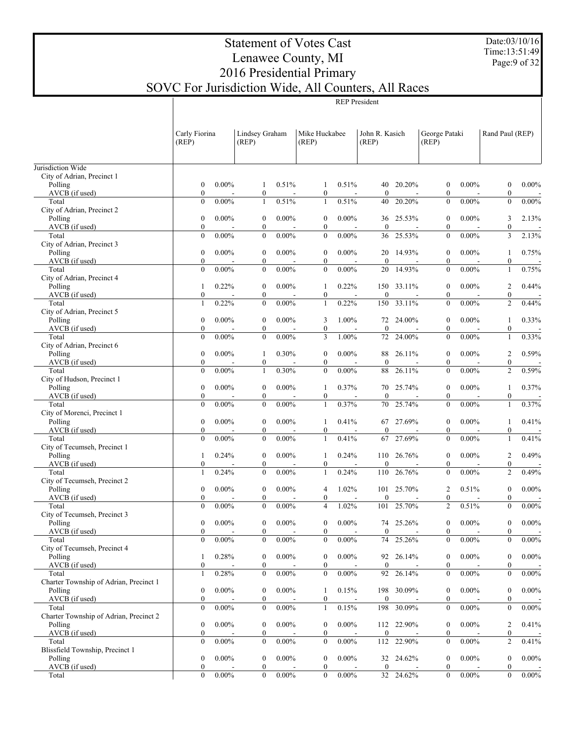Date:03/10/16 Time:13:51:49 Page:9 of 32

# Statement of Votes Cast Lenawee County, MI 2016 Presidential Primary SOVC For Jurisdiction Wide, All Counters, All Races

 $\overline{a}$ 

|                                                   | Carly Fiorina<br>(REP)               |          | Lindsey Graham<br>(REP)              |          | Mike Huckabee<br>(REP)               |          | John R. Kasich<br>(REP) |            | George Pataki<br>(REP)               |          | Rand Paul (REP)                      |          |
|---------------------------------------------------|--------------------------------------|----------|--------------------------------------|----------|--------------------------------------|----------|-------------------------|------------|--------------------------------------|----------|--------------------------------------|----------|
| Jurisdiction Wide                                 |                                      |          |                                      |          |                                      |          |                         |            |                                      |          |                                      |          |
| City of Adrian, Precinct 1                        |                                      |          |                                      |          |                                      |          |                         |            |                                      |          |                                      |          |
| Polling                                           | $\boldsymbol{0}$                     | $0.00\%$ | 1                                    | 0.51%    | 1                                    | 0.51%    |                         | 40 20.20%  | $\boldsymbol{0}$                     | $0.00\%$ | $\boldsymbol{0}$                     | $0.00\%$ |
| AVCB (if used)                                    | $\boldsymbol{0}$                     |          | $\boldsymbol{0}$                     |          | $\boldsymbol{0}$                     |          | $\boldsymbol{0}$        |            | $\boldsymbol{0}$                     |          | $\boldsymbol{0}$                     |          |
| Total                                             | $\mathbf{0}$                         | $0.00\%$ | $\mathbf{1}$                         | 0.51%    | $\mathbf{1}$                         | 0.51%    | 40                      | 20.20%     | $\mathbf{0}$                         | $0.00\%$ | $\boldsymbol{0}$                     | $0.00\%$ |
| City of Adrian, Precinct 2<br>Polling             | $\boldsymbol{0}$                     | $0.00\%$ | $\mathbf{0}$                         | $0.00\%$ | $\boldsymbol{0}$                     | $0.00\%$ | 36                      | 25.53%     | $\mathbf{0}$                         | $0.00\%$ | 3                                    | 2.13%    |
| AVCB (if used)                                    | $\boldsymbol{0}$                     |          | $\boldsymbol{0}$                     |          | $\boldsymbol{0}$                     |          | $\boldsymbol{0}$        |            | $\boldsymbol{0}$                     |          | $\boldsymbol{0}$                     |          |
| Total                                             | $\mathbf{0}$                         | $0.00\%$ | $\boldsymbol{0}$                     | $0.00\%$ | $\mathbf{0}$                         | $0.00\%$ | 36                      | 25.53%     | $\mathbf{0}$                         | $0.00\%$ | 3                                    | 2.13%    |
| City of Adrian, Precinct 3                        |                                      |          |                                      |          |                                      |          |                         |            |                                      |          |                                      |          |
| Polling<br>AVCB (if used)                         | $\boldsymbol{0}$<br>$\boldsymbol{0}$ | $0.00\%$ | $\boldsymbol{0}$<br>0                | $0.00\%$ | $\boldsymbol{0}$<br>$\boldsymbol{0}$ | $0.00\%$ | 20<br>$\mathbf{0}$      | 14.93%     | $\mathbf{0}$<br>$\boldsymbol{0}$     | $0.00\%$ | 1<br>$\boldsymbol{0}$                | 0.75%    |
| Total                                             | $\mathbf{0}$                         | $0.00\%$ | $\overline{0}$                       | $0.00\%$ | $\mathbf{0}$                         | $0.00\%$ | 20                      | 14.93%     | $\mathbf{0}$                         | $0.00\%$ | $\mathbf{1}$                         | 0.75%    |
| City of Adrian, Precinct 4                        |                                      |          |                                      |          |                                      |          |                         |            |                                      |          |                                      |          |
| Polling                                           | 1                                    | 0.22%    | 0                                    | $0.00\%$ | 1                                    | 0.22%    |                         | 150 33.11% | $\mathbf{0}$                         | $0.00\%$ | 2                                    | 0.44%    |
| AVCB (if used)                                    | $\boldsymbol{0}$                     |          | 0<br>$\overline{0}$                  | $0.00\%$ | $\boldsymbol{0}$                     |          | $\mathbf{0}$            |            | $\boldsymbol{0}$<br>$\mathbf{0}$     |          | $\boldsymbol{0}$                     |          |
| Total<br>City of Adrian, Precinct 5               | $\mathbf{1}$                         | 0.22%    |                                      |          | $\mathbf{1}$                         | 0.22%    | 150                     | 33.11%     |                                      | $0.00\%$ | $\overline{c}$                       | 0.44%    |
| Polling                                           | $\boldsymbol{0}$                     | $0.00\%$ | $\boldsymbol{0}$                     | $0.00\%$ | 3                                    | 1.00%    | 72                      | 24.00%     | $\mathbf{0}$                         | $0.00\%$ | 1                                    | 0.33%    |
| AVCB (if used)                                    | $\boldsymbol{0}$                     |          | $\boldsymbol{0}$                     |          | $\boldsymbol{0}$                     |          | $\mathbf{0}$            |            | $\boldsymbol{0}$                     |          | $\boldsymbol{0}$                     |          |
| Total                                             | $\mathbf{0}$                         | $0.00\%$ | $\overline{0}$                       | $0.00\%$ | 3                                    | 1.00%    | 72                      | 24.00%     | $\mathbf{0}$                         | $0.00\%$ | $\mathbf{1}$                         | 0.33%    |
| City of Adrian, Precinct 6                        | $\boldsymbol{0}$                     | $0.00\%$ | 1                                    | 0.30%    | $\boldsymbol{0}$                     | $0.00\%$ | 88                      | 26.11%     | $\mathbf{0}$                         | $0.00\%$ |                                      | 0.59%    |
| Polling<br>AVCB (if used)                         | $\boldsymbol{0}$                     |          | $\boldsymbol{0}$                     |          | $\boldsymbol{0}$                     |          | $\mathbf{0}$            |            | $\boldsymbol{0}$                     |          | 2<br>$\boldsymbol{0}$                |          |
| Total                                             | $\mathbf{0}$                         | $0.00\%$ | $\mathbf{1}$                         | 0.30%    | $\mathbf{0}$                         | $0.00\%$ | 88                      | 26.11%     | $\mathbf{0}$                         | $0.00\%$ | $\overline{c}$                       | 0.59%    |
| City of Hudson, Precinct 1                        |                                      |          |                                      |          |                                      |          |                         |            |                                      |          |                                      |          |
| Polling                                           | $\boldsymbol{0}$                     | $0.00\%$ | $\boldsymbol{0}$                     | $0.00\%$ | 1                                    | 0.37%    | 70                      | 25.74%     | $\mathbf{0}$                         | $0.00\%$ | 1                                    | 0.37%    |
| AVCB (if used)<br>Total                           | $\boldsymbol{0}$<br>$\mathbf{0}$     | $0.00\%$ | 0<br>$\overline{0}$                  | $0.00\%$ | $\boldsymbol{0}$<br>$\mathbf{1}$     | 0.37%    | $\mathbf{0}$<br>70      | 25.74%     | $\boldsymbol{0}$<br>$\mathbf{0}$     | $0.00\%$ | $\boldsymbol{0}$<br>$\mathbf{1}$     | 0.37%    |
| City of Morenci, Precinct 1                       |                                      |          |                                      |          |                                      |          |                         |            |                                      |          |                                      |          |
| Polling                                           | $\boldsymbol{0}$                     | $0.00\%$ | $\boldsymbol{0}$                     | $0.00\%$ | 1                                    | 0.41%    |                         | 67 27.69%  | $\boldsymbol{0}$                     | $0.00\%$ | 1                                    | 0.41%    |
| AVCB (if used)                                    | $\boldsymbol{0}$                     |          | 0                                    |          | $\boldsymbol{0}$                     |          | $\mathbf{0}$            |            | $\boldsymbol{0}$                     |          | $\boldsymbol{0}$                     |          |
| Total                                             | $\mathbf{0}$                         | $0.00\%$ | $\overline{0}$                       | $0.00\%$ | $\mathbf{1}$                         | 0.41%    | 67                      | 27.69%     | $\mathbf{0}$                         | $0.00\%$ | $\mathbf{1}$                         | 0.41%    |
| City of Tecumseh, Precinct 1<br>Polling           | 1                                    | 0.24%    | $\boldsymbol{0}$                     | $0.00\%$ | 1                                    | 0.24%    |                         | 110 26.76% | $\mathbf{0}$                         | $0.00\%$ | 2                                    | 0.49%    |
| AVCB (if used)                                    | $\boldsymbol{0}$                     |          | 0                                    |          | $\boldsymbol{0}$                     |          | $\mathbf{0}$            |            | $\boldsymbol{0}$                     |          | $\boldsymbol{0}$                     |          |
| Total                                             | 1                                    | 0.24%    | $\overline{0}$                       | $0.00\%$ | $\mathbf{1}$                         | 0.24%    | 110                     | 26.76%     | $\mathbf{0}$                         | $0.00\%$ | $\overline{c}$                       | 0.49%    |
| City of Tecumseh, Precinct 2                      |                                      |          |                                      |          |                                      |          |                         |            |                                      |          |                                      |          |
| Polling<br>AVCB (if used)                         | $\boldsymbol{0}$<br>0                | $0.00\%$ | $\boldsymbol{0}$<br>0                | $0.00\%$ | 4<br>$\boldsymbol{0}$                | 1.02%    | $\mathbf{0}$            | 101 25.70% | 2<br>$\boldsymbol{0}$                | 0.51%    | $\boldsymbol{0}$<br>$\boldsymbol{0}$ | $0.00\%$ |
| Total                                             | $\overline{0}$                       | $0.00\%$ | $\mathbf{0}$                         | $0.00\%$ | $\overline{4}$                       | 1.02%    | 101                     | 25.70%     | $\overline{c}$                       | 0.51%    | $\overline{0}$                       | $0.00\%$ |
| City of Tecumseh, Precinct 3                      |                                      |          |                                      |          |                                      |          |                         |            |                                      |          |                                      |          |
| Polling                                           | 0                                    | $0.00\%$ | $\boldsymbol{0}$                     | $0.00\%$ | 0                                    | $0.00\%$ |                         | 74 25.26%  | $\mathbf{0}$                         | $0.00\%$ | $\boldsymbol{0}$                     | $0.00\%$ |
| $AVCB$ (if used)                                  | $\boldsymbol{0}$<br>$\mathbf{0}$     | $0.00\%$ | $\boldsymbol{0}$<br>$\boldsymbol{0}$ | $0.00\%$ | $\boldsymbol{0}$<br>$\boldsymbol{0}$ | $0.00\%$ | $\bf{0}$                | 74 25.26%  | $\boldsymbol{0}$<br>$\boldsymbol{0}$ | $0.00\%$ | $\boldsymbol{0}$<br>$\boldsymbol{0}$ | 0.00%    |
| Total<br>City of Tecumseh, Precinct 4             |                                      |          |                                      |          |                                      |          |                         |            |                                      |          |                                      |          |
| Polling                                           | 1                                    | 0.28%    | $\boldsymbol{0}$                     | $0.00\%$ | $\boldsymbol{0}$                     | $0.00\%$ |                         | 92 26.14%  | $\boldsymbol{0}$                     | $0.00\%$ | $\boldsymbol{0}$                     | $0.00\%$ |
| AVCB (if used)                                    | $\boldsymbol{0}$                     |          | $\boldsymbol{0}$                     |          | $\boldsymbol{0}$                     |          | $\boldsymbol{0}$        |            | $\boldsymbol{0}$                     |          | $\boldsymbol{0}$                     |          |
| Total                                             | 1                                    | 0.28%    | $\boldsymbol{0}$                     | $0.00\%$ | $\boldsymbol{0}$                     | $0.00\%$ | 92                      | 26.14%     | $\boldsymbol{0}$                     | $0.00\%$ | $\boldsymbol{0}$                     | $0.00\%$ |
| Charter Township of Adrian, Precinct 1<br>Polling | $\boldsymbol{0}$                     | $0.00\%$ | $\boldsymbol{0}$                     | $0.00\%$ | 1                                    | 0.15%    |                         | 198 30.09% | $\boldsymbol{0}$                     | $0.00\%$ | $\boldsymbol{0}$                     | $0.00\%$ |
| AVCB (if used)                                    | $\boldsymbol{0}$                     |          | $\boldsymbol{0}$                     |          | $\boldsymbol{0}$                     |          | $\boldsymbol{0}$        |            | $\boldsymbol{0}$                     |          | $\boldsymbol{0}$                     |          |
| Total                                             | $\mathbf{0}$                         | $0.00\%$ | $\boldsymbol{0}$                     | $0.00\%$ | $\mathbf{1}$                         | 0.15%    | 198                     | 30.09%     | $\boldsymbol{0}$                     | $0.00\%$ | $\boldsymbol{0}$                     | $0.00\%$ |
| Charter Township of Adrian, Precinct 2            |                                      |          |                                      |          |                                      |          |                         |            |                                      |          |                                      |          |
| Polling                                           | $\boldsymbol{0}$                     | $0.00\%$ | $\boldsymbol{0}$                     | $0.00\%$ | $\boldsymbol{0}$                     | $0.00\%$ |                         | 112 22.90% | $\boldsymbol{0}$                     | $0.00\%$ | 2                                    | 0.41%    |
| AVCB (if used)<br>Total                           | $\boldsymbol{0}$<br>$\mathbf{0}$     | $0.00\%$ | $\boldsymbol{0}$<br>$\boldsymbol{0}$ | $0.00\%$ | $\boldsymbol{0}$<br>$\boldsymbol{0}$ | $0.00\%$ | $\mathbf{0}$            | 112 22.90% | $\boldsymbol{0}$<br>$\boldsymbol{0}$ | $0.00\%$ | $\boldsymbol{0}$<br>$\overline{c}$   | 0.41%    |
| Blissfield Township, Precinct 1                   |                                      |          |                                      |          |                                      |          |                         |            |                                      |          |                                      |          |
| Polling                                           | $\boldsymbol{0}$                     | $0.00\%$ | $\boldsymbol{0}$                     | $0.00\%$ | $\boldsymbol{0}$                     | $0.00\%$ |                         | 32 24.62%  | $\boldsymbol{0}$                     | $0.00\%$ | $\boldsymbol{0}$                     | $0.00\%$ |
| AVCB (if used)                                    | $\mathbf{0}$                         |          | $\boldsymbol{0}$                     |          | $\boldsymbol{0}$                     |          | $\mathbf{0}$            |            | $\boldsymbol{0}$                     |          | $\boldsymbol{0}$                     |          |
| Total                                             | $\overline{0}$                       | $0.00\%$ | $\overline{0}$                       | $0.00\%$ | $\boldsymbol{0}$                     | $0.00\%$ |                         | 32 24.62%  | $\boldsymbol{0}$                     | $0.00\%$ | $\overline{0}$                       | 0.00%    |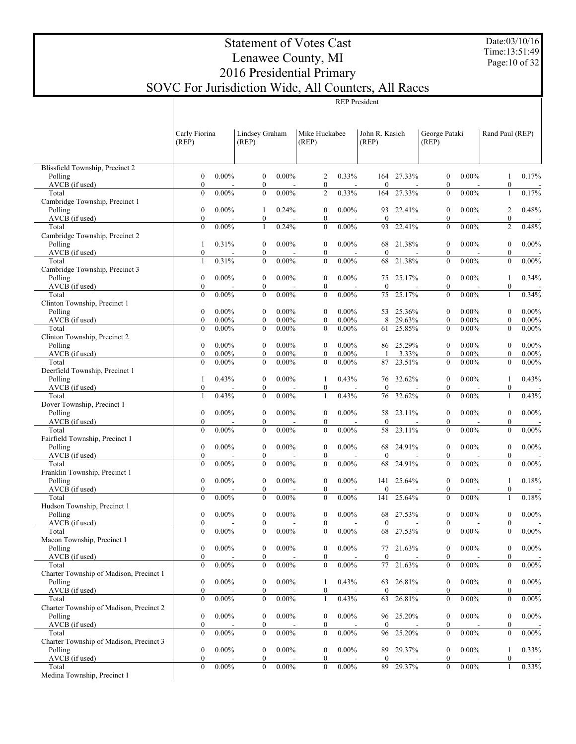Date:03/10/16 Time:13:51:49 Page:10 of 32

### Statement of Votes Cast Lenawee County, MI 2016 Presidential Primary SOVC For Jurisdiction Wide, All Counters, All Races REP President

|                                           | Carly Fiorina                        |                      | Lindsey Graham                   |                      | Mike Huckabee                        |                      | John R. Kasich      |                  | George Pataki                        |                      | Rand Paul (REP)                      |                      |
|-------------------------------------------|--------------------------------------|----------------------|----------------------------------|----------------------|--------------------------------------|----------------------|---------------------|------------------|--------------------------------------|----------------------|--------------------------------------|----------------------|
|                                           | (REP)                                |                      | (REP)                            |                      | (REP)                                |                      | (REP)               |                  | (REP)                                |                      |                                      |                      |
| Blissfield Township, Precinct 2           |                                      |                      |                                  |                      |                                      |                      |                     |                  |                                      |                      |                                      |                      |
| Polling                                   | $\boldsymbol{0}$                     | $0.00\%$             | $\boldsymbol{0}$                 | $0.00\%$             | 2                                    | 0.33%                |                     | 164 27.33%       | $\boldsymbol{0}$                     | $0.00\%$             | 1                                    | 0.17%                |
| AVCB (if used)                            | $\mathbf{0}$                         |                      | $\mathbf{0}$                     |                      | $\boldsymbol{0}$                     |                      | $\mathbf{0}$        |                  | $\boldsymbol{0}$                     |                      | $\boldsymbol{0}$                     |                      |
| Total                                     | $\mathbf{0}$                         | $0.00\%$             | $\mathbf{0}$                     | $0.00\%$             | $\mathfrak{2}$                       | 0.33%                | 164                 | 27.33%           | $\mathbf{0}$                         | $0.00\%$             | 1                                    | 0.17%                |
| Cambridge Township, Precinct 1<br>Polling | $\boldsymbol{0}$                     | $0.00\%$             | 1                                | 0.24%                | $\boldsymbol{0}$                     | $0.00\%$             | 93                  | 22.41%           | $\boldsymbol{0}$                     | $0.00\%$             | 2                                    | 0.48%                |
| AVCB (if used)                            | $\mathbf{0}$                         |                      | $\mathbf{0}$                     |                      | $\boldsymbol{0}$                     |                      | $\mathbf{0}$        |                  | $\mathbf{0}$                         |                      | $\boldsymbol{0}$                     |                      |
| Total                                     | $\mathbf{0}$                         | $0.00\%$             | 1                                | 0.24%                | $\boldsymbol{0}$                     | $0.00\%$             | 93                  | 22.41%           | $\mathbf{0}$                         | $0.00\%$             | $\overline{c}$                       | 0.48%                |
| Cambridge Township, Precinct 2            |                                      |                      |                                  |                      |                                      |                      |                     |                  |                                      |                      |                                      |                      |
| Polling                                   | 1                                    | 0.31%                | $\bf{0}$                         | $0.00\%$             | $\boldsymbol{0}$                     | $0.00\%$             | 68                  | 21.38%           | $\boldsymbol{0}$                     | $0.00\%$             | $\boldsymbol{0}$                     | $0.00\%$             |
| AVCB (if used)                            | $\boldsymbol{0}$                     |                      | $\mathbf{0}$                     |                      | $\boldsymbol{0}$                     |                      | $\mathbf{0}$        |                  | $\mathbf{0}$                         |                      | $\boldsymbol{0}$                     |                      |
| Total<br>Cambridge Township, Precinct 3   | 1                                    | 0.31%                | $\mathbf{0}$                     | $0.00\%$             | $\boldsymbol{0}$                     | $0.00\%$             | 68                  | 21.38%           | $\mathbf{0}$                         | $0.00\%$             | $\boldsymbol{0}$                     | $0.00\%$             |
| Polling                                   | $\boldsymbol{0}$                     | $0.00\%$             | $\boldsymbol{0}$                 | $0.00\%$             | $\boldsymbol{0}$                     | $0.00\%$             | 75                  | 25.17%           | $\boldsymbol{0}$                     | $0.00\%$             | 1                                    | 0.34%                |
| AVCB (if used)                            | $\mathbf{0}$                         |                      | $\mathbf{0}$                     |                      | $\boldsymbol{0}$                     |                      | $\mathbf{0}$        |                  | $\mathbf{0}$                         |                      | $\boldsymbol{0}$                     |                      |
| Total                                     | $\mathbf{0}$                         | $0.00\%$             | $\mathbf{0}$                     | $0.00\%$             | $\boldsymbol{0}$                     | $0.00\%$             | 75                  | 25.17%           | $\mathbf{0}$                         | $0.00\%$             | 1                                    | 0.34%                |
| Clinton Township, Precinct 1              |                                      |                      |                                  |                      |                                      |                      |                     |                  |                                      |                      |                                      |                      |
| Polling                                   | $\boldsymbol{0}$<br>$\mathbf{0}$     | $0.00\%$             | $\boldsymbol{0}$                 | $0.00\%$             | $\boldsymbol{0}$                     | $0.00\%$<br>$0.00\%$ | 53<br>8             | 25.36%           | $\boldsymbol{0}$<br>$\mathbf{0}$     | $0.00\%$             | $\mathbf{0}$                         | $0.00\%$             |
| AVCB (if used)<br>Total                   | $\mathbf{0}$                         | $0.00\%$<br>$0.00\%$ | $\mathbf{0}$<br>$\mathbf{0}$     | $0.00\%$<br>$0.00\%$ | $\boldsymbol{0}$<br>$\mathbf{0}$     | $0.00\%$             | 61                  | 29.63%<br>25.85% | $\mathbf{0}$                         | $0.00\%$<br>$0.00\%$ | $\boldsymbol{0}$<br>$\boldsymbol{0}$ | $0.00\%$<br>$0.00\%$ |
| Clinton Township, Precinct 2              |                                      |                      |                                  |                      |                                      |                      |                     |                  |                                      |                      |                                      |                      |
| Polling                                   | $\boldsymbol{0}$                     | $0.00\%$             | $\boldsymbol{0}$                 | $0.00\%$             | $\boldsymbol{0}$                     | $0.00\%$             |                     | 86 25.29%        | $\boldsymbol{0}$                     | $0.00\%$             | $\boldsymbol{0}$                     | $0.00\%$             |
| AVCB (if used)                            | $\mathbf{0}$                         | $0.00\%$             | $\mathbf{0}$                     | $0.00\%$             | $\boldsymbol{0}$                     | $0.00\%$             |                     | 3.33%            | $\mathbf{0}$                         | $0.00\%$             | $\boldsymbol{0}$                     | $0.00\%$             |
| Total                                     | $\mathbf{0}$                         | $0.00\%$             | $\mathbf{0}$                     | $0.00\%$             | $\mathbf{0}$                         | $0.00\%$             | 87                  | 23.51%           | $\mathbf{0}$                         | $0.00\%$             | $\boldsymbol{0}$                     | $0.00\%$             |
| Deerfield Township, Precinct 1<br>Polling | 1                                    | 0.43%                | $\boldsymbol{0}$                 | $0.00\%$             | 1                                    | 0.43%                | 76                  | 32.62%           | $\boldsymbol{0}$                     | $0.00\%$             | 1                                    | 0.43%                |
| AVCB (if used)                            | $\mathbf{0}$                         |                      | $\mathbf{0}$                     |                      | $\boldsymbol{0}$                     |                      | $\Omega$            |                  | $\mathbf{0}$                         |                      | $\boldsymbol{0}$                     |                      |
| Total                                     | 1                                    | 0.43%                | $\mathbf{0}$                     | $0.00\%$             | 1                                    | 0.43%                | 76                  | 32.62%           | $\mathbf{0}$                         | $0.00\%$             | 1                                    | 0.43%                |
| Dover Township, Precinct 1                |                                      |                      |                                  |                      |                                      |                      |                     |                  |                                      |                      |                                      |                      |
| Polling                                   | $\boldsymbol{0}$                     | $0.00\%$             | $\boldsymbol{0}$                 | $0.00\%$             | $\boldsymbol{0}$                     | $0.00\%$             | 58                  | 23.11%           | $\boldsymbol{0}$                     | $0.00\%$             | $\boldsymbol{0}$                     | $0.00\%$             |
| AVCB (if used)                            | $\mathbf{0}$                         |                      | $\mathbf{0}$                     |                      | $\boldsymbol{0}$                     |                      | $\mathbf{0}$        |                  | $\mathbf{0}$<br>$\mathbf{0}$         |                      | $\boldsymbol{0}$                     |                      |
| Total<br>Fairfield Township, Precinct 1   | $\mathbf{0}$                         | $0.00\%$             | $\mathbf{0}$                     | $0.00\%$             | $\mathbf{0}$                         | $0.00\%$             | 58                  | 23.11%           |                                      | $0.00\%$             | $\boldsymbol{0}$                     | $0.00\%$             |
| Polling                                   | $\boldsymbol{0}$                     | $0.00\%$             | $\boldsymbol{0}$                 | $0.00\%$             | $\boldsymbol{0}$                     | $0.00\%$             | 68                  | 24.91%           | $\boldsymbol{0}$                     | $0.00\%$             | $\boldsymbol{0}$                     | $0.00\%$             |
| AVCB (if used)                            | $\mathbf{0}$                         |                      | $\mathbf{0}$                     |                      | $\boldsymbol{0}$                     |                      | $\mathbf{0}$        |                  | $\mathbf{0}$                         |                      | $\boldsymbol{0}$                     |                      |
| Total                                     | $\mathbf{0}$                         | $0.00\%$             | $\mathbf{0}$                     | $0.00\%$             | $\mathbf{0}$                         | $0.00\%$             | 68                  | 24.91%           | $\mathbf{0}$                         | $0.00\%$             | $\boldsymbol{0}$                     | $0.00\%$             |
| Franklin Township, Precinct 1             |                                      |                      |                                  |                      |                                      |                      |                     |                  |                                      |                      |                                      |                      |
| Polling                                   | $\boldsymbol{0}$<br>$\mathbf{0}$     | $0.00\%$             | $\boldsymbol{0}$<br>$\mathbf{0}$ | $0.00\%$             | $\boldsymbol{0}$<br>$\boldsymbol{0}$ | $0.00\%$             | 141<br>$\mathbf{0}$ | 25.64%           | $\boldsymbol{0}$<br>$\mathbf{0}$     | $0.00\%$             | 1<br>$\boldsymbol{0}$                | 0.18%                |
| AVCB (if used)<br>Total                   | $\mathbf{0}$                         | $0.00\%$             | $\mathbf{0}$                     | $0.00\%$             | $\mathbf{0}$                         | $0.00\%$             | 141                 | 25.64%           | $\mathbf{0}$                         | $0.00\%$             | 1                                    | 0.18%                |
| Hudson Township, Precinct 1               |                                      |                      |                                  |                      |                                      |                      |                     |                  |                                      |                      |                                      |                      |
| Polling                                   | $\boldsymbol{0}$                     | $0.00\%$             | $\boldsymbol{0}$                 | $0.00\%$             | $\boldsymbol{0}$                     | $0.00\%$             | 68                  | 27.53%           | $\boldsymbol{0}$                     | $0.00\%$             | $\boldsymbol{0}$                     | $0.00\%$             |
| AVCB (if used)                            | $\mathbf{0}$                         |                      | $\mathbf{0}$                     |                      | $\mathbf{0}$                         |                      | $\mathbf{0}$        |                  | $\mathbf{0}$                         |                      | $\boldsymbol{0}$                     |                      |
| Total                                     | $\theta$                             | $0.00\%$             | $\mathbf{0}$                     | $0.00\%$             | $\mathbf{0}$                         | $0.00\%$             | 68                  | 27.53%           | $\mathbf{0}$                         | $0.00\%$             | $\mathbf{0}$                         | $0.00\%$             |
| Macon Township, Precinct 1<br>Polling     | $\boldsymbol{0}$                     | $0.00\%$             | $\mathbf{0}$                     | $0.00\%$             | $\boldsymbol{0}$                     | $0.00\%$             |                     | 77 21.63%        | $\boldsymbol{0}$                     | $0.00\%$             | 0                                    | $0.00\%$             |
| AVCB (if used)                            | $\boldsymbol{0}$                     |                      | $\mathbf{0}$                     |                      | 0                                    |                      | $\mathbf{0}$        |                  | $\boldsymbol{0}$                     |                      | $\boldsymbol{0}$                     |                      |
| Total                                     | $\mathbf{0}$                         | $0.00\%$             | $\boldsymbol{0}$                 | $0.00\%$             | $\boldsymbol{0}$                     | $0.00\%$             | 77                  | 21.63%           | $\boldsymbol{0}$                     | $0.00\%$             | $\boldsymbol{0}$                     | $0.00\%$             |
| Charter Township of Madison, Precinct 1   |                                      |                      |                                  |                      |                                      |                      |                     |                  |                                      |                      |                                      |                      |
| Polling                                   | $\boldsymbol{0}$                     | $0.00\%$             | $\boldsymbol{0}$                 | $0.00\%$             | 1                                    | 0.43%                | 63                  | 26.81%           | $\boldsymbol{0}$                     | $0.00\%$             | $\boldsymbol{0}$                     | $0.00\%$             |
| AVCB (if used)<br>Total                   | $\boldsymbol{0}$                     | $0.00\%$             | 0                                |                      | $\boldsymbol{0}$                     |                      | $\mathbf{0}$        | 26.81%           | $\boldsymbol{0}$                     |                      | $\boldsymbol{0}$                     |                      |
| Charter Township of Madison, Precinct 2   | $\bf{0}$                             |                      | $\boldsymbol{0}$                 | $0.00\%$             | 1                                    | 0.43%                | 63                  |                  | $\boldsymbol{0}$                     | $0.00\%$             | $\boldsymbol{0}$                     | $0.00\%$             |
| Polling                                   | $\boldsymbol{0}$                     | $0.00\%$             | $\boldsymbol{0}$                 | $0.00\%$             | $\boldsymbol{0}$                     | $0.00\%$             | 96                  | 25.20%           | $\boldsymbol{0}$                     | $0.00\%$             | $\boldsymbol{0}$                     | $0.00\%$             |
| AVCB (if used)                            | $\boldsymbol{0}$                     |                      | 0                                |                      | $\boldsymbol{0}$                     |                      | $\mathbf{0}$        |                  | $\boldsymbol{0}$                     |                      | $\boldsymbol{0}$                     |                      |
| Total                                     | $\boldsymbol{0}$                     | $0.00\%$             | $\boldsymbol{0}$                 | $0.00\%$             | $\boldsymbol{0}$                     | $0.00\%$             | 96                  | 25.20%           | $\boldsymbol{0}$                     | $0.00\%$             | $\boldsymbol{0}$                     | $0.00\%$             |
| Charter Township of Madison, Precinct 3   |                                      |                      |                                  |                      |                                      |                      |                     |                  |                                      |                      |                                      |                      |
| Polling<br>AVCB (if used)                 | $\boldsymbol{0}$<br>$\boldsymbol{0}$ | $0.00\%$             | $\boldsymbol{0}$<br>$\mathbf{0}$ | $0.00\%$             | $\boldsymbol{0}$<br>$\boldsymbol{0}$ | $0.00\%$             | 89<br>$\mathbf{0}$  | 29.37%           | $\boldsymbol{0}$<br>$\boldsymbol{0}$ | $0.00\%$             | 1<br>$\boldsymbol{0}$                | 0.33%                |
| Total                                     | $\mathbf{0}$                         | $0.00\%$             | $\boldsymbol{0}$                 | $0.00\%$             | $\boldsymbol{0}$                     | $0.00\%$             | 89                  | 29.37%           | $\boldsymbol{0}$                     | $0.00\%$             | 1                                    | 0.33%                |
| Medina Township, Precinct 1               |                                      |                      |                                  |                      |                                      |                      |                     |                  |                                      |                      |                                      |                      |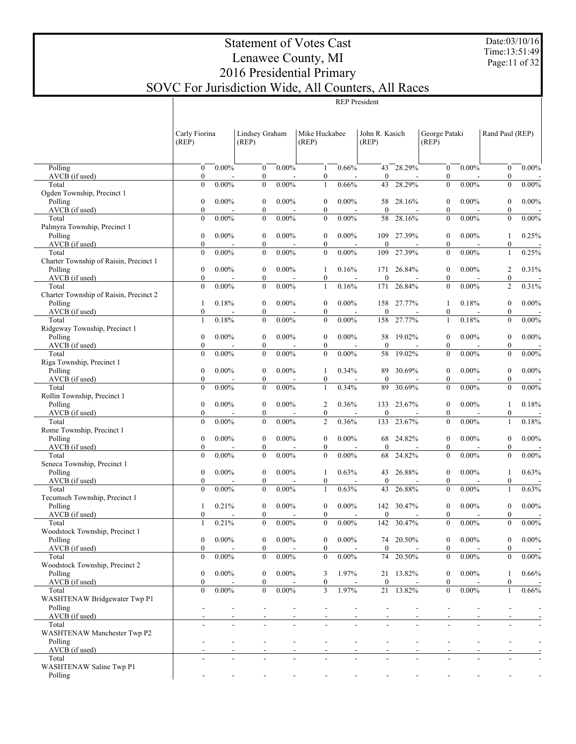Date:03/10/16 Time:13:51:49 Page:11 of 32

| REP President |
|---------------|

|                                           | Carly Fiorina<br>(REP)               |          | Lindsey Graham<br>(REP)              |          | Mike Huckabee<br>(REP)               |          | John R. Kasich<br>(REP) |            | George Pataki<br>(REP)               |          | Rand Paul (REP)                      |                          |
|-------------------------------------------|--------------------------------------|----------|--------------------------------------|----------|--------------------------------------|----------|-------------------------|------------|--------------------------------------|----------|--------------------------------------|--------------------------|
|                                           |                                      |          |                                      |          |                                      |          |                         |            |                                      |          |                                      |                          |
| Polling<br>AVCB (if used)                 | $\boldsymbol{0}$<br>$\boldsymbol{0}$ | $0.00\%$ | $\boldsymbol{0}$<br>$\boldsymbol{0}$ | $0.00\%$ | 1<br>$\boldsymbol{0}$                | 0.66%    | 43<br>$\boldsymbol{0}$  | 28.29%     | $\boldsymbol{0}$<br>$\boldsymbol{0}$ | $0.00\%$ | $\boldsymbol{0}$<br>$\boldsymbol{0}$ | $0.00\%$                 |
| Total                                     | $\mathbf{0}$                         | $0.00\%$ | $\boldsymbol{0}$                     | $0.00\%$ | 1                                    | 0.66%    | 43                      | 28.29%     | $\boldsymbol{0}$                     | $0.00\%$ | $\boldsymbol{0}$                     | $0.00\%$                 |
| Ogden Township, Precinct 1                |                                      |          |                                      |          |                                      |          |                         |            |                                      |          |                                      |                          |
| Polling                                   | $\boldsymbol{0}$                     | $0.00\%$ | $\boldsymbol{0}$                     | $0.00\%$ | $\boldsymbol{0}$                     | $0.00\%$ | 58                      | 28.16%     | $\boldsymbol{0}$                     | $0.00\%$ | $\boldsymbol{0}$                     | $0.00\%$                 |
| AVCB (if used)                            | $\boldsymbol{0}$                     |          | $\boldsymbol{0}$                     |          | $\boldsymbol{0}$                     |          | $\boldsymbol{0}$        |            | $\boldsymbol{0}$                     |          | $\boldsymbol{0}$                     |                          |
| Total                                     | $\boldsymbol{0}$                     | $0.00\%$ | $\boldsymbol{0}$                     | $0.00\%$ | $\boldsymbol{0}$                     | $0.00\%$ | 58                      | 28.16%     | $\boldsymbol{0}$                     | $0.00\%$ | $\boldsymbol{0}$                     | $0.00\%$                 |
| Palmyra Township, Precinct 1<br>Polling   | $\boldsymbol{0}$                     | $0.00\%$ | $\boldsymbol{0}$                     | $0.00\%$ | $\boldsymbol{0}$                     | $0.00\%$ |                         | 109 27.39% | $\boldsymbol{0}$                     | $0.00\%$ | 1                                    | 0.25%                    |
| AVCB (if used)                            | $\boldsymbol{0}$                     |          | $\boldsymbol{0}$                     |          | $\boldsymbol{0}$                     |          | $\boldsymbol{0}$        |            | $\boldsymbol{0}$                     |          | $\boldsymbol{0}$                     |                          |
| Total                                     | $\boldsymbol{0}$                     | $0.00\%$ | $\boldsymbol{0}$                     | $0.00\%$ | $\boldsymbol{0}$                     | $0.00\%$ | 109                     | 27.39%     | $\boldsymbol{0}$                     | $0.00\%$ | 1                                    | 0.25%                    |
| Charter Township of Raisin, Precinct 1    |                                      |          |                                      |          |                                      |          |                         |            |                                      |          |                                      |                          |
| Polling                                   | $\boldsymbol{0}$                     | $0.00\%$ | $\boldsymbol{0}$                     | $0.00\%$ | -1                                   | 0.16%    | 171                     | 26.84%     | $\boldsymbol{0}$                     | $0.00\%$ | 2                                    | 0.31%                    |
| AVCB (if used)<br>Total                   | $\boldsymbol{0}$                     |          | $\boldsymbol{0}$                     |          | $\boldsymbol{0}$                     |          | $\boldsymbol{0}$        |            | $\boldsymbol{0}$                     |          | $\boldsymbol{0}$                     |                          |
| Charter Township of Raisin, Precinct 2    | $\boldsymbol{0}$                     | $0.00\%$ | $\boldsymbol{0}$                     | $0.00\%$ | 1                                    | 0.16%    | 171                     | 26.84%     | $\boldsymbol{0}$                     | $0.00\%$ | $\overline{c}$                       | 0.31%                    |
| Polling                                   | 1                                    | 0.18%    | $\boldsymbol{0}$                     | $0.00\%$ | $\boldsymbol{0}$                     | $0.00\%$ | 158                     | 27.77%     | 1                                    | 0.18%    | $\boldsymbol{0}$                     | $0.00\%$                 |
| AVCB (if used)                            | $\boldsymbol{0}$                     |          | $\boldsymbol{0}$                     |          | $\boldsymbol{0}$                     |          | $\boldsymbol{0}$        |            | $\boldsymbol{0}$                     |          | $\boldsymbol{0}$                     |                          |
| Total                                     | 1                                    | 0.18%    | $\boldsymbol{0}$                     | $0.00\%$ | $\boldsymbol{0}$                     | $0.00\%$ | 158                     | 27.77%     | $\mathbf{1}$                         | 0.18%    | $\boldsymbol{0}$                     | $0.00\%$                 |
| Ridgeway Township, Precinct 1             |                                      |          |                                      |          |                                      |          |                         |            |                                      |          |                                      |                          |
| Polling                                   | $\boldsymbol{0}$                     | $0.00\%$ | $\boldsymbol{0}$                     | $0.00\%$ | $\boldsymbol{0}$                     | $0.00\%$ | 58                      | 19.02%     | $\boldsymbol{0}$                     | $0.00\%$ | $\boldsymbol{0}$                     | $0.00\%$                 |
| AVCB (if used)<br>Total                   | $\boldsymbol{0}$<br>$\mathbf{0}$     | $0.00\%$ | $\boldsymbol{0}$<br>$\boldsymbol{0}$ | $0.00\%$ | $\boldsymbol{0}$<br>$\boldsymbol{0}$ | $0.00\%$ | $\boldsymbol{0}$<br>58  | 19.02%     | $\boldsymbol{0}$<br>$\boldsymbol{0}$ | $0.00\%$ | $\boldsymbol{0}$<br>$\boldsymbol{0}$ | $0.00\%$                 |
| Riga Township, Precinct 1                 |                                      |          |                                      |          |                                      |          |                         |            |                                      |          |                                      |                          |
| Polling                                   | $\boldsymbol{0}$                     | $0.00\%$ | $\boldsymbol{0}$                     | $0.00\%$ | 1                                    | 0.34%    | 89                      | 30.69%     | $\boldsymbol{0}$                     | $0.00\%$ | $\boldsymbol{0}$                     | $0.00\%$                 |
| AVCB (if used)                            | $\boldsymbol{0}$                     |          | $\boldsymbol{0}$                     |          | $\bf{0}$                             |          | $\boldsymbol{0}$        |            | $\boldsymbol{0}$                     |          | $\boldsymbol{0}$                     |                          |
| Total                                     | $\boldsymbol{0}$                     | $0.00\%$ | $\boldsymbol{0}$                     | $0.00\%$ | 1                                    | 0.34%    | 89                      | 30.69%     | $\boldsymbol{0}$                     | $0.00\%$ | $\boldsymbol{0}$                     | $0.00\%$                 |
| Rollin Township, Precinct 1               |                                      |          |                                      |          |                                      |          |                         |            |                                      |          |                                      |                          |
| Polling<br>AVCB (if used)                 | $\boldsymbol{0}$<br>$\boldsymbol{0}$ | $0.00\%$ | $\boldsymbol{0}$<br>$\boldsymbol{0}$ | $0.00\%$ | $\overline{c}$<br>$\boldsymbol{0}$   | 0.36%    | 133<br>$\boldsymbol{0}$ | 23.67%     | $\boldsymbol{0}$<br>$\boldsymbol{0}$ | $0.00\%$ | 1<br>$\boldsymbol{0}$                | 0.18%                    |
| Total                                     | $\boldsymbol{0}$                     | $0.00\%$ | $\boldsymbol{0}$                     | $0.00\%$ | $\overline{2}$                       | 0.36%    | 133                     | 23.67%     | $\boldsymbol{0}$                     | $0.00\%$ | 1                                    | 0.18%                    |
| Rome Township, Precinct 1                 |                                      |          |                                      |          |                                      |          |                         |            |                                      |          |                                      |                          |
| Polling                                   | $\boldsymbol{0}$                     | $0.00\%$ | $\boldsymbol{0}$                     | $0.00\%$ | $\boldsymbol{0}$                     | $0.00\%$ | 68                      | 24.82%     | $\boldsymbol{0}$                     | $0.00\%$ | $\boldsymbol{0}$                     | $0.00\%$                 |
| AVCB (if used)                            | $\boldsymbol{0}$                     |          | $\boldsymbol{0}$                     |          | $\boldsymbol{0}$                     |          | $\boldsymbol{0}$        |            | $\boldsymbol{0}$                     |          | $\boldsymbol{0}$                     |                          |
| Total                                     | $\boldsymbol{0}$                     | $0.00\%$ | $\boldsymbol{0}$                     | $0.00\%$ | $\boldsymbol{0}$                     | $0.00\%$ | 68                      | 24.82%     | $\boldsymbol{0}$                     | $0.00\%$ | $\boldsymbol{0}$                     | $0.00\%$                 |
| Seneca Township, Precinct 1<br>Polling    | $\boldsymbol{0}$                     | $0.00\%$ | $\boldsymbol{0}$                     | $0.00\%$ |                                      | 0.63%    | 43                      | 26.88%     | $\boldsymbol{0}$                     | $0.00\%$ | 1                                    | 0.63%                    |
| AVCB (if used)                            | $\boldsymbol{0}$                     |          | $\boldsymbol{0}$                     |          | 1<br>$\boldsymbol{0}$                |          | $\boldsymbol{0}$        |            | $\boldsymbol{0}$                     |          | $\boldsymbol{0}$                     |                          |
| Total                                     | $\mathbf{0}$                         | $0.00\%$ | $\mathbf{0}$                         | $0.00\%$ | 1                                    | 0.63%    | 43                      | 26.88%     | $\boldsymbol{0}$                     | $0.00\%$ | 1                                    | 0.63%                    |
| Tecumseh Township, Precinct 1             |                                      |          |                                      |          |                                      |          |                         |            |                                      |          |                                      |                          |
| Polling                                   | 1                                    | 0.21%    | $\boldsymbol{0}$                     | $0.00\%$ | $\boldsymbol{0}$                     | $0.00\%$ | 142                     | 30.47%     | $\boldsymbol{0}$                     | $0.00\%$ | $\boldsymbol{0}$                     | $0.00\%$                 |
| AVCB (if used)                            | $\boldsymbol{0}$                     |          | $\boldsymbol{0}$                     |          | $\boldsymbol{0}$                     |          | $\boldsymbol{0}$        |            | $\boldsymbol{0}$                     |          | $\boldsymbol{0}$                     |                          |
| Total                                     | 1                                    | 0.21%    | $\mathbf{0}$                         | $0.00\%$ | $\mathbf{0}$                         | $0.00\%$ | 142                     | 30.47%     | $\boldsymbol{0}$                     | $0.00\%$ | $\boldsymbol{0}$                     | $0.00\%$                 |
| Woodstock Township, Precinct 1<br>Polling | $\mathbf{0}$                         | $0.00\%$ | $\mathbf{0}$                         | $0.00\%$ | $\mathbf{0}$                         | $0.00\%$ |                         | 74 20.50%  | $\mathbf{0}$                         | $0.00\%$ | $\mathbf{0}$                         | $0.00\%$                 |
| AVCB (if used)                            | $\boldsymbol{0}$                     |          | $\boldsymbol{0}$                     |          | $\bf{0}$                             |          | $\bf{0}$                |            | $\boldsymbol{0}$                     |          | $\boldsymbol{0}$                     | $\overline{\phantom{a}}$ |
| Total                                     | $\boldsymbol{0}$                     | $0.00\%$ | $\boldsymbol{0}$                     | 0.00%    | $\boldsymbol{0}$                     | $0.00\%$ | 74                      | 20.50%     | $\boldsymbol{0}$                     | $0.00\%$ | $\boldsymbol{0}$                     | 0.00%                    |
| Woodstock Township, Precinct 2            |                                      |          |                                      |          |                                      |          |                         |            |                                      |          |                                      |                          |
| Polling                                   | $\boldsymbol{0}$                     | $0.00\%$ | $\boldsymbol{0}$                     | $0.00\%$ | 3                                    | 1.97%    |                         | 21 13.82%  | $\boldsymbol{0}$                     | $0.00\%$ | 1                                    | 0.66%                    |
| AVCB (if used)                            | $\boldsymbol{0}$                     |          | $\overline{0}$                       |          | $\bf{0}$                             |          | $\boldsymbol{0}$        |            | $\boldsymbol{0}$                     |          | $\boldsymbol{0}$                     |                          |
| Total<br>WASHTENAW Bridgewater Twp P1     | $\boldsymbol{0}$                     | $0.00\%$ | $\boldsymbol{0}$                     | $0.00\%$ | $\mathfrak{Z}$                       | 1.97%    | 21                      | 13.82%     | $\boldsymbol{0}$                     | $0.00\%$ | 1                                    | 0.66%                    |
| Polling                                   |                                      |          |                                      |          |                                      |          |                         |            |                                      |          |                                      |                          |
| AVCB (if used)                            |                                      |          |                                      |          |                                      |          |                         |            |                                      |          |                                      |                          |
| Total                                     |                                      |          |                                      |          |                                      | L.       |                         |            |                                      |          |                                      |                          |
| WASHTENAW Manchester Twp P2               |                                      |          |                                      |          |                                      |          |                         |            |                                      |          |                                      |                          |
| Polling                                   |                                      |          |                                      |          |                                      |          |                         |            |                                      |          |                                      |                          |
| AVCB (if used)<br>Total                   |                                      |          |                                      |          |                                      |          |                         |            |                                      |          |                                      |                          |
| WASHTENAW Saline Twp P1                   |                                      |          |                                      |          |                                      |          |                         |            |                                      |          |                                      |                          |
| Polling                                   |                                      |          |                                      |          |                                      |          |                         |            |                                      |          |                                      |                          |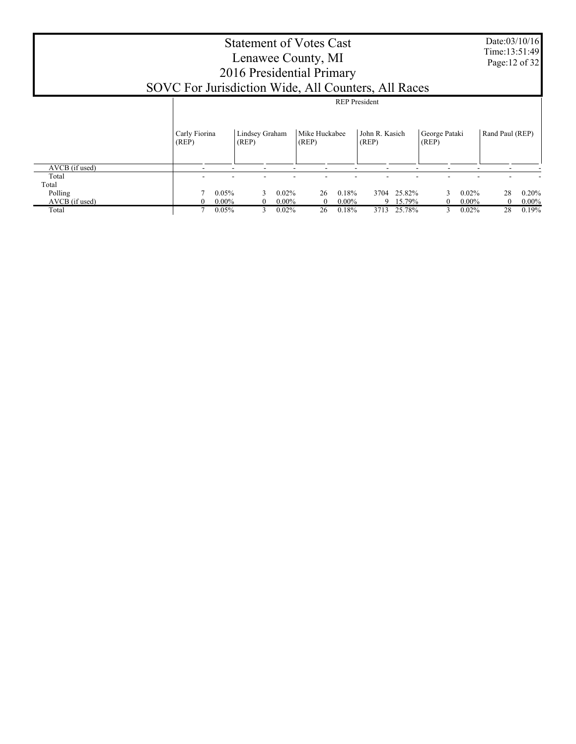|                           | SOVC For Jurisdiction Wide, All Counters, All Races | <b>Statement of Votes Cast</b><br>Lenawee County, MI<br>2016 Presidential Primary |                   |                              |                         |                  |                           | Date:03/10/16<br>Time: 13:51:49<br>Page: 12 of 32 |
|---------------------------|-----------------------------------------------------|-----------------------------------------------------------------------------------|-------------------|------------------------------|-------------------------|------------------|---------------------------|---------------------------------------------------|
|                           |                                                     |                                                                                   |                   |                              | <b>REP</b> President    |                  |                           |                                                   |
|                           | Carly Fiorina<br>(REP)                              | Lindsey Graham<br>(REP)                                                           | (REP)             | Mike Huckabee                | John R. Kasich<br>(REP) | (REP)            | George Pataki             | Rand Paul (REP)                                   |
| AVCB (if used)            |                                                     |                                                                                   |                   |                              |                         |                  |                           |                                                   |
| Total<br>Total            |                                                     |                                                                                   |                   |                              |                         |                  |                           |                                                   |
| Polling<br>AVCB (if used) |                                                     | 0.05%<br>$0.00\%$                                                                 | 0.02%<br>$0.00\%$ | 0.18%<br>26<br>$0.00\%$<br>0 | 3704                    | 25.82%<br>15.79% | $0.02\%$<br>$0.00\%$<br>0 | $0.20\%$<br>28<br>$0.00\%$<br>$\theta$            |
| Total                     |                                                     | 0.05%                                                                             | 0.02%             | 26<br>0.18%                  | 3713                    | 25.78%           | 0.02%<br>3                | 28<br>0.19%                                       |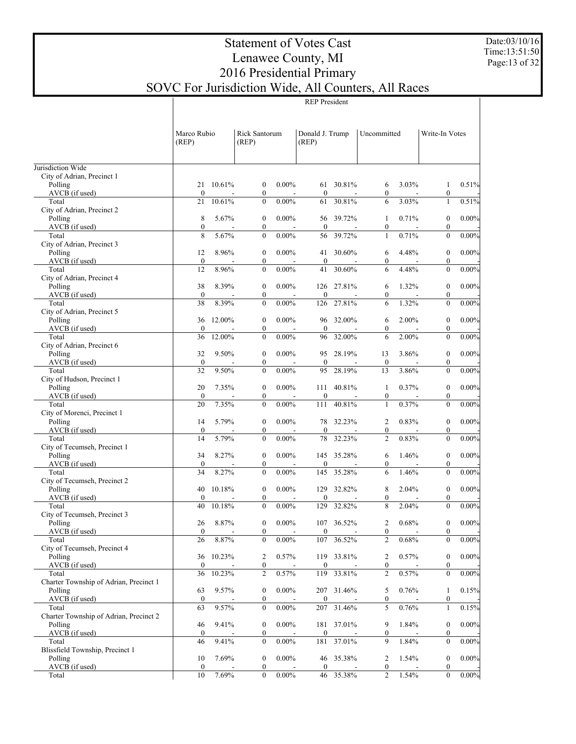#### Date:03/10/16 Time:13:51:50 Page:13 of 32

# Statement of Votes Cast Lenawee County, MI 2016 Presidential Primary SOVC For Jurisdiction Wide, All Counters, All Races

|  | $\cdots$             |  |
|--|----------------------|--|
|  | <b>REP</b> President |  |
|  |                      |  |

|                                                   |                        |        |                                      |          | <b>REP</b> President     |            |                                    |          |                                      |          |
|---------------------------------------------------|------------------------|--------|--------------------------------------|----------|--------------------------|------------|------------------------------------|----------|--------------------------------------|----------|
|                                                   | Marco Rubio<br>(REP)   |        | <b>Rick Santorum</b><br>(REP)        |          | Donald J. Trump<br>(REP) |            | Uncommitted                        |          | Write-In Votes                       |          |
| Jurisdiction Wide                                 |                        |        |                                      |          |                          |            |                                    |          |                                      |          |
| City of Adrian, Precinct 1<br>Polling             | 21<br>$\mathbf{0}$     | 10.61% | $\boldsymbol{0}$                     | $0.00\%$ | 61                       | 30.81%     | 6                                  | 3.03%    | $\mathbf{1}$                         | 0.51%    |
| AVCB (if used)<br>Total                           | 21                     | 10.61% | $\boldsymbol{0}$<br>$\mathbf{0}$     | $0.00\%$ | $\mathbf{0}$<br>61       | 30.81%     | $\boldsymbol{0}$<br>6              | 3.03%    | $\boldsymbol{0}$<br>$\mathbf{1}$     | 0.51%    |
| City of Adrian, Precinct 2<br>Polling             | 8                      | 5.67%  | $\boldsymbol{0}$                     | $0.00\%$ | 56                       | 39.72%     | 1                                  | 0.71%    | $\boldsymbol{0}$                     | 0.00%    |
| AVCB (if used)                                    | $\boldsymbol{0}$       |        | $\boldsymbol{0}$                     |          | $\mathbf{0}$             |            | $\boldsymbol{0}$                   |          | $\overline{0}$                       |          |
| Total<br>City of Adrian, Precinct 3               | 8                      | 5.67%  | $\mathbf{0}$                         | $0.00\%$ | 56                       | 39.72%     | $\mathbf{1}$                       | 0.71%    | $\overline{0}$                       | $0.00\%$ |
| Polling<br>AVCB (if used)                         | 12<br>$\boldsymbol{0}$ | 8.96%  | $\boldsymbol{0}$<br>$\boldsymbol{0}$ | $0.00\%$ | 41<br>$\mathbf{0}$       | 30.60%     | 6<br>$\boldsymbol{0}$              | 4.48%    | $\boldsymbol{0}$<br>$\overline{0}$   | 0.00%    |
| Total                                             | 12                     | 8.96%  | $\mathbf{0}$                         | $0.00\%$ | 41                       | 30.60%     | 6                                  | 4.48%    | $\overline{0}$                       | $0.00\%$ |
| City of Adrian, Precinct 4<br>Polling             | 38                     | 8.39%  | $\boldsymbol{0}$                     | $0.00\%$ |                          | 126 27.81% | 6                                  | 1.32%    | $\boldsymbol{0}$                     | 0.00%    |
| AVCB (if used)                                    | $\boldsymbol{0}$       |        | $\boldsymbol{0}$                     |          | $\overline{0}$           |            | $\mathbf{0}$                       |          | $\overline{0}$                       |          |
| Total<br>City of Adrian, Precinct 5               | 38                     | 8.39%  | $\mathbf{0}$                         | $0.00\%$ | 126                      | 27.81%     | 6                                  | 1.32%    | $\overline{0}$                       | 0.00%    |
| Polling<br>AVCB (if used)                         | 36<br>$\mathbf{0}$     | 12.00% | $\boldsymbol{0}$<br>$\boldsymbol{0}$ | $0.00\%$ | 96<br>$\mathbf{0}$       | 32.00%     | 6<br>$\mathbf{0}$                  | 2.00%    | $\boldsymbol{0}$<br>$\overline{0}$   | 0.00%    |
| Total                                             | 36                     | 12.00% | $\mathbf{0}$                         | $0.00\%$ | 96                       | 32.00%     | 6                                  | 2.00%    | $\overline{0}$                       | 0.00%    |
| City of Adrian, Precinct 6<br>Polling             | 32                     | 9.50%  | $\boldsymbol{0}$                     | $0.00\%$ |                          | 95 28.19%  | 13                                 | 3.86%    | $\boldsymbol{0}$                     | 0.00%    |
| AVCB (if used)                                    | $\boldsymbol{0}$       |        | $\boldsymbol{0}$                     |          | $\boldsymbol{0}$         |            | $\boldsymbol{0}$                   |          | $\overline{0}$                       |          |
| Total<br>City of Hudson, Precinct 1               | 32                     | 9.50%  | $\mathbf{0}$                         | $0.00\%$ | 95                       | 28.19%     | 13                                 | 3.86%    | $\overline{0}$                       | 0.00%    |
| Polling<br>AVCB (if used)                         | 20<br>$\mathbf{0}$     | 7.35%  | $\boldsymbol{0}$<br>$\boldsymbol{0}$ | $0.00\%$ | 111<br>$\overline{0}$    | 40.81%     | 1<br>$\boldsymbol{0}$              | 0.37%    | $\boldsymbol{0}$<br>$\boldsymbol{0}$ | 0.00%    |
| Total                                             | 20                     | 7.35%  | $\mathbf{0}$                         | $0.00\%$ | 111                      | 40.81%     | $\mathbf{1}$                       | 0.37%    | $\overline{0}$                       | 0.00%    |
| City of Morenci, Precinct 1<br>Polling            | 14                     | 5.79%  | $\boldsymbol{0}$                     | $0.00\%$ | 78                       | 32.23%     | $\overline{2}$                     | 0.83%    | $\boldsymbol{0}$                     | 0.00%    |
| AVCB (if used)<br>Total                           | $\boldsymbol{0}$<br>14 | 5.79%  | $\boldsymbol{0}$<br>$\mathbf{0}$     | $0.00\%$ | $\mathbf{0}$<br>78       | 32.23%     | $\boldsymbol{0}$<br>$\overline{2}$ | 0.83%    | $\overline{0}$<br>$\overline{0}$     |          |
| City of Tecumseh, Precinct 1                      |                        |        |                                      |          |                          |            |                                    |          |                                      | 0.00%    |
| Polling<br>AVCB (if used)                         | 34<br>$\boldsymbol{0}$ | 8.27%  | $\boldsymbol{0}$<br>$\boldsymbol{0}$ | $0.00\%$ | $\overline{0}$           | 145 35.28% | 6<br>$\mathbf{0}$                  | 1.46%    | $\boldsymbol{0}$<br>$\overline{0}$   | 0.00%    |
| Total                                             | 34                     | 8.27%  | $\mathbf{0}$                         | $0.00\%$ | 145                      | 35.28%     | 6                                  | 1.46%    | $\overline{0}$                       | 0.00%    |
| City of Tecumseh, Precinct 2<br>Polling           | 40                     | 10.18% | $\boldsymbol{0}$                     | $0.00\%$ | 129                      | 32.82%     | 8                                  | 2.04%    | $\boldsymbol{0}$                     | 0.00%    |
| AVCB (if used)                                    | $\mathbf{0}$           |        | $\mathbf{0}$                         |          | $\theta$                 |            | $\mathbf{0}$                       |          | $\overline{0}$                       |          |
| Total<br>City of Tecumseh, Precinct 3             | 40                     | 10.18% | $\theta$                             | $0.00\%$ | 129                      | 32.82%     | 8                                  | 2.04%    | $\overline{0}$                       | 0.00%    |
| Polling                                           | 26                     | 8.87%  | $\boldsymbol{0}$                     | $0.00\%$ |                          | 107 36.52% | $\sqrt{2}$                         | $0.68\%$ | $\boldsymbol{0}$                     | 0.00%    |
| AVCB (if used)<br>Total                           | $\boldsymbol{0}$<br>26 | 8.87%  | $\boldsymbol{0}$<br>$\mathbf{0}$     | $0.00\%$ | $\mathbf{0}$<br>107      | 36.52%     | $\boldsymbol{0}$<br>$\overline{2}$ | $0.68\%$ | $\boldsymbol{0}$<br>$\overline{0}$   | 0.00%    |
| City of Tecumseh, Precinct 4<br>Polling           | 36                     | 10.23% | 2                                    | 0.57%    |                          | 119 33.81% | $\overline{c}$                     | 0.57%    | $\boldsymbol{0}$                     | 0.00%    |
| AVCB (if used)                                    | $\boldsymbol{0}$       |        | $\boldsymbol{0}$                     |          | $\boldsymbol{0}$         |            | $\bf{0}$                           |          | 0                                    |          |
| Total<br>Charter Township of Adrian, Precinct 1   | 36                     | 10.23% | $\overline{\mathbf{c}}$              | 0.57%    | 119                      | 33.81%     | $\overline{c}$                     | 0.57%    | $\boldsymbol{0}$                     | 0.00%    |
| Polling                                           | 63                     | 9.57%  | $\boldsymbol{0}$                     | $0.00\%$ |                          | 207 31.46% | 5                                  | 0.76%    | 1                                    | 0.15%    |
| AVCB (if used)<br>Total                           | $\boldsymbol{0}$<br>63 | 9.57%  | $\boldsymbol{0}$<br>$\boldsymbol{0}$ | $0.00\%$ | $\boldsymbol{0}$<br>207  | 31.46%     | $\boldsymbol{0}$<br>5              | 0.76%    | 0<br>$\mathbf{1}$                    | 0.15%    |
| Charter Township of Adrian, Precinct 2<br>Polling | 46                     | 9.41%  | $\boldsymbol{0}$                     | $0.00\%$ |                          | 181 37.01% | 9                                  | 1.84%    | $\boldsymbol{0}$                     | 0.00%    |
| AVCB (if used)                                    | $\boldsymbol{0}$       |        | $\boldsymbol{0}$                     |          | $\boldsymbol{0}$         |            | $\bf{0}$                           |          | 0                                    |          |
| Total<br>Blissfield Township, Precinct 1          | 46                     | 9.41%  | $\boldsymbol{0}$                     | $0.00\%$ | 181                      | 37.01%     | 9                                  | 1.84%    | $\boldsymbol{0}$                     | 0.00%    |
| Polling                                           | 10                     | 7.69%  | $\boldsymbol{0}$                     | $0.00\%$ |                          | 46 35.38%  | $\overline{c}$                     | 1.54%    | $\boldsymbol{0}$                     | 0.00%    |
| AVCB (if used)<br>Total                           | $\boldsymbol{0}$<br>10 | 7.69%  | $\boldsymbol{0}$<br>$\boldsymbol{0}$ | $0.00\%$ | $\mathbf{0}$<br>46       | 35.38%     | $\boldsymbol{0}$<br>$\overline{2}$ | 1.54%    | $\boldsymbol{0}$<br>$\overline{0}$   | 0.00%    |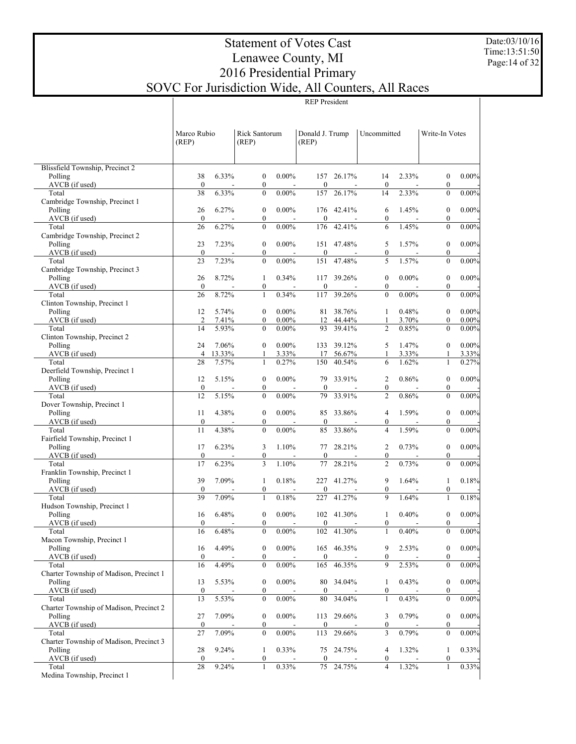#### Date:03/10/16 Time:13:51:50 Page:14 of 32

# Statement of Votes Cast Lenawee County, MI 2016 Presidential Primary SOVC For Jurisdiction Wide, All Counters, All Races

REP President

|                                                    | Marco Rubio<br>(REP)   |        | Rick Santorum<br>(REP)               |           | Donald J. Trump<br>(REP) |            | Uncommitted                    |          | Write-In Votes                       |                     |
|----------------------------------------------------|------------------------|--------|--------------------------------------|-----------|--------------------------|------------|--------------------------------|----------|--------------------------------------|---------------------|
| Blissfield Township, Precinct 2                    |                        |        |                                      |           |                          |            |                                |          |                                      |                     |
| Polling                                            | 38                     | 6.33%  | $\boldsymbol{0}$                     | $0.00\%$  |                          | 157 26.17% | 14                             | 2.33%    | $\boldsymbol{0}$                     | 0.00%               |
| $AVCB$ (if used)                                   | $\boldsymbol{0}$       |        | $\boldsymbol{0}$                     |           | $\boldsymbol{0}$         |            | $\boldsymbol{0}$               |          | $\boldsymbol{0}$                     |                     |
| Total                                              | 38                     | 6.33%  | $\mathbf{0}$                         | $0.00\%$  | 157                      | 26.17%     | 14                             | 2.33%    | $\mathbf{0}$                         | 0.00%               |
| Cambridge Township, Precinct 1<br>Polling          | 26                     | 6.27%  | $\boldsymbol{0}$                     | $0.00\%$  |                          | 176 42.41% | 6                              | 1.45%    | $\boldsymbol{0}$                     | 0.00%               |
| $AVCB$ (if used)                                   | $\mathbf{0}$           |        | $\boldsymbol{0}$                     |           | $\boldsymbol{0}$         |            | $\mathbf{0}$                   |          | $\boldsymbol{0}$                     |                     |
| Total                                              | 26                     | 6.27%  | $\mathbf{0}$                         | $0.00\%$  | 176                      | 42.41%     | 6                              | 1.45%    | $\mathbf{0}$                         | 0.00%               |
| Cambridge Township, Precinct 2                     |                        |        |                                      |           |                          |            |                                |          |                                      |                     |
| Polling<br>$AVCB$ (if used)                        | 23<br>$\mathbf{0}$     | 7.23%  | $\boldsymbol{0}$<br>$\boldsymbol{0}$ | $0.00\%$  | $\boldsymbol{0}$         | 151 47.48% | 5<br>$\boldsymbol{0}$          | 1.57%    | $\boldsymbol{0}$<br>$\boldsymbol{0}$ | 0.00%               |
| Total                                              | 23                     | 7.23%  | $\theta$                             | $0.00\%$  | 151                      | 47.48%     | 5                              | 1.57%    | $\mathbf{0}$                         | 0.00%               |
| Cambridge Township, Precinct 3                     |                        |        |                                      |           |                          |            |                                |          |                                      |                     |
| Polling                                            | 26                     | 8.72%  | 1                                    | 0.34%     |                          | 117 39.26% | $\mathbf{0}$                   | $0.00\%$ | $\boldsymbol{0}$                     | 0.00%               |
| $AVCB$ (if used)<br>Total                          | $\mathbf{0}$<br>26     | 8.72%  | $\boldsymbol{0}$<br>$\mathbf{1}$     | 0.34%     | $\boldsymbol{0}$<br>117  | 39.26%     | $\mathbf{0}$<br>$\theta$       | $0.00\%$ | $\boldsymbol{0}$<br>$\mathbf{0}$     | 0.00%               |
| Clinton Township, Precinct 1                       |                        |        |                                      |           |                          |            |                                |          |                                      |                     |
| Polling                                            | 12                     | 5.74%  | $\boldsymbol{0}$                     | $0.00\%$  | 81                       | 38.76%     | 1                              | 0.48%    | $\boldsymbol{0}$                     | 0.00%               |
| AVCB (if used)                                     | $\overline{2}$         | 7.41%  | $\boldsymbol{0}$                     | $0.00\%$  | 12                       | 44.44%     | 1                              | 3.70%    | $\mathbf{0}$                         | $0.00\%$            |
| Total                                              | 14                     | 5.93%  | $\theta$                             | $0.00\%$  |                          | 93 39.41%  | $\overline{c}$                 | 0.85%    | $\theta$                             | 0.00%               |
| Clinton Township, Precinct 2<br>Polling            | 24                     | 7.06%  | $\boldsymbol{0}$                     | $0.00\%$  | 133                      | 39.12%     | 5                              | 1.47%    | $\boldsymbol{0}$                     | 0.00%               |
| AVCB (if used)                                     | $\overline{4}$         | 13.33% | $\mathbf{1}$                         | 3.33%     | 17                       | 56.67%     | 1                              | 3.33%    | 1                                    | 3.33%               |
| Total                                              | 28                     | 7.57%  | $\mathbf{1}$                         | 0.27%     | 150                      | 40.54%     | 6                              | 1.62%    | $\mathbf{1}$                         | 0.27%               |
| Deerfield Township, Precinct 1                     |                        |        |                                      |           |                          |            |                                |          |                                      |                     |
| Polling                                            | 12<br>$\mathbf{0}$     | 5.15%  | $\boldsymbol{0}$                     | $0.00\%$  |                          | 79 33.91%  | $\overline{2}$                 | 0.86%    | $\boldsymbol{0}$                     | 0.00%               |
| AVCB (if used)<br>Total                            | 12                     | 5.15%  | $\boldsymbol{0}$<br>$\theta$         | $0.00\%$  | $\boldsymbol{0}$<br>79   | 33.91%     | $\mathbf{0}$<br>$\overline{2}$ | 0.86%    | $\mathbf{0}$<br>$\mathbf{0}$         | $0.00\%$            |
| Dover Township, Precinct 1                         |                        |        |                                      |           |                          |            |                                |          |                                      |                     |
| Polling                                            | 11                     | 4.38%  | $\boldsymbol{0}$                     | $0.00\%$  |                          | 85 33.86%  | $\overline{4}$                 | 1.59%    | $\boldsymbol{0}$                     | 0.00%               |
| $AVCB$ (if used)                                   | $\boldsymbol{0}$       |        | $\boldsymbol{0}$                     |           | $\boldsymbol{0}$         |            | $\mathbf{0}$                   |          | $\boldsymbol{0}$                     |                     |
| Total<br>Fairfield Township, Precinct 1            | 11                     | 4.38%  | $\theta$                             | $0.00\%$  | 85                       | 33.86%     | $\overline{4}$                 | 1.59%    | $\mathbf{0}$                         | 0.00%               |
| Polling                                            | 17                     | 6.23%  | 3                                    | 1.10%     | 77                       | 28.21%     | $\overline{2}$                 | 0.73%    | $\boldsymbol{0}$                     | 0.00%               |
| $AVCB$ (if used)                                   | $\boldsymbol{0}$       |        | $\boldsymbol{0}$                     |           | $\boldsymbol{0}$         |            | $\mathbf{0}$                   |          | $\mathbf{0}$                         |                     |
| Total                                              | 17                     | 6.23%  | 3                                    | 1.10%     | 77                       | 28.21%     | $\overline{2}$                 | 0.73%    | $\theta$                             | 0.00%               |
| Franklin Township, Precinct 1                      | 39                     |        |                                      | 0.18%     |                          |            |                                |          |                                      |                     |
| Polling<br>$AVCB$ (if used)                        | $\boldsymbol{0}$       | 7.09%  | $\mathbf{1}$<br>$\boldsymbol{0}$     |           | $\boldsymbol{0}$         | 227 41.27% | 9<br>$\boldsymbol{0}$          | 1.64%    | 1<br>$\boldsymbol{0}$                | 0.18%               |
| Total                                              | 39                     | 7.09%  | $\mathbf{1}$                         | 0.18%     |                          | 227 41.27% | 9                              | 1.64%    | $\mathbf{1}$                         | 0.18%               |
| Hudson Township, Precinct 1                        |                        |        |                                      |           |                          |            |                                |          |                                      |                     |
| Polling                                            | 16                     | 6.48%  | $\boldsymbol{0}$                     | $0.00\%$  |                          | 102 41.30% | $\mathbf{1}$                   | 0.40%    | $\mathbf{0}$                         | 0.00%               |
| AVCB (if used)<br>Total                            | $\mathbf{0}$<br>16     | 6.48%  | $\boldsymbol{0}$                     | $0$ 0.00% | $\boldsymbol{0}$         | 102 41.30% | $\mathbf{0}$<br>$1 \t 0.40\%$  |          | $\mathbf{0}$                         | $\frac{1}{0}$ 0.00% |
| Macon Township, Precinct 1                         |                        |        |                                      |           |                          |            |                                |          |                                      |                     |
| Polling                                            | 16                     | 4.49%  | $\boldsymbol{0}$                     | $0.00\%$  |                          | 165 46.35% | 9                              | 2.53%    | $\boldsymbol{0}$                     | 0.00%               |
| AVCB (if used)                                     | $\boldsymbol{0}$       |        | $\boldsymbol{0}$                     |           | 0                        |            | $\bf{0}$                       |          | 0                                    |                     |
| Total                                              | 16                     | 4.49%  | $\boldsymbol{0}$                     | $0.00\%$  | 165                      | 46.35%     | 9                              | 2.53%    | $\boldsymbol{0}$                     | 0.00%               |
| Charter Township of Madison, Precinct 1<br>Polling | 13                     | 5.53%  | $\boldsymbol{0}$                     | $0.00\%$  | 80                       | 34.04%     | 1                              | 0.43%    | $\boldsymbol{0}$                     | 0.00%               |
| AVCB (if used)                                     | $\boldsymbol{0}$       |        | $\boldsymbol{0}$                     |           | $\boldsymbol{0}$         |            | $\boldsymbol{0}$               |          | $\boldsymbol{0}$                     |                     |
| Total                                              | 13                     | 5.53%  | $\boldsymbol{0}$                     | $0.00\%$  | 80                       | 34.04%     | 1                              | 0.43%    | $\boldsymbol{0}$                     | 0.00%               |
| Charter Township of Madison, Precinct 2            |                        |        |                                      |           |                          |            |                                |          |                                      |                     |
| Polling<br>AVCB (if used)                          | 27                     | 7.09%  | $\boldsymbol{0}$                     | $0.00\%$  | 113                      | 29.66%     | 3                              | 0.79%    | $\boldsymbol{0}$                     | 0.00%               |
| Total                                              | $\boldsymbol{0}$<br>27 | 7.09%  | $\boldsymbol{0}$<br>$\boldsymbol{0}$ | $0.00\%$  | $\boldsymbol{0}$<br>113  | 29.66%     | $\boldsymbol{0}$<br>3          | 0.79%    | $\boldsymbol{0}$<br>$\mathbf{0}$     | 0.00%               |
| Charter Township of Madison, Precinct 3            |                        |        |                                      |           |                          |            |                                |          |                                      |                     |
| Polling                                            | 28                     | 9.24%  | $\mathbf{1}$                         | 0.33%     |                          | 75 24.75%  | 4                              | 1.32%    | 1                                    | 0.33%               |
| AVCB (if used)<br>Total                            | $\boldsymbol{0}$       | 9.24%  | $\boldsymbol{0}$                     | 0.33%     | $\boldsymbol{0}$<br>75   | 24.75%     | $\boldsymbol{0}$<br>4          | 1.32%    | $\boldsymbol{0}$                     | 0.33%               |
| Medina Township, Precinct 1                        | 28                     |        | 1                                    |           |                          |            |                                |          | 1                                    |                     |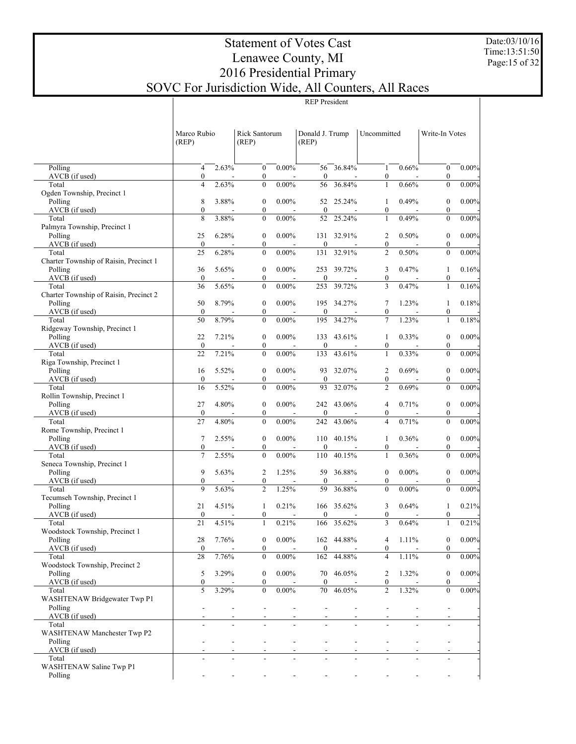#### Date:03/10/16 Time:13:51:50 Page:15 of 32

# Statement of Votes Cast Lenawee County, MI 2016 Presidential Primary SOVC For Jurisdiction Wide, All Counters, All Races

|                                                 | Marco Rubio<br>(REP)               |       | Rick Santorum<br>(REP)           |                 | Donald J. Trump<br>(REP) |            | Uncommitted                        |                  | Write-In Votes                   |          |
|-------------------------------------------------|------------------------------------|-------|----------------------------------|-----------------|--------------------------|------------|------------------------------------|------------------|----------------------------------|----------|
| Polling                                         | $\overline{4}$                     | 2.63% | $\mathbf{0}$                     | $0.00\%$        |                          | 56 36.84%  | $\mathbf{1}$                       | 0.66%            | $\mathbf{0}$                     | $0.00\%$ |
| AVCB (if used)<br>Total                         | $\boldsymbol{0}$<br>$\overline{4}$ | 2.63% | $\boldsymbol{0}$<br>$\mathbf{0}$ | $0.00\%$        | $\mathbf{0}$<br>56       | 36.84%     | 0<br>$\mathbf{1}$                  | 0.66%            | $\boldsymbol{0}$<br>$\theta$     | 0.00%    |
| Ogden Township, Precinct 1                      |                                    |       |                                  |                 |                          |            |                                    |                  |                                  |          |
| Polling                                         | 8                                  | 3.88% | $\mathbf{0}$                     | $0.00\%$        |                          | 52 25.24%  | $\mathbf{1}$                       | 0.49%            | $\boldsymbol{0}$                 | $0.00\%$ |
| AVCB (if used)                                  | $\boldsymbol{0}$                   |       | $\boldsymbol{0}$                 |                 | $\mathbf{0}$             |            | 0                                  |                  | $\boldsymbol{0}$                 |          |
| Total                                           | 8                                  | 3.88% | $\mathbf{0}$                     | $0.00\%$        | 52                       | 25.24%     | $\mathbf{1}$                       | 0.49%            | $\theta$                         | 0.00%    |
| Palmyra Township, Precinct 1<br>Polling         | 25                                 | 6.28% | $\mathbf{0}$                     | $0.00\%$        |                          | 131 32.91% | 2                                  | 0.50%            | $\boldsymbol{0}$                 | $0.00\%$ |
| AVCB (if used)                                  | $\mathbf{0}$                       |       | $\boldsymbol{0}$                 |                 | $\mathbf{0}$             |            | $\boldsymbol{0}$                   |                  | $\boldsymbol{0}$                 |          |
| Total                                           | 25                                 | 6.28% | $\mathbf{0}$                     | $0.00\%$        | 131                      | 32.91%     | $\overline{2}$                     | 0.50%            | $\theta$                         | 0.00%    |
| Charter Township of Raisin, Precinct 1          |                                    |       |                                  |                 |                          |            |                                    |                  |                                  |          |
| Polling                                         | 36                                 | 5.65% | $\boldsymbol{0}$                 | $0.00\%$        |                          | 253 39.72% | 3                                  | 0.47%            | $\mathbf{1}$                     | 0.16%    |
| AVCB (if used)                                  | $\bf{0}$                           |       | $\boldsymbol{0}$                 |                 | $\mathbf{0}$             |            | $\boldsymbol{0}$                   |                  | $\boldsymbol{0}$                 |          |
| Total<br>Charter Township of Raisin, Precinct 2 | 36                                 | 5.65% | $\mathbf{0}$                     | $0.00\%$        | 253                      | 39.72%     | 3                                  | 0.47%            | $\mathbf{1}$                     | 0.16%    |
| Polling                                         | 50                                 | 8.79% | $\boldsymbol{0}$                 | $0.00\%$        |                          | 195 34.27% | 7                                  | 1.23%            | $\mathbf{1}$                     | 0.18%    |
| AVCB (if used)                                  | $\mathbf{0}$                       |       | $\boldsymbol{0}$                 |                 | $\mathbf{0}$             |            | $\mathbf{0}$                       |                  | $\boldsymbol{0}$                 |          |
| Total                                           | 50                                 | 8.79% | $\mathbf{0}$                     | $0.00\%$        | 195                      | 34.27%     | $\overline{7}$                     | 1.23%            | $\mathbf{1}$                     | 0.18%    |
| Ridgeway Township, Precinct 1                   |                                    |       |                                  |                 |                          |            |                                    |                  |                                  |          |
| Polling                                         | 22                                 | 7.21% | $\boldsymbol{0}$                 | $0.00\%$        |                          | 133 43.61% | 1                                  | 0.33%            | $\boldsymbol{0}$                 | $0.00\%$ |
| AVCB (if used)<br>Total                         | $\mathbf{0}$<br>22                 | 7.21% | $\boldsymbol{0}$<br>$\mathbf{0}$ | $0.00\%$        | $\mathbf{0}$<br>133      | 43.61%     | 0<br>$\mathbf{1}$                  | 0.33%            | $\boldsymbol{0}$<br>$\theta$     | 0.00%    |
| Riga Township, Precinct 1                       |                                    |       |                                  |                 |                          |            |                                    |                  |                                  |          |
| Polling                                         | 16                                 | 5.52% | $\boldsymbol{0}$                 | $0.00\%$        |                          | 93 32.07%  | $\overline{c}$                     | 0.69%            | $\boldsymbol{0}$                 | $0.00\%$ |
| AVCB (if used)                                  | $\boldsymbol{0}$                   |       | $\boldsymbol{0}$                 |                 | $\mathbf{0}$             |            | $\boldsymbol{0}$                   |                  | $\boldsymbol{0}$                 |          |
| Total                                           | 16                                 | 5.52% | $\mathbf{0}$                     | $0.00\%$        | 93                       | 32.07%     | $\overline{c}$                     | 0.69%            | $\theta$                         | 0.00%    |
| Rollin Township, Precinct 1<br>Polling          | 27                                 | 4.80% | $\boldsymbol{0}$                 | $0.00\%$        |                          | 242 43.06% | 4                                  | 0.71%            | $\boldsymbol{0}$                 | $0.00\%$ |
| AVCB (if used)                                  | $\boldsymbol{0}$                   |       | $\boldsymbol{0}$                 |                 | $\mathbf{0}$             |            | 0                                  |                  | $\boldsymbol{0}$                 |          |
| Total                                           | 27                                 | 4.80% | $\mathbf{0}$                     | $0.00\%$        | 242                      | 43.06%     | $\overline{\mathbf{4}}$            | 0.71%            | $\theta$                         | 0.00%    |
| Rome Township, Precinct 1                       |                                    |       |                                  |                 |                          |            |                                    |                  |                                  |          |
| Polling                                         | $\tau$                             | 2.55% | $\boldsymbol{0}$                 | $0.00\%$        |                          | 110 40.15% | 1                                  | 0.36%            | $\boldsymbol{0}$                 | $0.00\%$ |
| AVCB (if used)                                  | $\boldsymbol{0}$                   |       | $\boldsymbol{0}$                 |                 | $\mathbf{0}$             |            | 0                                  |                  | $\boldsymbol{0}$                 |          |
| Total<br>Seneca Township, Precinct 1            | 7                                  | 2.55% | $\mathbf{0}$                     | $0.00\%$        | 110                      | 40.15%     | $\mathbf{1}$                       | 0.36%            | $\theta$                         | 0.00%    |
| Polling                                         | 9                                  | 5.63% | $\overline{c}$                   | 1.25%           |                          | 59 36.88%  | $\mathbf{0}$                       | $0.00\%$         | $\boldsymbol{0}$                 | $0.00\%$ |
| AVCB (if used)                                  | $\boldsymbol{0}$                   |       | $\boldsymbol{0}$                 |                 | $\mathbf{0}$             |            | 0                                  |                  | $\boldsymbol{0}$                 |          |
| Total                                           | 9                                  | 5.63% | $\overline{2}$                   | 1.25%           | 59                       | 36.88%     | $\overline{0}$                     | $0.00\%$         | $\theta$                         | 0.00%    |
| Tecumseh Township, Precinct 1                   |                                    |       |                                  |                 |                          |            |                                    |                  |                                  |          |
| Polling                                         | 21                                 | 4.51% | 1                                | 0.21%           |                          | 166 35.62% | 3                                  | 0.64%            | $\mathbf{1}$                     | 0.21%    |
| AVCB (if used)<br>Total                         | $\boldsymbol{0}$<br>21             | 4.51% | $\boldsymbol{0}$<br>$\mathbf{1}$ | 0.21%           | $\mathbf{0}$<br>166      | 35.62%     | $\boldsymbol{0}$<br>$\overline{3}$ | 0.64%            | $\boldsymbol{0}$<br>$\mathbf{1}$ | 0.21%    |
| Woodstock Township, Precinct 1                  |                                    |       |                                  |                 |                          |            |                                    |                  |                                  |          |
| Polling                                         | $28\,$                             | 7.76% |                                  | $0\quad 0.00\%$ |                          | 162 44.88% |                                    | $4 \quad 1.11\%$ | $\overline{0}$                   | $0.00\%$ |
| AVCB (if used)                                  | $\bf{0}$                           |       | $\boldsymbol{0}$                 |                 | $\bf{0}$                 |            | 0                                  |                  | 0                                |          |
| Total                                           | 28                                 | 7.76% | $\theta$                         | $0.00\%$        |                          | 162 44.88% | 4                                  | 1.11%            | 0                                | 0.00%    |
| Woodstock Township, Precinct 2<br>Polling       | 5                                  | 3.29% | $\boldsymbol{0}$                 | $0.00\%$        |                          | 70 46.05%  |                                    | 1.32%            | 0                                | $0.00\%$ |
| AVCB (if used)                                  | $\boldsymbol{0}$                   |       | 0                                |                 | $\bf{0}$                 |            | 2<br>0                             |                  | 0                                |          |
| Total                                           | 5                                  | 3.29% | $\mathbf{0}$                     | $0.00\%$        |                          | 70 46.05%  | $\overline{c}$                     | 1.32%            | $\Omega$                         | 0.00%    |
| WASHTENAW Bridgewater Twp P1                    |                                    |       |                                  |                 |                          |            |                                    |                  |                                  |          |
| Polling                                         |                                    |       |                                  |                 |                          |            |                                    |                  |                                  |          |
| AVCB (if used)                                  |                                    |       |                                  |                 |                          |            |                                    |                  |                                  |          |
| Total<br>WASHTENAW Manchester Twp P2            |                                    |       |                                  |                 |                          |            |                                    |                  |                                  |          |
| Polling                                         |                                    |       |                                  |                 |                          |            |                                    |                  |                                  |          |
| AVCB (if used)                                  |                                    |       |                                  |                 |                          |            |                                    |                  |                                  |          |
| Total                                           |                                    |       |                                  |                 |                          |            |                                    |                  |                                  |          |
| WASHTENAW Saline Twp P1                         |                                    |       |                                  |                 |                          |            |                                    |                  |                                  |          |
| Polling                                         |                                    |       |                                  |                 |                          |            |                                    |                  |                                  |          |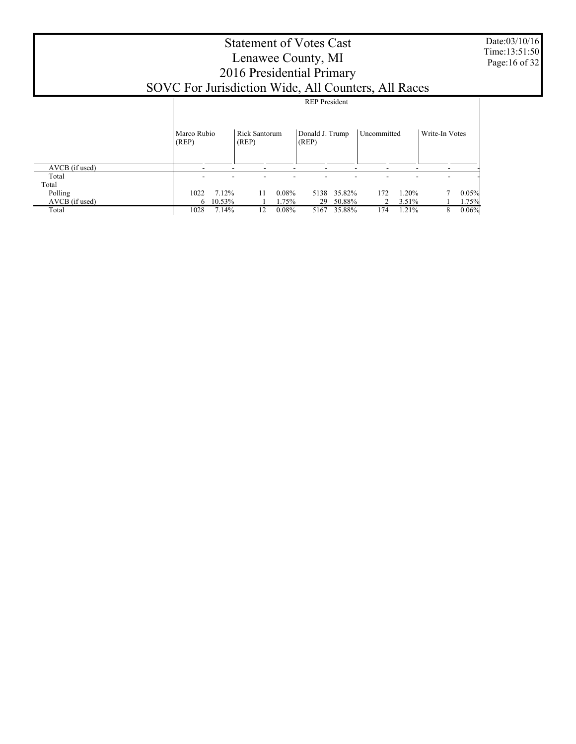## Statement of Votes Cast Lenawee County, MI 2016 Presidential Primary SOVC For Jurisdiction Wide, All Counters, All Races

 AVCB (if used) Total Total Polling AVCB (if used) Total Marco Rubio (REP) Rick Santorum (REP) Donald J. Trump (REP) Uncommitted Write-In Votes REP President - - - - - - - - - - - - - - - - - - - - 1022 7.12% 11 0.08% 5138 35.82% 172 1.20% 7 0.05%  $\frac{6}{1028}$  10.53% 1 1.75% 29 50.88% 2 3.51% 1 1.75% 1028 7.14% 12 0.08% 5167 35.88% 174 1.21% 8 0.06% 5167 35.88%

Date:03/10/16 Time:13:51:50 Page:16 of 32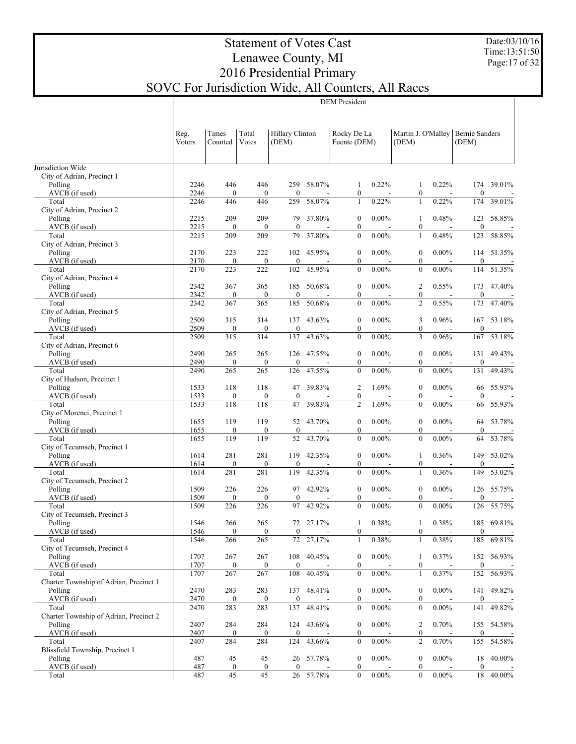Date:03/10/16 Time:13:51:50 Page:17 of 32

# Statement of Votes Cast Lenawee County, MI 2016 Presidential Primary SOVC For Jurisdiction Wide, All Counters, All Races

DEM President

|                                        | Reg.<br>Voters | Times<br>Counted        | Total<br>Votes          | Hillary Clinton<br>(DEM) |            | Rocky De La<br>Fuente (DEM) |          | Martin J. O'Malley   Bernie Sanders<br>(DEM) |          | (DEM)            |            |
|----------------------------------------|----------------|-------------------------|-------------------------|--------------------------|------------|-----------------------------|----------|----------------------------------------------|----------|------------------|------------|
| Jurisdiction Wide                      |                |                         |                         |                          |            |                             |          |                                              |          |                  |            |
| City of Adrian, Precinct 1             |                |                         |                         |                          |            |                             |          |                                              |          |                  |            |
| Polling                                | 2246           | 446                     | 446                     | 259                      | 58.07%     | 1                           | 0.22%    | 1                                            | 0.22%    | 174              | 39.01%     |
| AVCB (if used)                         | 2246           | $\boldsymbol{0}$        | $\theta$                | $\mathbf{0}$             |            | $\boldsymbol{0}$            |          | $\boldsymbol{0}$                             |          | $\mathbf{0}$     |            |
| Total                                  | 2246           | 446                     | 446                     | 259                      | 58.07%     | $\mathbf{1}$                | 0.22%    | $\mathbf{1}$                                 | 0.22%    | 174              | 39.01%     |
| City of Adrian, Precinct 2             |                |                         |                         |                          |            |                             |          |                                              |          |                  |            |
| Polling                                | 2215           | 209                     | 209                     | 79                       | 37.80%     | $\boldsymbol{0}$            | $0.00\%$ | 1                                            | 0.48%    | 123              | 58.85%     |
| AVCB (if used)                         | 2215           | $\boldsymbol{0}$        | $\mathbf{0}$            | $\mathbf{0}$             |            | $\boldsymbol{0}$            |          | $\boldsymbol{0}$                             |          | $\mathbf{0}$     |            |
| Total                                  | 2215           | 209                     | 209                     | 79                       | 37.80%     | $\boldsymbol{0}$            | $0.00\%$ | 1                                            | 0.48%    | 123              | 58.85%     |
| City of Adrian, Precinct 3             |                |                         |                         |                          |            |                             |          |                                              |          |                  |            |
| Polling                                | 2170           | 223                     | 222                     |                          | 102 45.95% | $\boldsymbol{0}$            | $0.00\%$ | $\boldsymbol{0}$                             | $0.00\%$ | 114              | 51.35%     |
| AVCB (if used)                         | 2170           | $\boldsymbol{0}$        | $\boldsymbol{0}$        | $\mathbf{0}$             |            | $\boldsymbol{0}$            |          | $\boldsymbol{0}$                             |          | $\mathbf{0}$     |            |
| Total                                  | 2170           | 223                     | 222                     | 102                      | 45.95%     | $\boldsymbol{0}$            | $0.00\%$ | $\boldsymbol{0}$                             | $0.00\%$ | 114              | 51.35%     |
| City of Adrian, Precinct 4             |                |                         |                         |                          |            |                             |          |                                              |          |                  |            |
| Polling                                | 2342           | 367                     | 365                     | 185                      | 50.68%     | $\boldsymbol{0}$            | $0.00\%$ | 2                                            | 0.55%    | 173              | 47.40%     |
| AVCB (if used)                         | 2342           | $\boldsymbol{0}$<br>367 | $\boldsymbol{0}$<br>365 | $\mathbf{0}$<br>185      |            | $\boldsymbol{0}$            | $0.00\%$ | $\boldsymbol{0}$<br>$\overline{c}$           | 0.55%    | $\mathbf{0}$     | 47.40%     |
| Total<br>City of Adrian, Precinct 5    | 2342           |                         |                         |                          | 50.68%     | $\boldsymbol{0}$            |          |                                              |          | 173              |            |
|                                        | 2509           | 315                     | 314                     | 137                      | 43.63%     | $\boldsymbol{0}$            | $0.00\%$ | 3                                            | 0.96%    |                  | 167 53.18% |
| Polling<br>AVCB (if used)              | 2509           | $\boldsymbol{0}$        | $\boldsymbol{0}$        | $\mathbf{0}$             |            | $\boldsymbol{0}$            |          | $\boldsymbol{0}$                             |          | $\mathbf{0}$     |            |
| Total                                  | 2509           | 315                     | 314                     | 137                      | 43.63%     | $\boldsymbol{0}$            | $0.00\%$ | 3                                            | 0.96%    | 167              | 53.18%     |
| City of Adrian, Precinct 6             |                |                         |                         |                          |            |                             |          |                                              |          |                  |            |
| Polling                                | 2490           | 265                     | 265                     | 126                      | 47.55%     | $\boldsymbol{0}$            | $0.00\%$ | $\boldsymbol{0}$                             | $0.00\%$ |                  | 131 49.43% |
| AVCB (if used)                         | 2490           | $\boldsymbol{0}$        | $\boldsymbol{0}$        | $\mathbf{0}$             |            | $\boldsymbol{0}$            |          | $\boldsymbol{0}$                             |          | $\mathbf{0}$     |            |
| Total                                  | 2490           | 265                     | 265                     | 126                      | 47.55%     | $\boldsymbol{0}$            | $0.00\%$ | $\overline{0}$                               | $0.00\%$ | 131              | 49.43%     |
| City of Hudson, Precinct 1             |                |                         |                         |                          |            |                             |          |                                              |          |                  |            |
| Polling                                | 1533           | 118                     | 118                     | 47                       | 39.83%     | $\overline{c}$              | 1.69%    | $\boldsymbol{0}$                             | $0.00\%$ |                  | 66 55.93%  |
| AVCB (if used)                         | 1533           | $\boldsymbol{0}$        | $\boldsymbol{0}$        | $\mathbf{0}$             |            | $\boldsymbol{0}$            |          | $\boldsymbol{0}$                             |          | $\mathbf{0}$     |            |
| Total                                  | 1533           | 118                     | 118                     | 47                       | 39.83%     | $\overline{2}$              | 1.69%    | $\mathbf{0}$                                 | $0.00\%$ | 66               | 55.93%     |
| City of Morenci, Precinct 1            |                |                         |                         |                          |            |                             |          |                                              |          |                  |            |
| Polling                                | 1655           | 119                     | 119                     | 52                       | 43.70%     | $\boldsymbol{0}$            | $0.00\%$ | $\boldsymbol{0}$                             | $0.00\%$ | 64               | 53.78%     |
| AVCB (if used)                         | 1655           | $\boldsymbol{0}$        | $\boldsymbol{0}$        | $\mathbf{0}$             |            | $\boldsymbol{0}$            |          | $\boldsymbol{0}$                             |          | $\mathbf{0}$     |            |
| Total                                  | 1655           | 119                     | 119                     | 52                       | 43.70%     | $\boldsymbol{0}$            | $0.00\%$ | $\mathbf{0}$                                 | $0.00\%$ | 64               | 53.78%     |
| City of Tecumseh, Precinct 1           |                |                         |                         |                          |            |                             |          |                                              |          |                  |            |
| Polling                                | 1614           | 281                     | 281                     | 119                      | 42.35%     | $\boldsymbol{0}$            | $0.00\%$ | 1                                            | 0.36%    | 149              | 53.02%     |
| AVCB (if used)                         | 1614           | $\boldsymbol{0}$        | $\boldsymbol{0}$        | $\mathbf{0}$             |            | $\boldsymbol{0}$            |          | $\boldsymbol{0}$                             |          | $\mathbf{0}$     |            |
| Total                                  | 1614           | 281                     | 281                     | 119                      | 42.35%     | $\boldsymbol{0}$            | $0.00\%$ | $\mathbf{1}$                                 | 0.36%    | 149              | 53.02%     |
| City of Tecumseh, Precinct 2           |                |                         |                         |                          |            |                             |          |                                              |          |                  |            |
| Polling                                | 1509           | 226                     | 226                     | 97                       | 42.92%     | $\boldsymbol{0}$            | $0.00\%$ | $\boldsymbol{0}$                             | $0.00\%$ |                  | 126 55.75% |
| AVCB (if used)                         | 1509           | $\boldsymbol{0}$        | $\boldsymbol{0}$        | $\mathbf{0}$             |            | $\boldsymbol{0}$            |          | $\boldsymbol{0}$                             |          | $\mathbf{0}$     |            |
| Total                                  | 1509           | 226                     | 226                     | 97                       | 42.92%     | $\mathbf{0}$                | $0.00\%$ | $\overline{0}$                               | $0.00\%$ | 126              | 55.75%     |
| City of Tecumseh, Precinct 3           |                |                         |                         |                          |            |                             |          |                                              |          |                  |            |
| Polling                                | 1546           | 266                     | 265                     |                          | 72 27.17%  | 1                           | 0.38%    | 1                                            | 0.38%    |                  | 185 69.81% |
| AVCB (if used)                         | <u>1546</u>    | $\mathbf{0}$            | $\theta$                | $\theta$                 |            | $\overline{0}$              |          | $\overline{0}$                               |          | $\overline{0}$   |            |
| Total                                  | 1546           | 266                     | 265                     |                          | 72 27.17%  | 1                           | $0.38\%$ | 1                                            | 0.38%    |                  | 185 69.81% |
| City of Tecumseh, Precinct 4           |                |                         |                         |                          |            |                             |          |                                              |          |                  |            |
| Polling                                | 1707           | 267                     | 267                     | 108                      | 40.45%     | $\boldsymbol{0}$            | $0.00\%$ | 1                                            | 0.37%    |                  | 152 56.93% |
| AVCB (if used)                         | 1707           | $\boldsymbol{0}$        | $\boldsymbol{0}$        | $\boldsymbol{0}$         |            | $\boldsymbol{0}$            |          | $\boldsymbol{0}$                             |          | $\boldsymbol{0}$ |            |
| Total                                  | 1707           | 267                     | 267                     | 108                      | 40.45%     | $\boldsymbol{0}$            | $0.00\%$ | 1                                            | 0.37%    | 152              | 56.93%     |
| Charter Township of Adrian, Precinct 1 |                |                         |                         |                          |            |                             |          |                                              |          |                  |            |
| Polling                                | 2470           | 283                     | 283                     |                          | 137 48.41% | $\boldsymbol{0}$            | $0.00\%$ | $\boldsymbol{0}$                             | $0.00\%$ |                  | 141 49.82% |
| AVCB (if used)                         | 2470           | $\boldsymbol{0}$        | $\boldsymbol{0}$        | $\boldsymbol{0}$         |            | $\boldsymbol{0}$            |          | $\boldsymbol{0}$                             |          | $\boldsymbol{0}$ |            |
| Total                                  | 2470           | 283                     | 283                     | 137                      | 48.41%     | $\boldsymbol{0}$            | $0.00\%$ | $\boldsymbol{0}$                             | $0.00\%$ | 141              | 49.82%     |
| Charter Township of Adrian, Precinct 2 |                |                         |                         |                          |            |                             |          |                                              |          |                  |            |
| Polling                                | 2407           | 284                     | 284                     |                          | 124 43.66% | $\boldsymbol{0}$            | $0.00\%$ | 2                                            | 0.70%    |                  | 155 54.58% |
| AVCB (if used)                         | 2407           | $\boldsymbol{0}$        | $\mathbf{0}$            | $\boldsymbol{0}$         |            | $\boldsymbol{0}$            |          | $\boldsymbol{0}$                             |          | $\boldsymbol{0}$ |            |
| Total                                  | 2407           | 284                     | 284                     | 124                      | 43.66%     | $\boldsymbol{0}$            | $0.00\%$ | $\overline{c}$                               | 0.70%    | 155              | 54.58%     |
| Blissfield Township, Precinct 1        |                |                         |                         |                          |            |                             |          |                                              |          |                  |            |
| Polling                                | 487            | 45                      | 45                      | 26                       | 57.78%     | $\boldsymbol{0}$            | $0.00\%$ | $\boldsymbol{0}$                             | $0.00\%$ | 18               | 40.00%     |
| AVCB (if used)                         | 487            | $\boldsymbol{0}$        | $\boldsymbol{0}$        | $\boldsymbol{0}$         |            | $\boldsymbol{0}$            |          | $\boldsymbol{0}$                             |          | $\boldsymbol{0}$ |            |
| Total                                  | 487            | 45                      | 45                      |                          | 26 57.78%  | $\boldsymbol{0}$            | $0.00\%$ | $\boldsymbol{0}$                             | $0.00\%$ | 18               | 40.00%     |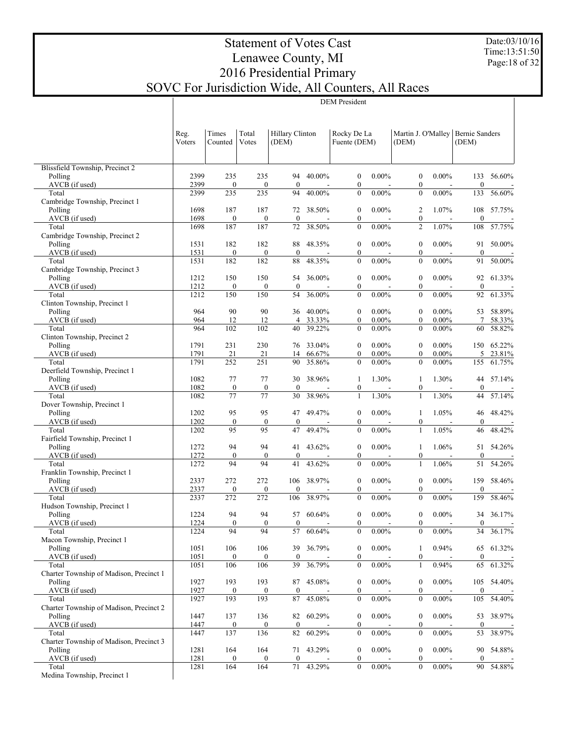Date:03/10/16 Time:13:51:50 Page:18 of 32

# Statement of Votes Cast Lenawee County, MI 2016 Presidential Primary SOVC For Jurisdiction Wide, All Counters, All Races

DEM President

|                                                  | Reg.<br>Voters | Times<br>Counted        | Total<br>Votes          | Hillary Clinton<br>(DEM) |                                    | Rocky De La<br>Fuente (DEM)          |                            | Martin J. O'Malley   Bernie Sanders<br>(DEM) |                                      | (DEM)                   |                          |
|--------------------------------------------------|----------------|-------------------------|-------------------------|--------------------------|------------------------------------|--------------------------------------|----------------------------|----------------------------------------------|--------------------------------------|-------------------------|--------------------------|
| Blissfield Township, Precinct 2                  |                |                         |                         |                          |                                    |                                      |                            |                                              |                                      |                         |                          |
| Polling<br>AVCB (if used)                        | 2399<br>2399   | 235<br>$\boldsymbol{0}$ | 235<br>$\boldsymbol{0}$ | 94<br>$\mathbf{0}$       | 40.00%<br>$\overline{\phantom{a}}$ | $\boldsymbol{0}$<br>$\boldsymbol{0}$ | $0.00\%$                   | $\mathbf{0}$<br>$\boldsymbol{0}$             | $0.00\%$<br>$\overline{\phantom{a}}$ | 133<br>$\boldsymbol{0}$ | 56.60%                   |
| Total                                            | 2399           | 235                     | 235                     | 94                       | 40.00%                             | $\boldsymbol{0}$                     | $0.00\%$                   | $\boldsymbol{0}$                             | $0.00\%$                             | 133                     | 56.60%                   |
| Cambridge Township, Precinct 1                   |                |                         |                         |                          |                                    |                                      |                            |                                              |                                      |                         |                          |
| Polling                                          | 1698           | 187                     | 187                     |                          | 72 38.50%                          | $\boldsymbol{0}$                     | $0.00\%$                   | 2                                            | 1.07%                                | 108                     | 57.75%                   |
| AVCB (if used)<br>Total                          | 1698<br>1698   | $\boldsymbol{0}$<br>187 | $\boldsymbol{0}$<br>187 | $\mathbf{0}$<br>72       | $\overline{\phantom{a}}$<br>38.50% | $\boldsymbol{0}$<br>$\boldsymbol{0}$ | $\overline{a}$<br>$0.00\%$ | $\boldsymbol{0}$<br>$\overline{\mathbf{c}}$  | $\overline{\phantom{a}}$<br>1.07%    | $\boldsymbol{0}$<br>108 | 57.75%                   |
| Cambridge Township, Precinct 2                   |                |                         |                         |                          |                                    |                                      |                            |                                              |                                      |                         |                          |
| Polling                                          | 1531           | 182                     | 182                     | 88                       | 48.35%                             | $\boldsymbol{0}$                     | $0.00\%$                   | $\boldsymbol{0}$                             | $0.00\%$                             | 91                      | 50.00%                   |
| AVCB (if used)                                   | 1531           | $\boldsymbol{0}$        | $\boldsymbol{0}$        | $\mathbf{0}$             | $\overline{\phantom{a}}$           | $\boldsymbol{0}$                     | $\overline{a}$             | $\boldsymbol{0}$                             | $\overline{\phantom{a}}$             | $\boldsymbol{0}$        |                          |
| Total                                            | 1531           | 182                     | 182                     | 88                       | 48.35%                             | $\boldsymbol{0}$                     | $0.00\%$                   | $\boldsymbol{0}$                             | $0.00\%$                             | 91                      | 50.00%                   |
| Cambridge Township, Precinct 3<br>Polling        | 1212           | 150                     | 150                     | 54                       | 36.00%                             | $\boldsymbol{0}$                     | $0.00\%$                   | $\boldsymbol{0}$                             | $0.00\%$                             | 92                      | 61.33%                   |
| AVCB (if used)                                   | 1212           | $\boldsymbol{0}$        | $\mathbf{0}$            | $\mathbf{0}$             | $\overline{\phantom{a}}$           | $\boldsymbol{0}$                     | $\overline{a}$             | $\boldsymbol{0}$                             | $\overline{\phantom{a}}$             | $\boldsymbol{0}$        |                          |
| Total                                            | 1212           | 150                     | 150                     | 54                       | 36.00%                             | $\boldsymbol{0}$                     | $0.00\%$                   | $\boldsymbol{0}$                             | $0.00\%$                             | 92                      | $61.33\%$                |
| Clinton Township, Precinct 1                     |                |                         |                         |                          |                                    |                                      |                            |                                              |                                      |                         |                          |
| Polling                                          | 964            | 90                      | 90                      | 36                       | 40.00%                             | $\boldsymbol{0}$                     | $0.00\%$                   | $\boldsymbol{0}$                             | $0.00\%$                             | 53                      | 58.89%                   |
| AVCB (if used)<br>Total                          | 964<br>964     | 12<br>102               | 12<br>102               | $\overline{4}$<br>40     | 33.33%<br>39.22%                   | $\mathbf{0}$<br>$\boldsymbol{0}$     | $0.00\%$<br>$0.00\%$       | $\boldsymbol{0}$<br>$\boldsymbol{0}$         | $0.00\%$<br>$0.00\%$                 | 7<br>60                 | 58.33%<br>58.82%         |
| Clinton Township, Precinct 2                     |                |                         |                         |                          |                                    |                                      |                            |                                              |                                      |                         |                          |
| Polling                                          | 1791           | 231                     | 230                     | 76                       | 33.04%                             | $\boldsymbol{0}$                     | $0.00\%$                   | $\boldsymbol{0}$                             | $0.00\%$                             | 150                     | 65.22%                   |
| AVCB (if used)                                   | 1791           | 21                      | 21                      | 14                       | 66.67%                             | $\mathbf{0}$                         | $0.00\%$                   | $\boldsymbol{0}$                             | $0.00\%$                             | 5                       | 23.81%                   |
| Total                                            | 1791           | 252                     | 251                     | 90                       | 35.86%                             | $\boldsymbol{0}$                     | $0.00\%$                   | $\boldsymbol{0}$                             | $0.00\%$                             | 155                     | 61.75%                   |
| Deerfield Township, Precinct 1                   |                |                         |                         |                          | 38.96%                             |                                      |                            |                                              |                                      |                         | 57.14%                   |
| Polling<br>AVCB (if used)                        | 1082<br>1082   | 77<br>$\boldsymbol{0}$  | 77<br>$\boldsymbol{0}$  | 30<br>$\mathbf{0}$       | $\overline{\phantom{a}}$           | 1<br>$\boldsymbol{0}$                | 1.30%<br>$\overline{a}$    | 1<br>$\boldsymbol{0}$                        | 1.30%<br>$\overline{\phantom{a}}$    | 44<br>$\boldsymbol{0}$  |                          |
| Total                                            | 1082           | 77                      | 77                      | 30                       | 38.96%                             | $\mathbf{1}$                         | 1.30%                      | $\mathbf{1}$                                 | 1.30%                                | 44                      | 57.14%                   |
| Dover Township, Precinct 1                       |                |                         |                         |                          |                                    |                                      |                            |                                              |                                      |                         |                          |
| Polling                                          | 1202           | 95                      | 95                      | 47                       | 49.47%                             | $\boldsymbol{0}$                     | $0.00\%$                   | 1                                            | 1.05%                                | 46                      | 48.42%                   |
| AVCB (if used)                                   | 1202           | $\boldsymbol{0}$        | $\boldsymbol{0}$        | $\mathbf{0}$             | $\overline{\phantom{a}}$           | $\boldsymbol{0}$                     | $\overline{a}$             | $\boldsymbol{0}$                             | $\overline{\phantom{a}}$             | $\boldsymbol{0}$        |                          |
| Total<br>Fairfield Township, Precinct 1          | 1202           | 95                      | 95                      | 47                       | 49.47%                             | $\boldsymbol{0}$                     | $0.00\%$                   | $\mathbf{1}$                                 | 1.05%                                | 46                      | 48.42%                   |
| Polling                                          | 1272           | 94                      | 94                      | 41                       | 43.62%                             | $\boldsymbol{0}$                     | $0.00\%$                   | 1                                            | 1.06%                                | 51                      | 54.26%                   |
| AVCB (if used)                                   | 1272           | $\boldsymbol{0}$        | $\mathbf{0}$            | $\mathbf{0}$             | $\overline{\phantom{a}}$           | $\boldsymbol{0}$                     | $\overline{a}$             | $\boldsymbol{0}$                             | $\overline{\phantom{a}}$             | $\boldsymbol{0}$        | $\overline{\phantom{a}}$ |
| Total                                            | 1272           | 94                      | 94                      | 41                       | 43.62%                             | $\boldsymbol{0}$                     | $0.00\%$                   | $\mathbf{1}$                                 | 1.06%                                | 51                      | 54.26%                   |
| Franklin Township, Precinct 1                    |                |                         |                         |                          |                                    |                                      |                            |                                              |                                      |                         | 58.46%                   |
| Polling<br>AVCB (if used)                        | 2337<br>2337   | 272<br>$\boldsymbol{0}$ | 272<br>$\boldsymbol{0}$ | 106<br>$\mathbf{0}$      | 38.97%<br>$\overline{\phantom{a}}$ | $\boldsymbol{0}$<br>$\boldsymbol{0}$ | $0.00\%$<br>$\overline{a}$ | $\boldsymbol{0}$<br>$\boldsymbol{0}$         | $0.00\%$<br>$\overline{\phantom{a}}$ | 159<br>$\boldsymbol{0}$ |                          |
| Total                                            | 2337           | 272                     | 272                     | 106                      | 38.97%                             | $\boldsymbol{0}$                     | $0.00\%$                   | $\boldsymbol{0}$                             | $0.00\%$                             | 159                     | 58.46%                   |
| Hudson Township, Precinct 1                      |                |                         |                         |                          |                                    |                                      |                            |                                              |                                      |                         |                          |
| Polling                                          | 1224           | 94                      | 94                      | 57                       | 60.64%                             | $\boldsymbol{0}$                     | $0.00\%$                   | $\boldsymbol{0}$                             | $0.00\%$                             | 34                      | 36.17%                   |
| AVCB (if used)                                   | 1224<br>1224   | $\mathbf{0}$<br>94      | $\mathbf{0}$<br>94      | $\boldsymbol{0}$<br>57   | $\overline{\phantom{a}}$<br>60.64% | $\boldsymbol{0}$<br>$\boldsymbol{0}$ | $\overline{a}$<br>$0.00\%$ | $\boldsymbol{0}$<br>$\boldsymbol{0}$         | $0.00\%$                             | $\boldsymbol{0}$        | 34 36.17%                |
| Total<br>Macon Township, Precinct 1              |                |                         |                         |                          |                                    |                                      |                            |                                              |                                      |                         |                          |
| Polling                                          | 1051           | 106                     | 106                     | 39                       | 36.79%                             | $\boldsymbol{0}$                     | $0.00\%$                   | 1                                            | 0.94%                                | 65                      | 61.32%                   |
| AVCB (if used)                                   | 1051           | $\boldsymbol{0}$        | $\boldsymbol{0}$        | $\boldsymbol{0}$         |                                    | $\boldsymbol{0}$                     |                            | $\boldsymbol{0}$                             |                                      | $\boldsymbol{0}$        |                          |
| Total                                            | 1051           | 106                     | 106                     | 39                       | 36.79%                             | $\bf{0}$                             | $0.00\%$                   | 1                                            | 0.94%                                | 65                      | 61.32%                   |
| Charter Township of Madison, Precinct 1          |                |                         |                         |                          |                                    |                                      |                            |                                              |                                      |                         |                          |
| Polling<br>AVCB (if used)                        | 1927<br>1927   | 193<br>$\boldsymbol{0}$ | 193<br>$\boldsymbol{0}$ | 87<br>$\boldsymbol{0}$   | 45.08%                             | $\boldsymbol{0}$<br>$\boldsymbol{0}$ | $0.00\%$                   | $\boldsymbol{0}$<br>$\boldsymbol{0}$         | $0.00\%$                             | $\boldsymbol{0}$        | 105 54.40%               |
| Total                                            | 1927           | 193                     | 193                     | 87                       | 45.08%                             | $\boldsymbol{0}$                     | $0.00\%$                   | $\boldsymbol{0}$                             | $0.00\%$                             | 105                     | 54.40%                   |
| Charter Township of Madison, Precinct 2          |                |                         |                         |                          |                                    |                                      |                            |                                              |                                      |                         |                          |
| Polling                                          | 1447           | 137                     | 136                     | 82                       | 60.29%                             | $\boldsymbol{0}$                     | $0.00\%$                   | $\boldsymbol{0}$                             | $0.00\%$                             | 53                      | 38.97%                   |
| AVCB (if used)                                   | 1447           | $\boldsymbol{0}$        | $\boldsymbol{0}$        | $\boldsymbol{0}$         |                                    | $\boldsymbol{0}$                     |                            | $\boldsymbol{0}$                             |                                      | $\boldsymbol{0}$        |                          |
| Total<br>Charter Township of Madison, Precinct 3 | 1447           | 137                     | 136                     | 82                       | 60.29%                             | $\boldsymbol{0}$                     | $0.00\%$                   | $\boldsymbol{0}$                             | $0.00\%$                             | 53                      | 38.97%                   |
| Polling                                          | 1281           | 164                     | 164                     | 71                       | 43.29%                             | $\boldsymbol{0}$                     | $0.00\%$                   | $\boldsymbol{0}$                             | $0.00\%$                             | 90                      | 54.88%                   |
| AVCB (if used)                                   | 1281           | $\boldsymbol{0}$        | $\bf{0}$                | $\boldsymbol{0}$         |                                    | $\boldsymbol{0}$                     |                            | $\boldsymbol{0}$                             |                                      | $\boldsymbol{0}$        |                          |
| Total                                            | 1281           | 164                     | 164                     | 71                       | 43.29%                             | $\boldsymbol{0}$                     | $0.00\%$                   | $\boldsymbol{0}$                             | $0.00\%$                             | 90                      | 54.88%                   |
| Medina Township, Precinct 1                      |                |                         |                         |                          |                                    |                                      |                            |                                              |                                      |                         |                          |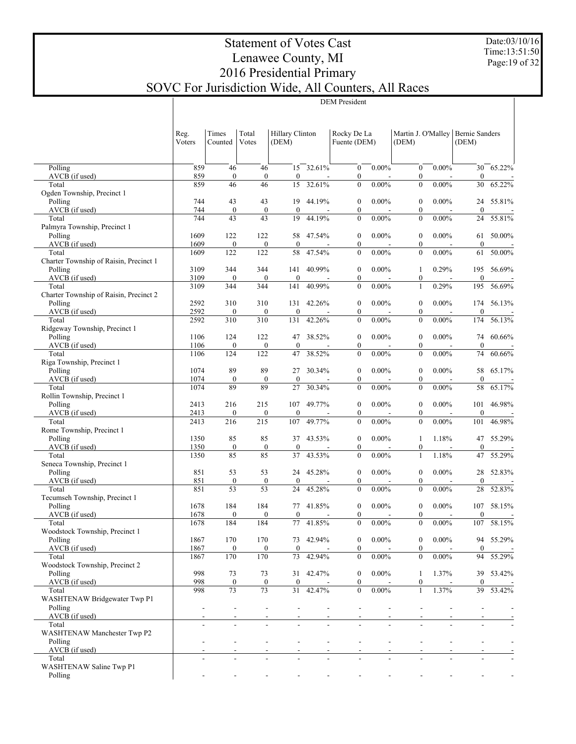Date:03/10/16 Time:13:51:50 Page:19 of 32

# Statement of Votes Cast Lenawee County, MI 2016 Presidential Primary SOVC For Jurisdiction Wide, All Counters, All Races

DEM President

|                                           | Reg.<br>Voters | Times<br>Counted        | Total<br>Votes          | Hillary Clinton<br>(DEM) |           | Rocky De La<br>Fuente (DEM)          |                | Martin J. O'Malley<br>(DEM)          |          | <b>Bernie Sanders</b><br>(DEM) |                          |
|-------------------------------------------|----------------|-------------------------|-------------------------|--------------------------|-----------|--------------------------------------|----------------|--------------------------------------|----------|--------------------------------|--------------------------|
| Polling                                   | 859            | 46                      | 46                      | 15                       | 32.61%    | $\boldsymbol{0}$                     | $0.00\%$       | $\mathbf{0}$                         | $0.00\%$ | 30                             | 65.22%                   |
| AVCB (if used)                            | 859            | $\boldsymbol{0}$        | $\boldsymbol{0}$        | $\boldsymbol{0}$         |           | $\boldsymbol{0}$                     |                | $\boldsymbol{0}$                     |          | $\boldsymbol{0}$               |                          |
| Total                                     | 859            | 46                      | 46                      | 15                       | 32.61%    | $\boldsymbol{0}$                     | $0.00\%$       | $\boldsymbol{0}$                     | $0.00\%$ | 30                             | 65.22%                   |
| Ogden Township, Precinct 1<br>Polling     | 744            | 43                      | 43                      | 19                       | 44.19%    | $\boldsymbol{0}$                     | $0.00\%$       | $\boldsymbol{0}$                     | $0.00\%$ | 24                             | 55.81%                   |
| AVCB (if used)                            | 744            | $\boldsymbol{0}$        | $\boldsymbol{0}$        | $\boldsymbol{0}$         |           | $\boldsymbol{0}$                     |                | $\boldsymbol{0}$                     |          | $\boldsymbol{0}$               |                          |
| Total                                     | 744            | 43                      | 43                      | 19                       | 44.19%    | $\mathbf{0}$                         | $0.00\%$       | $\boldsymbol{0}$                     | $0.00\%$ | 24                             | 55.81%                   |
| Palmyra Township, Precinct 1              |                |                         |                         |                          |           |                                      |                |                                      |          |                                |                          |
| Polling<br>AVCB (if used)                 | 1609<br>1609   | 122<br>$\boldsymbol{0}$ | 122<br>$\boldsymbol{0}$ | 58<br>$\boldsymbol{0}$   | 47.54%    | $\boldsymbol{0}$<br>$\boldsymbol{0}$ | $0.00\%$       | $\boldsymbol{0}$<br>$\boldsymbol{0}$ | $0.00\%$ | 61<br>$\boldsymbol{0}$         | 50.00%                   |
| Total                                     | 1609           | 122                     | 122                     | 58                       | 47.54%    | $\boldsymbol{0}$                     | $0.00\%$       | $\boldsymbol{0}$                     | $0.00\%$ | 61                             | 50.00%                   |
| Charter Township of Raisin, Precinct 1    |                |                         |                         |                          |           |                                      |                |                                      |          |                                |                          |
| Polling                                   | 3109           | 344                     | 344                     | 141                      | 40.99%    | $\boldsymbol{0}$                     | $0.00\%$       | 1                                    | 0.29%    | 195                            | 56.69%                   |
| AVCB (if used)<br>Total                   | 3109<br>3109   | $\boldsymbol{0}$<br>344 | $\boldsymbol{0}$<br>344 | $\boldsymbol{0}$<br>141  | 40.99%    | $\boldsymbol{0}$<br>$\boldsymbol{0}$ | $0.00\%$       | $\boldsymbol{0}$<br>$\mathbf{1}$     | 0.29%    | $\boldsymbol{0}$<br>195        | 56.69%                   |
| Charter Township of Raisin, Precinct 2    |                |                         |                         |                          |           |                                      |                |                                      |          |                                |                          |
| Polling                                   | 2592           | 310                     | 310                     | 131                      | 42.26%    | $\boldsymbol{0}$                     | $0.00\%$       | $\boldsymbol{0}$                     | $0.00\%$ | 174                            | 56.13%                   |
| AVCB (if used)                            | 2592           | $\boldsymbol{0}$        | $\boldsymbol{0}$        | $\boldsymbol{0}$         |           | $\boldsymbol{0}$                     |                | $\boldsymbol{0}$                     |          | $\mathbf{0}$                   |                          |
| Total                                     | 2592           | 310                     | 310                     | 131                      | 42.26%    | $\boldsymbol{0}$                     | $0.00\%$       | $\boldsymbol{0}$                     | $0.00\%$ | 174                            | 56.13%                   |
| Ridgeway Township, Precinct 1<br>Polling  | 1106           | 124                     | 122                     | 47                       | 38.52%    | $\boldsymbol{0}$                     | $0.00\%$       | $\boldsymbol{0}$                     | $0.00\%$ | 74                             | 60.66%                   |
| AVCB (if used)                            | 1106           | $\boldsymbol{0}$        | $\boldsymbol{0}$        | $\boldsymbol{0}$         |           | $\boldsymbol{0}$                     |                | $\boldsymbol{0}$                     |          | $\boldsymbol{0}$               |                          |
| Total                                     | 1106           | 124                     | 122                     | 47                       | 38.52%    | $\boldsymbol{0}$                     | $0.00\%$       | $\boldsymbol{0}$                     | $0.00\%$ | 74                             | 60.66%                   |
| Riga Township, Precinct 1                 |                |                         |                         |                          |           |                                      |                |                                      |          |                                |                          |
| Polling<br>AVCB (if used)                 | 1074<br>1074   | 89<br>$\boldsymbol{0}$  | 89<br>$\boldsymbol{0}$  | 27<br>$\boldsymbol{0}$   | 30.34%    | $\boldsymbol{0}$<br>$\boldsymbol{0}$ | $0.00\%$       | $\boldsymbol{0}$<br>$\boldsymbol{0}$ | $0.00\%$ | 58<br>$\boldsymbol{0}$         | 65.17%                   |
| Total                                     | 1074           | 89                      | 89                      | 27                       | 30.34%    | $\boldsymbol{0}$                     | $0.00\%$       | $\boldsymbol{0}$                     | $0.00\%$ | 58                             | 65.17%                   |
| Rollin Township, Precinct 1               |                |                         |                         |                          |           |                                      |                |                                      |          |                                |                          |
| Polling                                   | 2413           | 216                     | 215                     | 107                      | 49.77%    | $\boldsymbol{0}$                     | $0.00\%$       | $\boldsymbol{0}$                     | $0.00\%$ | 101                            | 46.98%                   |
| AVCB (if used)                            | 2413           | $\boldsymbol{0}$        | $\boldsymbol{0}$        | $\boldsymbol{0}$         |           | $\boldsymbol{0}$                     |                | $\boldsymbol{0}$                     |          | 0                              |                          |
| Total<br>Rome Township, Precinct 1        | 2413           | 216                     | 215                     | 107                      | 49.77%    | $\mathbf{0}$                         | $0.00\%$       | $\mathbf{0}$                         | $0.00\%$ | 101                            | 46.98%                   |
| Polling                                   | 1350           | 85                      | 85                      | 37                       | 43.53%    | $\boldsymbol{0}$                     | $0.00\%$       | 1                                    | 1.18%    | 47                             | 55.29%                   |
| AVCB (if used)                            | 1350           | $\boldsymbol{0}$        | $\boldsymbol{0}$        | $\boldsymbol{0}$         |           | $\boldsymbol{0}$                     |                | $\boldsymbol{0}$                     |          | $\boldsymbol{0}$               |                          |
| Total                                     | 1350           | 85                      | 85                      | 37                       | 43.53%    | $\mathbf{0}$                         | $0.00\%$       | $\mathbf{1}$                         | 1.18%    | 47                             | 55.29%                   |
| Seneca Township, Precinct 1               |                |                         |                         |                          |           |                                      |                |                                      |          |                                |                          |
| Polling<br>AVCB (if used)                 | 851<br>851     | 53<br>$\boldsymbol{0}$  | 53<br>$\boldsymbol{0}$  | 24<br>$\boldsymbol{0}$   | 45.28%    | $\boldsymbol{0}$<br>$\boldsymbol{0}$ | $0.00\%$       | $\boldsymbol{0}$<br>$\boldsymbol{0}$ | $0.00\%$ | 28<br>$\boldsymbol{0}$         | 52.83%                   |
| Total                                     | 851            | 53                      | 53                      | 24                       | 45.28%    | $\mathbf{0}$                         | $0.00\%$       | $\boldsymbol{0}$                     | $0.00\%$ | 28                             | 52.83%                   |
| Tecumseh Township, Precinct 1             |                |                         |                         |                          |           |                                      |                |                                      |          |                                |                          |
| Polling                                   | 1678           | 184                     | 184                     | 77                       | 41.85%    | $\boldsymbol{0}$                     | $0.00\%$       | $\boldsymbol{0}$                     | $0.00\%$ | 107                            | 58.15%                   |
| AVCB (if used)<br>Total                   | 1678<br>1678   | $\boldsymbol{0}$<br>184 | $\boldsymbol{0}$<br>184 | $\boldsymbol{0}$<br>77   | 41.85%    | $\boldsymbol{0}$<br>$\mathbf{0}$     | $0.00\%$       | $\boldsymbol{0}$<br>$\overline{0}$   | $0.00\%$ | $\boldsymbol{0}$<br>107        | 58.15%                   |
| Woodstock Township, Precinct 1            |                |                         |                         |                          |           |                                      |                |                                      |          |                                |                          |
| Polling                                   | 1867           | 170                     | 170                     |                          | 73 42.94% | $\boldsymbol{0}$                     | $0.00\%$       | $\boldsymbol{0}$                     | $0.00\%$ |                                | 94 55.29%                |
| AVCB (if used)                            | 1867           | $\boldsymbol{0}$        | $\mathbf{0}$            | $\mathbf{0}$             |           | $\bf{0}$                             |                | $\mathbf{0}$                         |          | $\mathbf{0}$                   |                          |
| Total                                     | 1867           | 170                     | 170                     | 73                       | 42.94%    | $\boldsymbol{0}$                     | $0.00\%$       | $\boldsymbol{0}$                     | $0.00\%$ | 94                             | 55.29%                   |
| Woodstock Township, Precinct 2<br>Polling | 998            | 73                      | 73                      | 31                       | 42.47%    | $\boldsymbol{0}$                     | $0.00\%$       | 1                                    | 1.37%    | 39                             | 53.42%                   |
| AVCB (if used)                            | 998            | $\boldsymbol{0}$        | $\boldsymbol{0}$        | $\boldsymbol{0}$         |           | $\bf{0}$                             |                | $\boldsymbol{0}$                     |          | $\mathbf{0}$                   |                          |
| Total                                     | 998            | 73                      | 73                      | 31                       | 42.47%    | $\mathbf{0}$                         | $0.00\%$       | $\mathbf{1}$                         | 1.37%    | 39                             | 53.42%                   |
| WASHTENAW Bridgewater Twp P1              |                |                         |                         |                          |           |                                      |                |                                      |          |                                |                          |
| Polling                                   |                |                         |                         |                          |           |                                      | $\overline{a}$ |                                      |          | $\overline{a}$                 | $\overline{a}$           |
| AVCB (if used)<br>Total                   |                |                         |                         |                          |           |                                      |                |                                      |          |                                |                          |
| <b>WASHTENAW Manchester Twp P2</b>        |                |                         |                         |                          |           |                                      |                |                                      |          |                                |                          |
| Polling                                   |                | ٠                       |                         | $\overline{\phantom{a}}$ |           | $\overline{\phantom{a}}$             | $\overline{a}$ |                                      |          |                                | $\overline{\phantom{a}}$ |
| AVCB (if used)                            |                |                         |                         |                          |           |                                      |                |                                      |          |                                |                          |
| Total<br>WASHTENAW Saline Twp P1          |                |                         |                         |                          |           |                                      |                |                                      |          |                                |                          |
| Polling                                   |                |                         |                         |                          |           |                                      |                |                                      |          |                                |                          |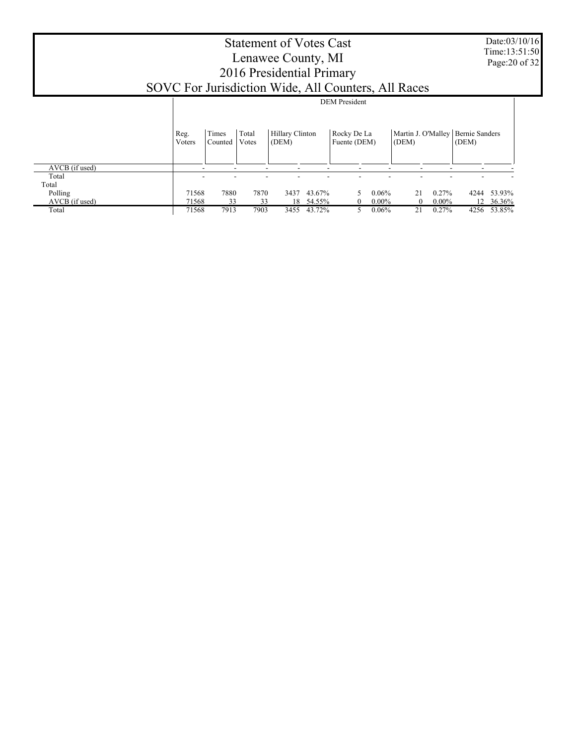# Statement of Votes Cast Lenawee County, MI 2016 Presidential Primary SOVC For Jurisdiction Wide, All Counters, All Races

Date:03/10/16 Time:13:51:50 Page:20 of 32

|                |                |                  |                |                                 |        | <b>DEM</b> President        |                      |                             |          |                                |           |
|----------------|----------------|------------------|----------------|---------------------------------|--------|-----------------------------|----------------------|-----------------------------|----------|--------------------------------|-----------|
|                | Reg.<br>Voters | Times<br>Counted | Total<br>Votes | <b>Hillary Clinton</b><br>(DEM) |        | Rocky De La<br>Fuente (DEM) |                      | Martin J. O'Malley<br>(DEM) |          | <b>Bernie Sanders</b><br>(DEM) |           |
| AVCB (if used) | ۰              |                  | -              |                                 |        |                             | -                    | -                           | -        |                                |           |
| Total          |                |                  |                |                                 |        |                             |                      |                             |          |                                |           |
| Total          |                |                  |                |                                 |        |                             |                      |                             |          |                                |           |
| Polling        | 71568          | 7880             | 7870           | 3437                            | 43.67% |                             | 0.06%<br>5           | 21                          | $0.27\%$ | 4244                           | 53.93%    |
| AVCB (if used) | 71568          | 33               | 33             | 18                              | 54.55% |                             | $0.00\%$<br>0        | $\overline{0}$              | $0.00\%$ |                                | 12 36.36% |
| Total          | 71568          | 7913             | 7903           | 3455                            | 43.72% |                             | 0.06%<br>$5^{\circ}$ | 21                          | 0.27%    | 4256                           | 53.85%    |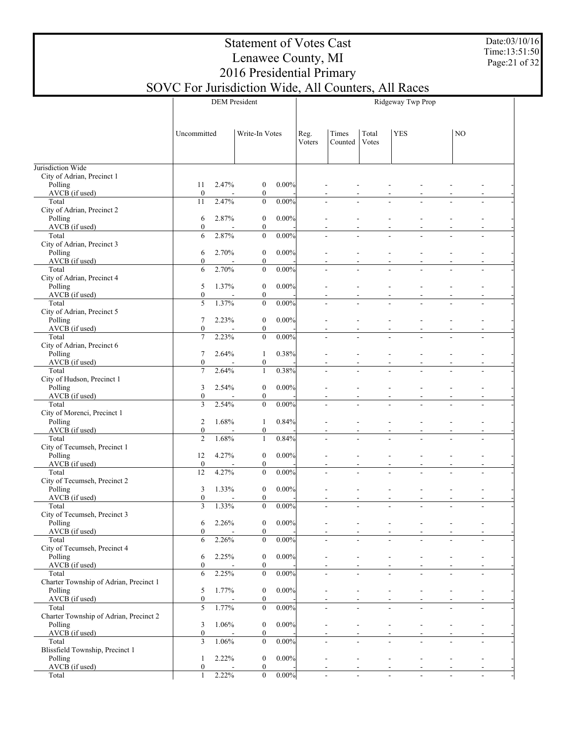Date:03/10/16 Time:13:51:50 Page:21 of 32

# Statement of Votes Cast Lenawee County, MI 2016 Presidential Primary

|             | SOVC For Jurisdiction Wide, All Counters, All Races |                |                  |                |                   |     |
|-------------|-----------------------------------------------------|----------------|------------------|----------------|-------------------|-----|
|             | <b>DEM</b> President                                |                |                  |                | Ridgeway Twp Prop |     |
| Uncommitted | Write-In Votes                                      | Reg.<br>Voters | Times<br>Counted | Total<br>Votes | <b>YES</b>        | NO. |

|                                            | Uncommitted            |       | Write-In Votes                       |          | Reg.<br>Voters | Times<br>Counted                                     | Total<br>Votes | <b>YES</b>               |                          | NO |                |
|--------------------------------------------|------------------------|-------|--------------------------------------|----------|----------------|------------------------------------------------------|----------------|--------------------------|--------------------------|----|----------------|
| Jurisdiction Wide                          |                        |       |                                      |          |                |                                                      |                |                          |                          |    |                |
| City of Adrian, Precinct 1<br>Polling      |                        | 2.47% |                                      |          |                |                                                      |                |                          |                          |    |                |
| AVCB (if used)                             | 11<br>$\boldsymbol{0}$ |       | $\bf{0}$<br>$\boldsymbol{0}$         | 0.00%    |                |                                                      |                |                          |                          |    |                |
| Total                                      | 11                     | 2.47% | $\mathbf{0}$                         | 0.00%    |                |                                                      |                |                          |                          |    |                |
| City of Adrian, Precinct 2                 |                        |       |                                      |          |                |                                                      |                |                          |                          |    |                |
| Polling                                    | 6                      | 2.87% | $\boldsymbol{0}$                     | 0.00%    |                |                                                      |                |                          |                          |    |                |
| AVCB (if used)<br>Total                    | $\boldsymbol{0}$<br>6  | 2.87% | $\boldsymbol{0}$<br>$\mathbf{0}$     | 0.00%    |                |                                                      |                |                          |                          |    |                |
| City of Adrian, Precinct 3                 |                        |       |                                      |          |                |                                                      |                |                          |                          |    |                |
| Polling                                    | 6                      | 2.70% | $\boldsymbol{0}$                     | 0.00%    |                |                                                      |                |                          |                          |    |                |
| AVCB (if used)                             | $\boldsymbol{0}$       |       | $\boldsymbol{0}$                     |          |                |                                                      |                |                          |                          |    |                |
| Total<br>City of Adrian, Precinct 4        | 6                      | 2.70% | $\mathbf{0}$                         | 0.00%    |                |                                                      |                |                          |                          |    |                |
| Polling                                    | 5                      | 1.37% | $\boldsymbol{0}$                     | 0.00%    |                |                                                      |                |                          |                          |    |                |
| AVCB (if used)                             | $\boldsymbol{0}$       |       | $\boldsymbol{0}$                     |          |                |                                                      |                |                          |                          |    |                |
| Total                                      | 5                      | 1.37% | $\mathbf{0}$                         | 0.00%    |                |                                                      |                |                          |                          |    |                |
| City of Adrian, Precinct 5<br>Polling      | 7                      | 2.23% | $\boldsymbol{0}$                     | 0.00%    |                |                                                      |                |                          |                          |    |                |
| AVCB (if used)                             | $\boldsymbol{0}$       |       | $\boldsymbol{0}$                     |          |                |                                                      |                |                          |                          |    |                |
| Total                                      | $\overline{7}$         | 2.23% | $\mathbf{0}$                         | 0.00%    |                |                                                      |                |                          |                          |    |                |
| City of Adrian, Precinct 6                 |                        |       |                                      |          |                |                                                      |                |                          |                          |    |                |
| Polling                                    | 7<br>$\boldsymbol{0}$  | 2.64% | 1                                    | 0.38%    |                |                                                      |                |                          |                          |    |                |
| AVCB (if used)<br>Total                    | $\overline{7}$         | 2.64% | $\boldsymbol{0}$<br>1                | 0.38%    |                |                                                      |                |                          |                          |    |                |
| City of Hudson, Precinct 1                 |                        |       |                                      |          |                |                                                      |                |                          |                          |    |                |
| Polling                                    | 3                      | 2.54% | $\boldsymbol{0}$                     | 0.00%    |                |                                                      |                |                          |                          |    |                |
| AVCB (if used)                             | $\boldsymbol{0}$       |       | $\boldsymbol{0}$                     |          |                |                                                      |                |                          |                          |    |                |
| Total<br>City of Morenci, Precinct 1       | 3                      | 2.54% | $\mathbf{0}$                         | 0.00%    |                |                                                      |                |                          |                          |    |                |
| Polling                                    | $\overline{c}$         | 1.68% | 1                                    | 0.84%    |                |                                                      |                |                          |                          |    |                |
| AVCB (if used)                             | $\boldsymbol{0}$       |       | $\boldsymbol{0}$                     |          |                |                                                      |                |                          |                          |    |                |
| Total                                      | $\overline{c}$         | 1.68% | 1                                    | 0.84%    |                |                                                      |                |                          |                          |    |                |
| City of Tecumseh, Precinct 1               |                        |       |                                      |          |                |                                                      |                |                          |                          |    |                |
| Polling<br>AVCB (if used)                  | 12<br>$\bf{0}$         | 4.27% | $\boldsymbol{0}$<br>$\boldsymbol{0}$ | 0.00%    |                |                                                      |                |                          |                          |    |                |
| Total                                      | 12                     | 4.27% | $\mathbf{0}$                         | 0.00%    |                |                                                      |                |                          |                          |    |                |
| City of Tecumseh, Precinct 2               |                        |       |                                      |          |                |                                                      |                |                          |                          |    |                |
| Polling                                    | 3                      | 1.33% | $\boldsymbol{0}$                     | 0.00%    |                | $\blacksquare$                                       |                |                          |                          |    |                |
| AVCB (if used)                             | $\boldsymbol{0}$<br>3  |       | $\boldsymbol{0}$<br>$\mathbf{0}$     |          |                |                                                      |                | $\overline{a}$           |                          |    |                |
| Total<br>City of Tecumseh, Precinct 3      |                        | 1.33% |                                      | 0.00%    |                |                                                      |                |                          |                          |    |                |
| Polling                                    | 6                      | 2.26% | $\boldsymbol{0}$                     | 0.00%    |                | L,                                                   |                |                          |                          |    |                |
| AVCB (if used)                             | $\mathbf{0}$           |       | $\overline{0}$                       |          |                |                                                      |                |                          |                          |    |                |
| Total                                      | 6                      | 2.26% | $\boldsymbol{0}$                     | $0.00\%$ |                |                                                      |                |                          |                          |    |                |
| City of Tecumseh, Precinct 4<br>Polling    |                        | 2.25% | $\boldsymbol{0}$                     | 0.00%    |                |                                                      |                |                          |                          |    |                |
| AVCB (if used)                             | 6<br>$\boldsymbol{0}$  |       | $\boldsymbol{0}$                     |          |                |                                                      |                |                          |                          |    |                |
| Total                                      | 6                      | 2.25% | $\boldsymbol{0}$                     | 0.00%    |                | $\blacksquare$<br>$\overline{a}$                     |                | $\overline{a}$           |                          |    |                |
| Charter Township of Adrian, Precinct 1     |                        |       |                                      |          |                |                                                      |                |                          |                          |    |                |
| Polling                                    | 5                      | 1.77% | $\boldsymbol{0}$                     | 0.00%    |                | ÷                                                    |                | $\overline{a}$           |                          |    |                |
| AVCB (if used)<br>Total                    | $\boldsymbol{0}$<br>5  | 1.77% | $\boldsymbol{0}$<br>$\boldsymbol{0}$ | 0.00%    |                | $\blacksquare$<br>$\overline{a}$                     |                | $\overline{a}$           |                          |    |                |
| Charter Township of Adrian, Precinct 2     |                        |       |                                      |          |                |                                                      |                |                          |                          |    |                |
| Polling                                    | 3                      | 1.06% | $\boldsymbol{0}$                     | 0.00%    |                | $\blacksquare$<br>÷                                  |                | $\overline{\phantom{a}}$ |                          |    |                |
| AVCB (if used)                             | $\boldsymbol{0}$       |       | $\boldsymbol{0}$                     |          |                |                                                      |                |                          |                          |    |                |
| Total                                      | 3                      | 1.06% | $\boldsymbol{0}$                     | 0.00%    |                | $\blacksquare$<br>$\overline{\phantom{a}}$           |                | $\overline{a}$           |                          |    |                |
| Blissfield Township, Precinct 1<br>Polling | $\mathbf{1}$           | 2.22% | $\boldsymbol{0}$                     | 0.00%    |                | L,<br>$\blacksquare$                                 |                | $\blacksquare$           |                          |    |                |
| AVCB (if used)                             | $\boldsymbol{0}$       |       | $\boldsymbol{0}$                     |          |                |                                                      |                |                          |                          |    |                |
| Total                                      | 1                      | 2.22% | $\boldsymbol{0}$                     | 0.00%    |                | $\overline{\phantom{a}}$<br>$\overline{\phantom{a}}$ |                | $\sim$                   | $\overline{\phantom{a}}$ |    | $\blacksquare$ |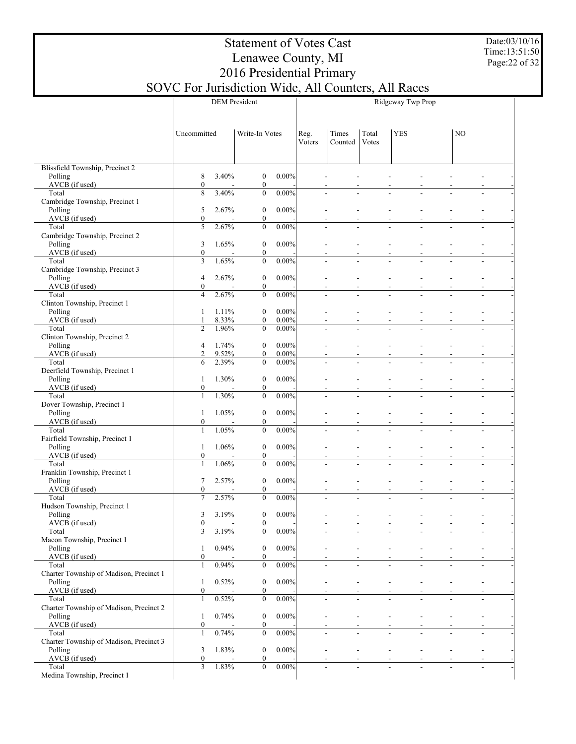Date:03/10/16 Time:13:51:50 Page:22 of 32

|                                                  | <b>DEM</b> President    |       |                  |          |                | Ridgeway Twp Prop |                |            |  |    |  |  |  |
|--------------------------------------------------|-------------------------|-------|------------------|----------|----------------|-------------------|----------------|------------|--|----|--|--|--|
|                                                  |                         |       |                  |          |                |                   |                |            |  |    |  |  |  |
|                                                  | Uncommitted             |       | Write-In Votes   |          | Reg.<br>Voters | Times<br>Counted  | Total<br>Votes | <b>YES</b> |  | NO |  |  |  |
|                                                  |                         |       |                  |          |                |                   |                |            |  |    |  |  |  |
| Blissfield Township, Precinct 2<br>Polling       | 8                       | 3.40% | $\boldsymbol{0}$ | $0.00\%$ |                |                   |                |            |  |    |  |  |  |
| AVCB (if used)                                   | $\boldsymbol{0}$        |       | $\boldsymbol{0}$ |          |                |                   |                |            |  |    |  |  |  |
| Total                                            | 8                       | 3.40% | $\boldsymbol{0}$ | $0.00\%$ |                |                   |                |            |  |    |  |  |  |
| Cambridge Township, Precinct 1<br>Polling        | 5                       | 2.67% | $\boldsymbol{0}$ | $0.00\%$ |                |                   |                |            |  |    |  |  |  |
| AVCB (if used)                                   | $\boldsymbol{0}$        |       | $\boldsymbol{0}$ |          |                |                   |                |            |  |    |  |  |  |
| Total                                            | $\overline{5}$          | 2.67% | $\boldsymbol{0}$ | $0.00\%$ |                |                   |                |            |  |    |  |  |  |
| Cambridge Township, Precinct 2<br>Polling        | 3                       | 1.65% | $\boldsymbol{0}$ | $0.00\%$ |                |                   |                |            |  |    |  |  |  |
| AVCB (if used)                                   | $\boldsymbol{0}$        |       | $\boldsymbol{0}$ |          |                |                   |                |            |  |    |  |  |  |
| Total                                            | $\overline{\mathbf{3}}$ | 1.65% | $\mathbf{0}$     | 0.00%    |                |                   |                |            |  |    |  |  |  |
| Cambridge Township, Precinct 3<br>Polling        | $\overline{4}$          | 2.67% | $\boldsymbol{0}$ | $0.00\%$ |                |                   |                |            |  |    |  |  |  |
| AVCB (if used)                                   | $\boldsymbol{0}$        |       | $\boldsymbol{0}$ |          |                |                   |                |            |  |    |  |  |  |
| Total                                            | $\overline{4}$          | 2.67% | $\mathbf{0}$     | $0.00\%$ |                |                   |                |            |  |    |  |  |  |
| Clinton Township, Precinct 1<br>Polling          | 1                       | 1.11% | $\boldsymbol{0}$ | $0.00\%$ |                |                   |                |            |  |    |  |  |  |
| AVCB (if used)                                   | 1                       | 8.33% | $\boldsymbol{0}$ | 0.00%    |                |                   |                |            |  |    |  |  |  |
| Total                                            | $\overline{c}$          | 1.96% | $\mathbf{0}$     | $0.00\%$ |                |                   |                |            |  |    |  |  |  |
| Clinton Township, Precinct 2<br>Polling          | 4                       | 1.74% | $\boldsymbol{0}$ | $0.00\%$ |                |                   |                |            |  |    |  |  |  |
| AVCB (if used)                                   | $\overline{c}$          | 9.52% | $\boldsymbol{0}$ | $0.00\%$ |                |                   |                |            |  |    |  |  |  |
| Total<br>Deerfield Township, Precinct 1          | 6                       | 2.39% | $\mathbf{0}$     | $0.00\%$ |                |                   |                |            |  |    |  |  |  |
| Polling                                          | $\mathbf{1}$            | 1.30% | $\boldsymbol{0}$ | $0.00\%$ |                |                   |                |            |  |    |  |  |  |
| AVCB (if used)                                   | $\boldsymbol{0}$        |       | $\boldsymbol{0}$ |          |                |                   |                |            |  |    |  |  |  |
| Total<br>Dover Township, Precinct 1              | $\mathbf{1}$            | 1.30% | $\mathbf{0}$     | $0.00\%$ |                |                   |                |            |  |    |  |  |  |
| Polling                                          | $\mathbf{1}$            | 1.05% | $\boldsymbol{0}$ | $0.00\%$ |                |                   |                |            |  |    |  |  |  |
| AVCB (if used)                                   | $\boldsymbol{0}$        |       | $\boldsymbol{0}$ |          |                |                   |                |            |  |    |  |  |  |
| Total<br>Fairfield Township, Precinct 1          | $\mathbf{1}$            | 1.05% | $\mathbf{0}$     | $0.00\%$ |                |                   |                |            |  |    |  |  |  |
| Polling                                          | $\mathbf{1}$            | 1.06% | $\boldsymbol{0}$ | $0.00\%$ |                |                   |                |            |  |    |  |  |  |
| AVCB (if used)                                   | $\boldsymbol{0}$        |       | $\boldsymbol{0}$ |          |                |                   |                |            |  |    |  |  |  |
| Total<br>Franklin Township, Precinct 1           | $\mathbf{1}$            | 1.06% | $\mathbf{0}$     | $0.00\%$ |                |                   |                |            |  |    |  |  |  |
| Polling                                          | 7                       | 2.57% | $\boldsymbol{0}$ | $0.00\%$ |                |                   |                |            |  |    |  |  |  |
| AVCB (if used)                                   | $\boldsymbol{0}$        |       | $\boldsymbol{0}$ |          |                |                   |                |            |  |    |  |  |  |
| Total<br>Hudson Township, Precinct 1             | $\overline{7}$          | 2.57% | $\mathbf{0}$     | $0.00\%$ |                |                   |                |            |  |    |  |  |  |
| Polling                                          | 3                       | 3.19% | $\boldsymbol{0}$ | $0.00\%$ |                |                   |                |            |  |    |  |  |  |
| AVCB (if used)                                   | $\bf{0}$                |       | $\bf{0}$         |          |                |                   |                |            |  |    |  |  |  |
| Total<br>Macon Township, Precinct 1              | 3                       | 3.19% | $\boldsymbol{0}$ | $0.00\%$ |                |                   |                |            |  |    |  |  |  |
| Polling                                          | $\mathbf{1}$            | 0.94% | $\boldsymbol{0}$ | $0.00\%$ |                |                   |                |            |  |    |  |  |  |
| AVCB (if used)                                   | $\boldsymbol{0}$        |       | $\boldsymbol{0}$ |          |                |                   |                |            |  |    |  |  |  |
| Total<br>Charter Township of Madison, Precinct 1 | $\mathbf{1}$            | 0.94% | $\boldsymbol{0}$ | $0.00\%$ |                |                   |                |            |  |    |  |  |  |
| Polling                                          | $\mathbf{1}$            | 0.52% | $\boldsymbol{0}$ | $0.00\%$ |                |                   |                |            |  |    |  |  |  |
| AVCB (if used)                                   | $\boldsymbol{0}$        |       | $\boldsymbol{0}$ |          |                |                   |                |            |  |    |  |  |  |
| Total<br>Charter Township of Madison, Precinct 2 | $\mathbf{1}$            | 0.52% | $\boldsymbol{0}$ | $0.00\%$ |                |                   |                |            |  |    |  |  |  |
| Polling                                          | $\mathbf{1}$            | 0.74% | $\boldsymbol{0}$ | $0.00\%$ |                |                   |                |            |  |    |  |  |  |
| AVCB (if used)                                   | $\boldsymbol{0}$        |       | $\boldsymbol{0}$ |          |                |                   |                |            |  |    |  |  |  |
| Total<br>Charter Township of Madison, Precinct 3 | $\mathbf{1}$            | 0.74% | $\boldsymbol{0}$ | $0.00\%$ |                |                   |                |            |  |    |  |  |  |
| Polling                                          | 3                       | 1.83% | $\boldsymbol{0}$ | $0.00\%$ |                |                   |                |            |  |    |  |  |  |
| AVCB (if used)                                   | $\boldsymbol{0}$        |       | $\boldsymbol{0}$ |          |                |                   |                |            |  |    |  |  |  |
| Total<br>Medina Township, Precinct 1             | 3                       | 1.83% | $\boldsymbol{0}$ | 0.00%    |                |                   |                |            |  |    |  |  |  |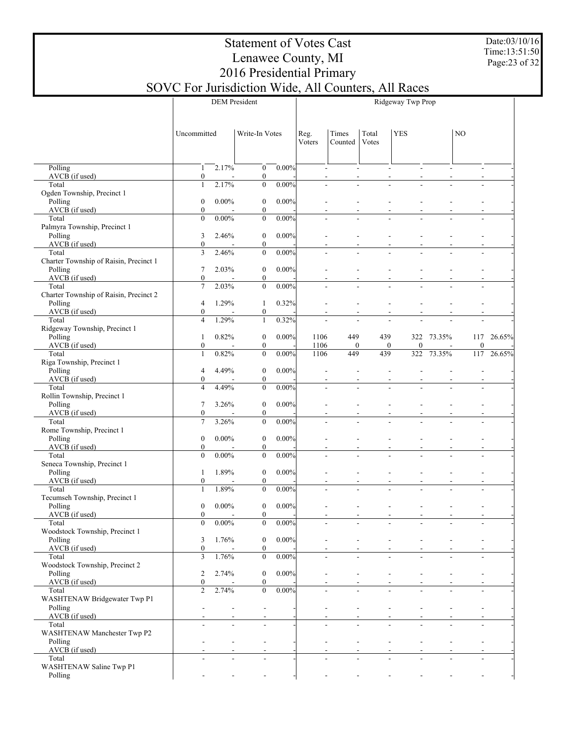Date:03/10/16 Time:13:51:50 Page:23 of 32

|                                                 |                                      |          | <b>DEM</b> President                             | Ridgeway Twp Prop |                  |                  |              |        |                          |        |  |
|-------------------------------------------------|--------------------------------------|----------|--------------------------------------------------|-------------------|------------------|------------------|--------------|--------|--------------------------|--------|--|
|                                                 |                                      |          |                                                  |                   |                  |                  |              |        |                          |        |  |
|                                                 | Uncommitted                          |          | Write-In Votes                                   | Reg.<br>Voters    | Times<br>Counted | Total<br>Votes   | <b>YES</b>   |        | N <sub>O</sub>           |        |  |
|                                                 |                                      |          |                                                  |                   |                  |                  |              |        |                          |        |  |
| Polling<br>AVCB (if used)                       | 1<br>$\boldsymbol{0}$                | 2.17%    | $\boldsymbol{0}$<br>$0.00\%$<br>$\boldsymbol{0}$ |                   |                  |                  |              |        |                          |        |  |
| Total                                           | $\mathbf{1}$                         | 2.17%    | $\boldsymbol{0}$<br>0.00%                        | L.                |                  |                  |              |        |                          |        |  |
| Ogden Township, Precinct 1<br>Polling           | $\boldsymbol{0}$                     | $0.00\%$ | $0.00\%$                                         |                   |                  |                  |              |        |                          |        |  |
| AVCB (if used)                                  | $\boldsymbol{0}$                     |          | $\boldsymbol{0}$<br>$\boldsymbol{0}$             |                   |                  |                  |              |        |                          |        |  |
| Total<br>Palmyra Township, Precinct 1           | $\boldsymbol{0}$                     | $0.00\%$ | $\boldsymbol{0}$<br>$0.00\%$                     | L.                |                  |                  |              |        | ÷.                       |        |  |
| Polling                                         | 3                                    | 2.46%    | $0.00\%$<br>$\boldsymbol{0}$                     |                   |                  |                  |              |        |                          |        |  |
| AVCB (if used)                                  | $\boldsymbol{0}$                     |          | $\boldsymbol{0}$                                 |                   |                  |                  |              |        |                          |        |  |
| Total<br>Charter Township of Raisin, Precinct 1 | $\overline{3}$                       | 2.46%    | $\boldsymbol{0}$<br>$0.00\%$                     | L.                |                  |                  |              |        | ÷.                       |        |  |
| Polling                                         | $\tau$                               | 2.03%    | $\boldsymbol{0}$<br>$0.00\%$                     |                   |                  |                  |              |        |                          |        |  |
| AVCB (if used)<br>Total                         | $\boldsymbol{0}$<br>$\overline{7}$   | 2.03%    | $\boldsymbol{0}$<br>$\mathbf{0}$<br>$0.00\%$     | L.                |                  |                  |              |        | ÷.                       |        |  |
| Charter Township of Raisin, Precinct 2          |                                      |          |                                                  |                   |                  |                  |              |        |                          |        |  |
| Polling<br>AVCB (if used)                       | $\overline{4}$<br>$\boldsymbol{0}$   | 1.29%    | 0.32%<br>$\mathbf{1}$<br>$\boldsymbol{0}$        |                   |                  |                  |              |        |                          |        |  |
| Total                                           | $\overline{4}$                       | 1.29%    | 0.32%<br>$\mathbf{1}$                            | L.                |                  | L,               |              |        | ÷.                       |        |  |
| Ridgeway Township, Precinct 1<br>Polling        | 1                                    | 0.82%    | $0.00\%$<br>$\boldsymbol{0}$                     | 1106              | 449              | 439              | 322          | 73.35% | 117                      | 26.65% |  |
| AVCB (if used)                                  | $\boldsymbol{0}$                     |          | $\boldsymbol{0}$                                 | 1106              | $\boldsymbol{0}$ | $\boldsymbol{0}$ | $\mathbf{0}$ |        | $\boldsymbol{0}$         |        |  |
| Total                                           | $\mathbf{1}$                         | 0.82%    | $\boldsymbol{0}$<br>0.00%                        | 1106              | 449              | 439              | 322          | 73.35% | 117                      | 26.65% |  |
| Riga Township, Precinct 1<br>Polling            | $\overline{4}$                       | 4.49%    | $\boldsymbol{0}$<br>$0.00\%$                     |                   |                  |                  |              |        |                          |        |  |
| AVCB (if used)                                  | $\boldsymbol{0}$                     |          | $\boldsymbol{0}$                                 |                   |                  |                  |              |        |                          |        |  |
| Total<br>Rollin Township, Precinct 1            | $\overline{4}$                       | 4.49%    | $\mathbf{0}$<br>0.00%                            | L.                |                  |                  |              |        |                          |        |  |
| Polling                                         | 7                                    | 3.26%    | $\boldsymbol{0}$<br>$0.00\%$                     |                   |                  |                  |              |        |                          |        |  |
| AVCB (if used)<br>Total                         | $\boldsymbol{0}$<br>$\overline{7}$   | 3.26%    | $\boldsymbol{0}$<br>$\mathbf{0}$<br>0.00%        |                   |                  |                  |              |        | $\overline{a}$           |        |  |
| Rome Township, Precinct 1                       |                                      |          |                                                  |                   |                  |                  |              |        |                          |        |  |
| Polling<br>AVCB (if used)                       | $\boldsymbol{0}$<br>$\boldsymbol{0}$ | $0.00\%$ | $\boldsymbol{0}$<br>$0.00\%$                     |                   |                  |                  |              |        |                          |        |  |
| Total                                           | $\boldsymbol{0}$                     | $0.00\%$ | $\boldsymbol{0}$<br>$\mathbf{0}$<br>0.00%        |                   |                  |                  |              |        | ÷.                       |        |  |
| Seneca Township, Precinct 1                     |                                      |          |                                                  |                   |                  |                  |              |        |                          |        |  |
| Polling<br>AVCB (if used)                       | 1<br>$\boldsymbol{0}$                | 1.89%    | $\boldsymbol{0}$<br>$0.00\%$<br>$\boldsymbol{0}$ |                   |                  |                  |              |        |                          |        |  |
| Total                                           | $\mathbf{1}$                         | 1.89%    | 0.00%<br>$\mathbf{0}$                            |                   |                  |                  |              |        | ÷.                       |        |  |
| Tecumseh Township, Precinct 1<br>Polling        | $\boldsymbol{0}$                     | $0.00\%$ | $0.00\%$<br>$\boldsymbol{0}$                     |                   |                  |                  |              |        |                          |        |  |
| AVCB (if used)                                  | $\boldsymbol{0}$                     |          | $\boldsymbol{0}$                                 |                   |                  |                  |              |        |                          |        |  |
| Total<br>Woodstock Township, Precinct 1         | $\boldsymbol{0}$                     | $0.00\%$ | 0.00%<br>$\boldsymbol{0}$                        |                   |                  |                  |              |        |                          |        |  |
| Polling                                         | 3                                    | 1.76%    | 0.00%<br>$\boldsymbol{0}$                        |                   |                  |                  |              |        |                          |        |  |
| AVCB (if used)<br>Total                         | $\boldsymbol{0}$<br>$\mathfrak{Z}$   | 1.76%    | $\boldsymbol{0}$<br>$\boldsymbol{0}$<br>0.00%    | $\blacksquare$    |                  | $\overline{a}$   | L.           |        | $\overline{a}$           |        |  |
| Woodstock Township, Precinct 2                  |                                      |          |                                                  |                   |                  |                  |              |        |                          |        |  |
| Polling                                         | $\overline{c}$                       | 2.74%    | 0.00%<br>$\boldsymbol{0}$                        |                   |                  |                  |              |        |                          |        |  |
| AVCB (if used)<br>Total                         | $\boldsymbol{0}$<br>$\overline{2}$   | 2.74%    | $\boldsymbol{0}$<br>$\boldsymbol{0}$<br>$0.00\%$ | $\blacksquare$    |                  | L,               | L.           |        | ÷.                       |        |  |
| WASHTENAW Bridgewater Twp P1                    |                                      |          |                                                  |                   |                  |                  |              |        |                          |        |  |
| Polling<br>AVCB (if used)                       |                                      |          |                                                  |                   |                  |                  |              |        |                          |        |  |
| Total                                           |                                      | L.       | $\overline{a}$                                   | L.                |                  | L,               | L.           |        | $\overline{a}$           |        |  |
| WASHTENAW Manchester Twp P2<br>Polling          |                                      |          |                                                  |                   |                  |                  |              |        |                          |        |  |
| AVCB (if used)                                  |                                      |          |                                                  |                   |                  |                  |              |        |                          |        |  |
| Total<br>WASHTENAW Saline Twp P1                |                                      |          | $\overline{a}$                                   |                   |                  | $\overline{a}$   | L.           |        | $\overline{\phantom{a}}$ |        |  |
| Polling                                         |                                      |          |                                                  |                   |                  |                  |              |        |                          |        |  |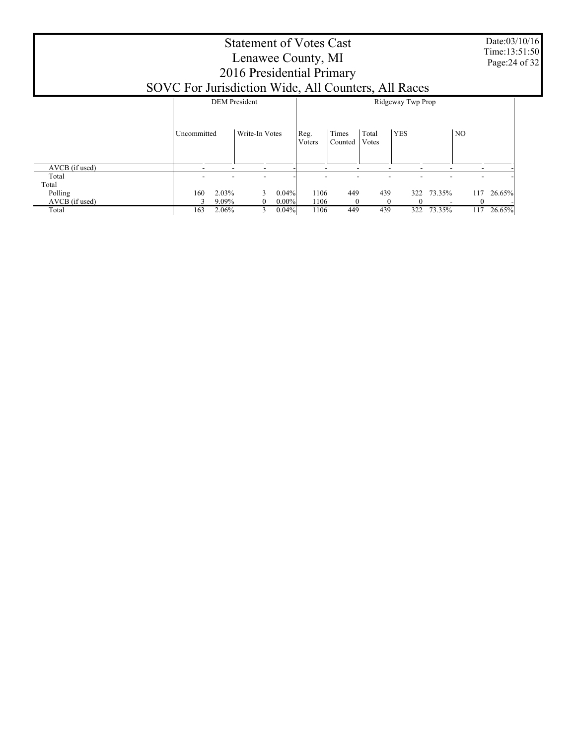|                           | SOVC For Jurisdiction Wide, All Counters, All Races | Date:03/10/16<br>Time:13:51:50<br>Page: 24 of 32 |                                    |                                    |                               |        |
|---------------------------|-----------------------------------------------------|--------------------------------------------------|------------------------------------|------------------------------------|-------------------------------|--------|
|                           |                                                     | <b>DEM</b> President                             |                                    | Ridgeway Twp Prop                  |                               |        |
|                           | Uncommitted                                         | Write-In Votes                                   | Times<br>Reg.<br>Counted<br>Voters | <b>YES</b><br>Total<br>Votes       | NO                            |        |
| AVCB (if used)            |                                                     | ۰                                                |                                    |                                    | ٠                             |        |
| Total<br>Total            |                                                     |                                                  |                                    |                                    |                               |        |
| Polling<br>AVCB (if used) | 2.03%<br>160<br>9.09%                               | 0.04%<br>$0.00\%$<br>0                           | 1106<br>449<br>1106<br>$\theta$    | 439<br>322<br>$\Omega$<br>$\theta$ | 73.35%<br>117<br>$\mathbf{0}$ | 26.65% |
| Total                     | 2.06%<br>163                                        | 0.04%<br>3                                       | 449<br>1106                        | 439<br>322                         | 117<br>73.35%                 | 26.65% |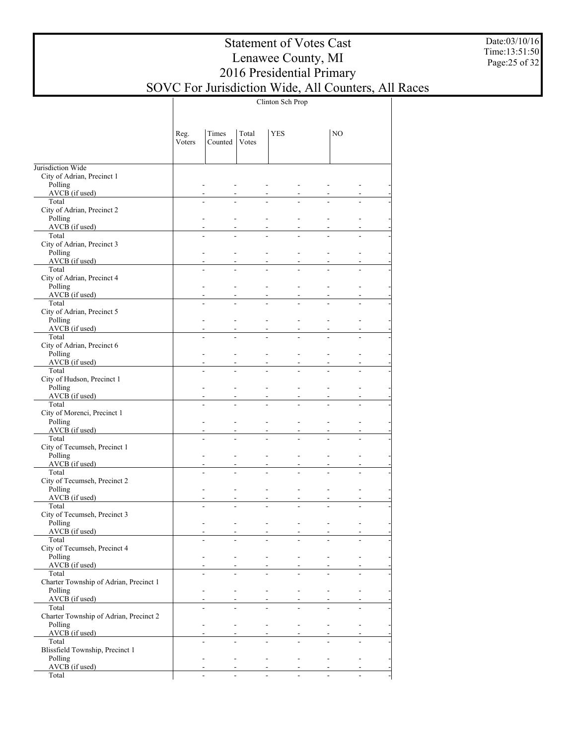Date:03/10/16 Time:13:51:50 Page:25 of 32

|                                                   | Clinton Sch Prop |                                  |                |                          |                |                                  |                |  |  |  |  |
|---------------------------------------------------|------------------|----------------------------------|----------------|--------------------------|----------------|----------------------------------|----------------|--|--|--|--|
|                                                   | Reg.<br>Voters   | Times<br>Counted                 | Total<br>Votes | <b>YES</b>               |                | NO.                              |                |  |  |  |  |
| Jurisdiction Wide                                 |                  |                                  |                |                          |                |                                  |                |  |  |  |  |
| City of Adrian, Precinct 1                        |                  |                                  |                |                          |                |                                  |                |  |  |  |  |
| Polling                                           |                  | $\overline{a}$                   |                | L.                       | ÷.             | $\overline{a}$                   |                |  |  |  |  |
| AVCB (if used)<br>Total                           |                  | $\overline{a}$<br>÷,             | ÷.             | ÷.                       | L.             | $\overline{a}$<br>$\overline{a}$ | $\overline{a}$ |  |  |  |  |
| City of Adrian, Precinct 2                        |                  |                                  |                |                          |                |                                  |                |  |  |  |  |
| Polling                                           |                  |                                  |                |                          | L.             | $\overline{a}$                   |                |  |  |  |  |
| AVCB (if used)<br>Total                           |                  | $\overline{a}$                   | ÷.             | ÷.                       | L.             | $\overline{a}$                   | ÷.             |  |  |  |  |
| City of Adrian, Precinct 3                        |                  |                                  |                |                          |                |                                  |                |  |  |  |  |
| Polling                                           |                  | L.                               |                | $\overline{a}$           | $\overline{a}$ | $\overline{\phantom{a}}$         | L.             |  |  |  |  |
| AVCB (if used)                                    |                  |                                  |                |                          | L,             |                                  |                |  |  |  |  |
| Total<br>City of Adrian, Precinct 4               |                  | $\overline{a}$                   | ÷.             | ÷.                       | L.             | $\overline{a}$                   | ÷.             |  |  |  |  |
| Polling                                           |                  | L.                               |                | $\overline{a}$           | $\overline{a}$ | $\overline{\phantom{a}}$         | L.             |  |  |  |  |
| AVCB (if used)                                    |                  |                                  |                |                          | L,             |                                  |                |  |  |  |  |
| Total                                             |                  | $\overline{a}$                   | ÷.             | ÷.                       | L.             | $\overline{a}$                   | ÷.             |  |  |  |  |
| City of Adrian, Precinct 5<br>Polling             |                  | L.                               |                | $\overline{\phantom{0}}$ | $\overline{a}$ | $\overline{\phantom{a}}$         | ÷.             |  |  |  |  |
| $AVCB$ (if used)                                  |                  |                                  |                |                          | L,             |                                  |                |  |  |  |  |
| Total                                             |                  | $\overline{\phantom{a}}$         | ÷.             | ÷.                       | L.             | $\overline{a}$                   | ÷.             |  |  |  |  |
| City of Adrian, Precinct 6<br>Polling             |                  | L.                               |                | $\overline{\phantom{0}}$ | $\overline{a}$ | $\overline{\phantom{a}}$         | ÷.             |  |  |  |  |
| $AVCB$ (if used)                                  |                  |                                  |                |                          | L,             |                                  |                |  |  |  |  |
| Total                                             |                  | $\overline{\phantom{a}}$         | ÷.             | ÷.                       | $\overline{a}$ | $\overline{a}$                   | ÷.             |  |  |  |  |
| City of Hudson, Precinct 1                        |                  |                                  |                |                          |                |                                  |                |  |  |  |  |
| Polling<br>AVCB (if used)                         |                  | L.                               |                | $\overline{\phantom{0}}$ | $\overline{a}$ | $\overline{\phantom{a}}$         | ÷.             |  |  |  |  |
| Total                                             |                  | $\overline{a}$                   | ÷.             | ÷.                       | L.             | $\overline{a}$                   | ÷.             |  |  |  |  |
| City of Morenci, Precinct 1                       |                  |                                  |                |                          |                |                                  |                |  |  |  |  |
| Polling                                           |                  | $\overline{a}$                   |                | $\overline{\phantom{0}}$ | $\overline{a}$ | $\overline{\phantom{a}}$         | ÷,             |  |  |  |  |
| AVCB (if used)<br>Total                           |                  | $\overline{a}$                   | ÷.             | $\overline{a}$           | L,<br>L.       | $\overline{a}$                   | ÷.             |  |  |  |  |
| City of Tecumseh, Precinct 1                      |                  |                                  |                |                          |                |                                  |                |  |  |  |  |
| Polling                                           |                  | $\overline{a}$                   |                | $\overline{\phantom{0}}$ | $\overline{a}$ | $\overline{\phantom{a}}$         | ÷,             |  |  |  |  |
| $AVCB$ (if used)<br>Total                         |                  | $\overline{a}$<br>$\overline{a}$ | ÷.             | $\overline{a}$           | L,<br>L.       | $\overline{a}$<br>$\overline{a}$ | ÷.             |  |  |  |  |
| City of Tecumseh, Precinct 2                      |                  |                                  |                |                          |                |                                  |                |  |  |  |  |
| Polling                                           |                  | $\overline{a}$                   |                | ÷,                       | ÷.             | $\blacksquare$                   | ÷.             |  |  |  |  |
| AVCB (if used)                                    |                  |                                  |                |                          | L,             | $\overline{\phantom{a}}$         |                |  |  |  |  |
| Total<br>City of Tecumseh, Precinct 3             |                  | L.                               |                |                          | L,             | ÷.                               | L.             |  |  |  |  |
| Polling                                           |                  |                                  |                |                          |                |                                  |                |  |  |  |  |
| AVCB (if used)                                    |                  |                                  |                |                          |                |                                  |                |  |  |  |  |
| Total                                             |                  | L.                               |                |                          | $\overline{a}$ |                                  |                |  |  |  |  |
| City of Tecumseh, Precinct 4<br>Polling           |                  | $\overline{a}$                   |                | ÷.                       | ÷.             |                                  |                |  |  |  |  |
| $AVCB$ (if used)                                  |                  |                                  |                |                          |                |                                  |                |  |  |  |  |
| Total                                             |                  | ÷.                               | $\overline{a}$ | ÷.                       | L.             | $\overline{a}$                   | $\overline{a}$ |  |  |  |  |
| Charter Township of Adrian, Precinct 1<br>Polling |                  | $\overline{a}$                   |                | ÷.                       | ÷.             |                                  |                |  |  |  |  |
| $AVCB$ (if used)                                  |                  |                                  |                |                          |                |                                  |                |  |  |  |  |
| Total                                             |                  | $\overline{a}$                   | $\overline{a}$ | ÷.                       | L.             | $\overline{a}$                   | $\overline{a}$ |  |  |  |  |
| Charter Township of Adrian, Precinct 2            |                  |                                  |                |                          |                |                                  |                |  |  |  |  |
| Polling<br>$AVCB$ (if used)                       |                  | $\overline{a}$                   |                | ÷.                       | ÷.             | $\overline{\phantom{a}}$         |                |  |  |  |  |
| Total                                             |                  | $\overline{a}$                   | $\overline{a}$ | ÷.                       | L.             | $\overline{a}$                   | $\overline{a}$ |  |  |  |  |
| Blissfield Township, Precinct 1                   |                  |                                  |                |                          |                |                                  |                |  |  |  |  |
| Polling                                           |                  | $\overline{\phantom{a}}$         |                | $\blacksquare$           | $\blacksquare$ | $\blacksquare$                   |                |  |  |  |  |
| $AVCB$ (if used)<br>Total                         |                  | $\overline{\phantom{a}}$         | $\overline{a}$ | $\mathbf{r}$             | $\equiv$       | $\overline{\phantom{a}}$         | $\overline{a}$ |  |  |  |  |
|                                                   |                  |                                  |                |                          |                |                                  |                |  |  |  |  |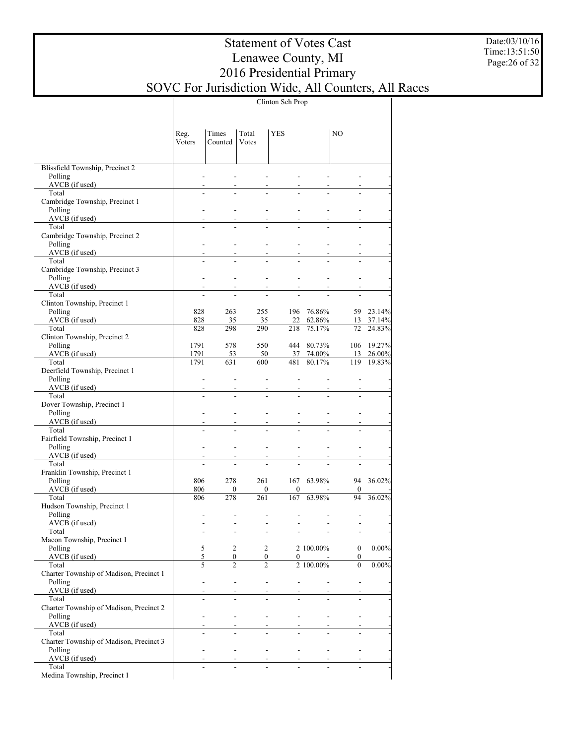Date:03/10/16 Time:13:51:50 Page:26 of 32

|                                                  |                          |                       |                     | Clinton Sch Prop                  |                            |                            |                      |
|--------------------------------------------------|--------------------------|-----------------------|---------------------|-----------------------------------|----------------------------|----------------------------|----------------------|
|                                                  | Reg.<br>Voters           | Times<br>Counted      | Total<br>Votes      | <b>YES</b>                        |                            | NO.                        |                      |
| Blissfield Township, Precinct 2                  |                          |                       |                     |                                   |                            |                            |                      |
| Polling                                          |                          |                       |                     |                                   |                            |                            |                      |
| AVCB (if used)                                   |                          |                       |                     |                                   |                            |                            |                      |
| Total                                            |                          |                       |                     |                                   |                            |                            |                      |
| Cambridge Township, Precinct 1<br>Polling        |                          |                       |                     |                                   |                            |                            |                      |
| $AVCB$ (if used)                                 |                          |                       |                     |                                   |                            |                            |                      |
| Total                                            |                          |                       |                     |                                   |                            |                            |                      |
| Cambridge Township, Precinct 2                   |                          |                       |                     |                                   |                            |                            |                      |
| Polling<br>$AVCB$ (if used)                      | $\overline{\phantom{a}}$ |                       | ÷.                  | $\overline{a}$                    |                            |                            |                      |
| Total                                            |                          |                       |                     |                                   |                            |                            |                      |
| Cambridge Township, Precinct 3                   |                          |                       |                     |                                   |                            |                            |                      |
| Polling                                          | $\overline{\phantom{a}}$ |                       | ÷.                  | $\overline{a}$                    |                            | L.                         |                      |
| $AVCB$ (if used)                                 |                          |                       |                     |                                   |                            |                            |                      |
| Total<br>Clinton Township, Precinct 1            |                          |                       |                     |                                   |                            |                            |                      |
| Polling                                          | 828                      | 263                   | 255                 |                                   | 196 76.86%                 |                            | 59 23.14%            |
| $AVCB$ (if used)                                 | 828                      | 35                    | 35                  |                                   | 22 62.86%                  |                            | 13 37.14%            |
| Total                                            | 828                      | 298                   | 290                 | 218                               | 75.17%                     | 72                         | 24.83%               |
| Clinton Township, Precinct 2                     |                          |                       |                     |                                   |                            |                            |                      |
| Polling<br>AVCB (if used)                        | 1791<br>1791             | 578<br>53             | 550<br>50           |                                   | 444 80.73%<br>37 74.00%    | 13                         | 106 19.27%<br>26.00% |
| Total                                            | 1791                     | 631                   | 600                 | 481                               | 80.17%                     | 119                        | 19.83%               |
| Deerfield Township, Precinct 1                   |                          |                       |                     |                                   |                            |                            |                      |
| Polling                                          | $\blacksquare$           |                       | ÷.                  | $\overline{a}$                    |                            |                            |                      |
| AVCB (if used)<br>Total                          | $\overline{a}$           |                       |                     |                                   |                            |                            |                      |
| Dover Township, Precinct 1                       |                          |                       |                     |                                   |                            |                            |                      |
| Polling                                          | $\overline{a}$           |                       | ÷.                  | $\overline{a}$                    |                            |                            |                      |
| AVCB (if used)                                   |                          |                       |                     |                                   |                            |                            |                      |
| Total                                            | $\overline{a}$           |                       |                     |                                   |                            |                            |                      |
| Fairfield Township, Precinct 1<br>Polling        | $\overline{\phantom{a}}$ |                       | ÷.                  | $\overline{a}$                    |                            |                            |                      |
| $AVCB$ (if used)                                 |                          |                       |                     |                                   |                            |                            |                      |
| Total                                            |                          |                       |                     |                                   |                            |                            |                      |
| Franklin Township, Precinct 1                    |                          |                       |                     |                                   |                            |                            |                      |
| Polling                                          | 806                      | 278                   | 261                 |                                   | 167 63.98%                 |                            | 94 36.02%            |
| AVCB (if used)<br>Total                          | 806<br>806               | $\overline{0}$<br>278 | $\mathbf{0}$<br>261 | $\bf{0}$<br>167                   | 63.98%                     | $\boldsymbol{0}$<br>94     | 36.02%               |
| Hudson Township, Precinct 1                      |                          |                       |                     |                                   |                            |                            |                      |
| Polling                                          | $\overline{a}$           |                       | ÷.                  | $\overline{a}$                    | $\overline{\phantom{a}}$   | $\overline{a}$             |                      |
| AVCB (if used)                                   |                          |                       |                     |                                   |                            |                            |                      |
| Total<br>Macon Township, Precinct 1              |                          |                       |                     |                                   |                            |                            |                      |
| Polling                                          | $\sqrt{5}$               | $\overline{2}$        |                     | $\overline{2}$                    | 2 100.00%                  | $\mathbf{0}$               | $0.00\%$             |
| $AVCB$ (if used)                                 | 5                        |                       | $\mathbf{0}$        | $\mathbf{0}$                      | $0 -$                      | $\mathbf{0}$               |                      |
| Total                                            | $\varsigma$              | $\overline{2}$        | $\overline{2}$      |                                   | 2 100.00%                  | $\overline{0}$             | 0.00%                |
| Charter Township of Madison, Precinct 1          |                          |                       |                     |                                   |                            |                            |                      |
| Polling<br>AVCB (if used)                        | $\mathbf{r}$             |                       | ÷.                  | $\omega_{\rm{max}}$               | and the state of the state | $\omega$<br>$\blacksquare$ |                      |
| Total                                            |                          | ÷                     |                     | L.                                |                            |                            |                      |
| Charter Township of Madison, Precinct 2          |                          |                       |                     |                                   |                            |                            |                      |
| Polling                                          |                          | $\mathcal{L}$         | All Controller      | and the state of the state of the |                            | $\omega$                   |                      |
| AVCB (if used)                                   |                          | ÷                     |                     |                                   |                            |                            |                      |
| Total<br>Charter Township of Madison, Precinct 3 |                          |                       |                     |                                   |                            |                            |                      |
| Polling                                          | $\mathcal{L}$            |                       | All Controller      | and the state of the state of the |                            | $\blacksquare$             |                      |
| AVCB (if used)                                   |                          |                       |                     |                                   |                            | $\sim$                     |                      |
| Total                                            |                          | $\mathbf{r}$          |                     |                                   |                            |                            |                      |
| Medina Township, Precinct 1                      |                          |                       |                     |                                   |                            |                            |                      |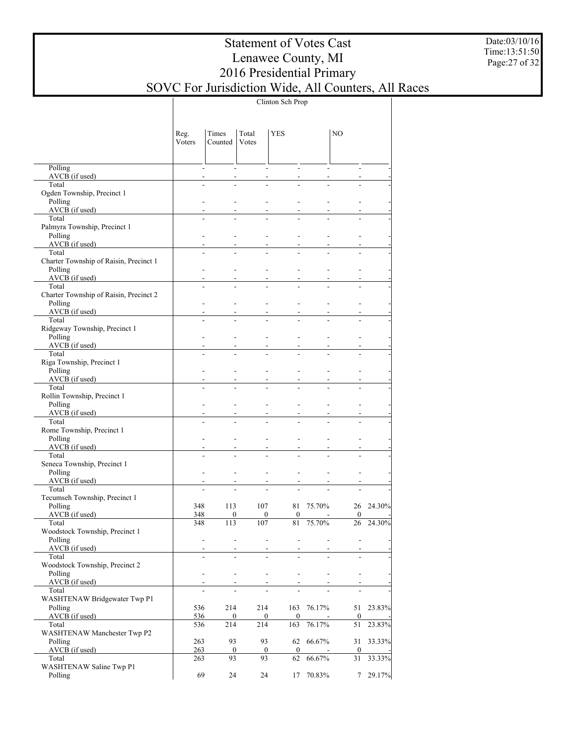Date:03/10/16 Time:13:51:50 Page:27 of 32

|                                                 | Clinton Sch Prop |                          |                            |                                    |                          |                        |        |  |  |  |  |  |
|-------------------------------------------------|------------------|--------------------------|----------------------------|------------------------------------|--------------------------|------------------------|--------|--|--|--|--|--|
|                                                 | Reg.<br>Voters   | Times<br>Counted         | Total<br>Votes             | <b>YES</b>                         |                          | NO.                    |        |  |  |  |  |  |
| Polling                                         |                  | $\overline{a}$           | ÷                          | ÷                                  |                          | ÷                      |        |  |  |  |  |  |
| AVCB (if used)<br>Total                         |                  | L.                       |                            |                                    |                          |                        |        |  |  |  |  |  |
| Ogden Township, Precinct 1                      |                  |                          |                            |                                    |                          |                        |        |  |  |  |  |  |
| Polling                                         |                  |                          |                            |                                    |                          |                        |        |  |  |  |  |  |
| $AVCB$ (if used)<br>Total                       |                  |                          |                            |                                    |                          |                        |        |  |  |  |  |  |
| Palmyra Township, Precinct 1                    |                  |                          |                            |                                    |                          |                        |        |  |  |  |  |  |
| Polling                                         |                  | $\overline{a}$           |                            |                                    |                          |                        |        |  |  |  |  |  |
| AVCB (if used)<br>Total                         |                  |                          |                            |                                    |                          |                        |        |  |  |  |  |  |
| Charter Township of Raisin, Precinct 1          |                  |                          |                            |                                    |                          |                        |        |  |  |  |  |  |
| Polling                                         |                  | ÷.                       |                            |                                    |                          |                        |        |  |  |  |  |  |
| AVCB (if used)                                  |                  |                          |                            |                                    |                          |                        |        |  |  |  |  |  |
| Total<br>Charter Township of Raisin, Precinct 2 |                  |                          |                            |                                    |                          |                        |        |  |  |  |  |  |
| Polling                                         |                  | ÷.                       |                            |                                    |                          |                        |        |  |  |  |  |  |
| AVCB (if used)                                  |                  |                          |                            |                                    |                          |                        |        |  |  |  |  |  |
| Total                                           |                  |                          |                            |                                    |                          |                        |        |  |  |  |  |  |
| Ridgeway Township, Precinct 1<br>Polling        |                  | ÷.                       |                            |                                    |                          |                        |        |  |  |  |  |  |
| AVCB (if used)                                  |                  |                          |                            |                                    |                          |                        |        |  |  |  |  |  |
| Total                                           |                  |                          |                            |                                    |                          |                        |        |  |  |  |  |  |
| Riga Township, Precinct 1<br>Polling            |                  | $\overline{a}$           |                            |                                    |                          |                        |        |  |  |  |  |  |
| AVCB (if used)                                  |                  |                          |                            |                                    |                          |                        |        |  |  |  |  |  |
| Total                                           |                  |                          |                            |                                    |                          |                        |        |  |  |  |  |  |
| Rollin Township, Precinct 1                     |                  |                          |                            |                                    |                          |                        |        |  |  |  |  |  |
| Polling<br>$AVCB$ (if used)                     |                  | $\overline{a}$           |                            |                                    |                          |                        |        |  |  |  |  |  |
| Total                                           |                  |                          |                            |                                    |                          |                        |        |  |  |  |  |  |
| Rome Township, Precinct 1                       |                  |                          |                            |                                    |                          |                        |        |  |  |  |  |  |
| Polling                                         |                  | $\overline{a}$           |                            | L.                                 |                          |                        |        |  |  |  |  |  |
| AVCB (if used)<br>Total                         |                  | $\overline{a}$           |                            |                                    |                          |                        |        |  |  |  |  |  |
| Seneca Township, Precinct 1                     |                  |                          |                            |                                    |                          |                        |        |  |  |  |  |  |
| Polling                                         |                  | $\blacksquare$           |                            | L.                                 |                          |                        |        |  |  |  |  |  |
| $AVCB$ (if used)<br>Total                       |                  | ÷.                       |                            | $\overline{a}$                     |                          |                        |        |  |  |  |  |  |
| Tecumseh Township, Precinct 1                   |                  |                          |                            |                                    |                          |                        |        |  |  |  |  |  |
| Polling                                         | 348              | 113                      | 107                        | 81                                 | 75.70%                   | 26                     | 24.30% |  |  |  |  |  |
| AVCB (if used)                                  | 348              |                          | $\mathbf{0}$               | $\mathbf{0}$<br>$\overline{0}$     | $\overline{\phantom{a}}$ | $\overline{0}$         |        |  |  |  |  |  |
| Total<br>Woodstock Township, Precinct 1         | 348              | 113                      | 107                        | $8\sqrt{1}$                        | 75.70%                   | 26                     | 24.30% |  |  |  |  |  |
| Polling                                         |                  | $\blacksquare$           | L.                         | ÷,<br>÷,                           | $\blacksquare$           | $\overline{a}$         |        |  |  |  |  |  |
| $AVCB$ (if used)                                |                  | $\overline{\phantom{a}}$ |                            |                                    |                          |                        |        |  |  |  |  |  |
| Total<br>Woodstock Township, Precinct 2         |                  | $\blacksquare$           | ÷.                         | L.<br>L.                           | $\overline{a}$           | L.                     |        |  |  |  |  |  |
| Polling                                         |                  | $\overline{a}$           | $\overline{a}$             | ÷.<br>$\overline{a}$               | $\overline{\phantom{a}}$ | ÷,                     |        |  |  |  |  |  |
| AVCB (if used)                                  |                  | $\overline{a}$           |                            |                                    |                          |                        |        |  |  |  |  |  |
| Total                                           |                  | $\overline{a}$           | L.                         | L.                                 |                          | ÷.                     |        |  |  |  |  |  |
| <b>WASHTENAW Bridgewater Twp P1</b><br>Polling  | 536              | 214                      | 214                        | 163                                | 76.17%                   | 51                     | 23.83% |  |  |  |  |  |
| AVCB (if used)                                  | 536              |                          | $\bf{0}$                   | $\boldsymbol{0}$<br>$\overline{0}$ |                          | $\bf{0}$               |        |  |  |  |  |  |
| Total                                           | 536              | 214                      | 214                        | 163                                | 76.17%                   | 51                     | 23.83% |  |  |  |  |  |
| WASHTENAW Manchester Twp P2                     |                  |                          |                            |                                    | 66.67%                   |                        |        |  |  |  |  |  |
| Polling<br>AVCB (if used)                       | 263<br>263       | 93                       | 93<br>$\bf{0}$<br>$\bf{0}$ | 62<br>$\boldsymbol{0}$             |                          | 31<br>$\boldsymbol{0}$ | 33.33% |  |  |  |  |  |
| Total                                           | 263              | 93                       | 93                         | 62                                 | 66.67%                   | 31                     | 33.33% |  |  |  |  |  |
| WASHTENAW Saline Twp P1                         |                  |                          |                            |                                    |                          |                        |        |  |  |  |  |  |
| Polling                                         | 69               | 24                       | 24                         | 17                                 | 70.83%                   | 7                      | 29.17% |  |  |  |  |  |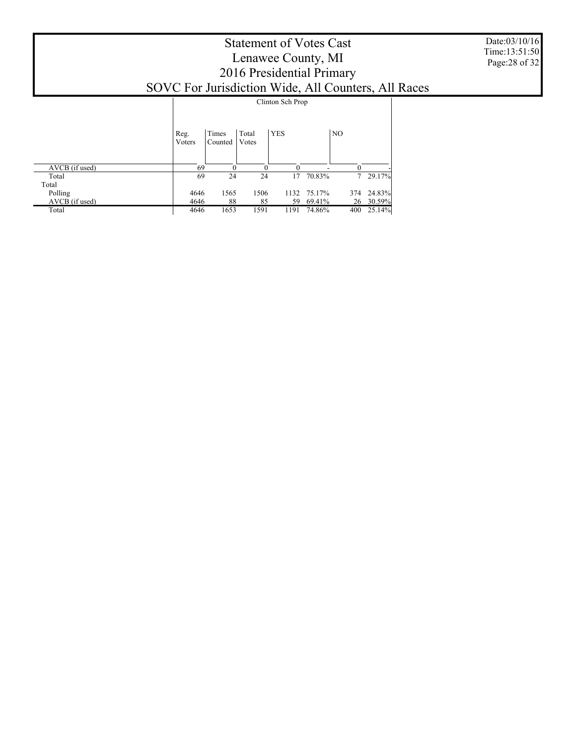|                                                     | <b>Statement of Votes Cast</b><br>Lenawee County, MI<br>2016 Presidential Primary |                  |                |                  |        |                |        |  |  |  |  |  |
|-----------------------------------------------------|-----------------------------------------------------------------------------------|------------------|----------------|------------------|--------|----------------|--------|--|--|--|--|--|
| SOVC For Jurisdiction Wide, All Counters, All Races |                                                                                   |                  |                |                  |        |                |        |  |  |  |  |  |
|                                                     |                                                                                   |                  |                | Clinton Sch Prop |        |                |        |  |  |  |  |  |
|                                                     |                                                                                   |                  |                |                  |        |                |        |  |  |  |  |  |
|                                                     | Reg.<br>Voters                                                                    | Times<br>Counted | Total<br>Votes | <b>YES</b>       |        | N <sub>O</sub> |        |  |  |  |  |  |
| AVCB (if used)                                      | 69                                                                                | $\Omega$         | $\Omega$       | $\theta$         |        | $\Omega$       |        |  |  |  |  |  |
| Total                                               | 69                                                                                | 24               | 24             | 17               | 70.83% | 7              | 29.17% |  |  |  |  |  |
| Total<br>Polling                                    | 4646                                                                              | 1565             | 1506           | 1132             | 75.17% | 374            | 24.83% |  |  |  |  |  |
| AVCB (if used)                                      | 4646                                                                              | 88               | 85             | 59               | 69.41% | 26             | 30.59% |  |  |  |  |  |
| Total                                               | 4646                                                                              | 1653             | 1591           | 1191             | 74.86% | 400            | 25.14% |  |  |  |  |  |

Date:03/10/16 Time:13:51:50 Page:28 of 32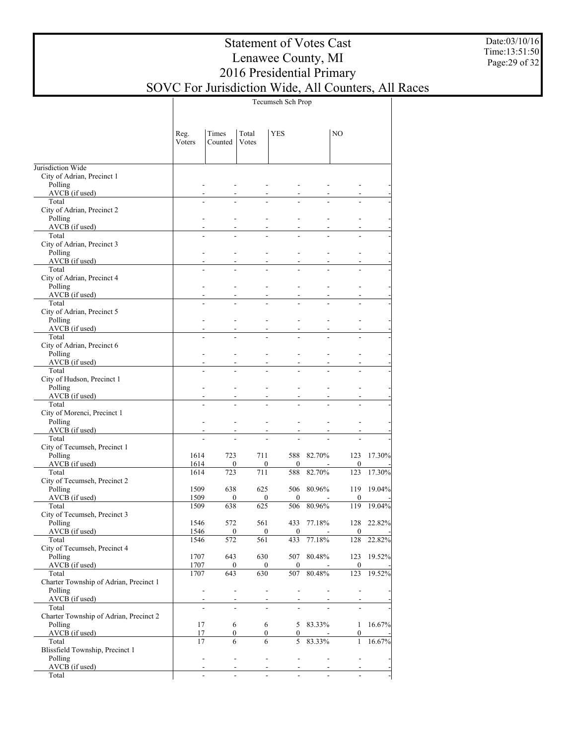Date:03/10/16 Time:13:51:50 Page:29 of 32

|                                                 |                |                          |                         | Tecumseh Sch Prop                          |                |                         |            |
|-------------------------------------------------|----------------|--------------------------|-------------------------|--------------------------------------------|----------------|-------------------------|------------|
|                                                 | Reg.<br>Voters | Times<br>Counted         | Total<br>Votes          | <b>YES</b>                                 |                | NO.                     |            |
| Jurisdiction Wide                               |                |                          |                         |                                            |                |                         |            |
| City of Adrian, Precinct 1                      |                |                          |                         |                                            |                |                         |            |
| Polling                                         |                | L.                       |                         | L,                                         |                |                         |            |
| AVCB (if used)<br>Total                         |                | $\overline{a}$           |                         | ÷.<br>L.                                   | L.             |                         |            |
| City of Adrian, Precinct 2                      |                |                          |                         |                                            |                |                         |            |
| Polling                                         |                |                          |                         |                                            | ÷              |                         |            |
| AVCB (if used)<br>Total                         |                | L.                       |                         | ÷.<br>L.                                   | L.             |                         |            |
| City of Adrian, Precinct 3                      |                |                          |                         |                                            |                |                         |            |
| Polling                                         |                |                          |                         |                                            | ÷              |                         |            |
| AVCB (if used)<br>Total                         |                | L.                       |                         | ÷.<br>L.                                   | $\overline{a}$ | ÷.                      |            |
| City of Adrian, Precinct 4                      |                |                          |                         |                                            |                |                         |            |
| Polling                                         |                |                          |                         |                                            | $\overline{a}$ |                         |            |
| AVCB (if used)                                  |                |                          |                         | L,                                         |                |                         |            |
| Total<br>City of Adrian, Precinct 5             |                | $\overline{a}$           |                         | ÷.<br>$\overline{a}$                       | $\overline{a}$ | ÷.                      |            |
| Polling                                         |                |                          |                         | $\overline{a}$                             | $\overline{a}$ |                         |            |
| AVCB (if used)                                  |                |                          |                         | L,                                         |                |                         |            |
| Total<br>City of Adrian, Precinct 6             |                | $\overline{a}$           | L.                      | ÷.<br>$\overline{a}$                       | $\overline{a}$ | ÷.                      |            |
| Polling                                         |                |                          |                         | $\overline{a}$                             | $\overline{a}$ |                         |            |
| AVCB (if used)                                  |                |                          |                         |                                            |                |                         |            |
| Total                                           |                | $\overline{a}$           | L.                      | ÷.<br>$\overline{a}$                       | $\overline{a}$ | ÷.                      |            |
| City of Hudson, Precinct 1<br>Polling           |                |                          |                         | $\overline{a}$                             | $\overline{a}$ |                         |            |
| AVCB (if used)                                  |                |                          |                         |                                            |                |                         |            |
| Total                                           |                | $\overline{a}$           | L.                      | ÷.<br>$\overline{a}$                       | $\overline{a}$ | L.                      |            |
| City of Morenci, Precinct 1<br>Polling          |                |                          |                         |                                            |                |                         |            |
| AVCB (if used)                                  |                |                          |                         |                                            |                |                         |            |
| Total                                           |                | L.                       |                         | L.<br>L,                                   |                | L.                      |            |
| City of Tecumseh, Precinct 1                    |                |                          |                         |                                            |                |                         |            |
| Polling<br>AVCB (if used)                       | 1614<br>1614   | 723<br>$\mathbf{0}$      | 711                     | 588<br>$\mathbf{0}$<br>$\mathbf{0}$        | 82.70%         | 123<br>$\mathbf{0}$     | 17.30%     |
| Total                                           | 1614           | 723                      | 711                     | 588                                        | 82.70%         | 123                     | 17.30%     |
| City of Tecumseh, Precinct 2                    |                |                          |                         |                                            |                |                         |            |
| Polling<br>AVCB (if used)                       | 1509<br>1509   | 638                      | 625<br>$\mathbf{0}$     | 506<br>$\overline{0}$<br>$\mathbf{0}$      | 80.96%         | 119<br>$\mathbf{0}$     | 19.04%     |
| Total                                           | 1509           | 638                      | 625                     | 506                                        | 80.96%         | 119                     | 19.04%     |
| City of Tecumseh, Precinct 3                    |                |                          |                         |                                            |                |                         |            |
| Polling                                         | 1546           | 572                      | 561                     |                                            | 433 77.18%     |                         | 128 22.82% |
| AVCB (if used)<br>Total                         | 1546<br>1546   | $\bf{0}$<br>572          | 561                     | $\bf{0}$<br>$\overline{0}$<br>433          | 77.18%         | $\boldsymbol{0}$<br>128 | 22.82%     |
| City of Tecumseh, Precinct 4                    |                |                          |                         |                                            |                |                         |            |
| Polling                                         | 1707           | 643                      | 630                     | 507                                        | 80.48%         | 123                     | 19.52%     |
| AVCB (if used)<br>Total                         | 1707<br>1707   | 643                      | $\boldsymbol{0}$<br>630 | $\overline{0}$<br>$\overline{0}$<br>507    | 80.48%         | $\boldsymbol{0}$<br>123 | 19.52%     |
| Charter Township of Adrian, Precinct 1          |                |                          |                         |                                            |                |                         |            |
| Polling                                         |                | $\overline{\phantom{a}}$ | $\blacksquare$          | ÷,<br>ä,                                   | $\overline{a}$ | L.                      |            |
| AVCB (if used)                                  |                | $\overline{\phantom{a}}$ |                         | $\frac{1}{2}$<br>$\overline{a}$            | $\overline{a}$ | $\blacksquare$          |            |
| Total<br>Charter Township of Adrian, Precinct 2 |                | $\overline{a}$           | $\overline{a}$          | $\overline{\phantom{a}}$<br>$\blacksquare$ |                | $\overline{a}$          |            |
| Polling                                         | 17             |                          | 6                       | 6                                          | 5 83.33%       | 1                       | 16.67%     |
| AVCB (if used)                                  | 17             |                          | $\mathbf{0}$            | $\overline{0}$<br>$\overline{0}$           |                | $\boldsymbol{0}$        |            |
| Total<br>Blissfield Township, Precinct 1        | 17             |                          | 6                       | 6<br>5 <sup>1</sup>                        | 83.33%         | $\mathbf{1}$            | 16.67%     |
| Polling                                         |                | $\overline{\phantom{a}}$ | ÷.                      | $\blacksquare$<br>$\overline{\phantom{a}}$ | $\blacksquare$ | L.                      |            |
| AVCB (if used)                                  |                |                          |                         | $\mathbf{r}$                               |                |                         |            |
| Total                                           |                | $\overline{a}$           | $\overline{a}$          | $\overline{a}$<br>$\overline{a}$           | $\mathbf{r}$   | ÷.                      |            |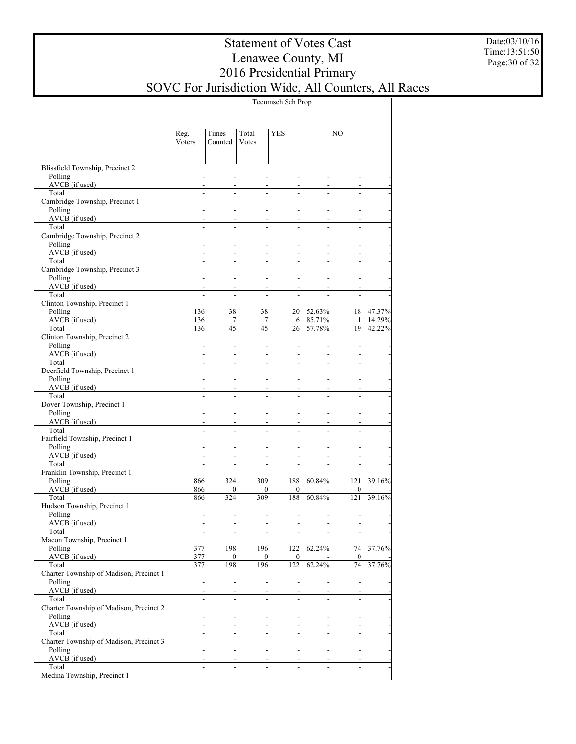Date:03/10/16 Time:13:51:50 Page:30 of 32

|                                                    |                          |                          |                                                                                                                                                                                                                                                                                                                                                                                                                                              | Tecumseh Sch Prop                  |                                             |                          |           |
|----------------------------------------------------|--------------------------|--------------------------|----------------------------------------------------------------------------------------------------------------------------------------------------------------------------------------------------------------------------------------------------------------------------------------------------------------------------------------------------------------------------------------------------------------------------------------------|------------------------------------|---------------------------------------------|--------------------------|-----------|
|                                                    | Reg.<br>Voters           | Times<br>Counted         | Total<br>Votes                                                                                                                                                                                                                                                                                                                                                                                                                               | <b>YES</b>                         |                                             | NO.                      |           |
|                                                    |                          |                          |                                                                                                                                                                                                                                                                                                                                                                                                                                              |                                    |                                             |                          |           |
|                                                    |                          |                          |                                                                                                                                                                                                                                                                                                                                                                                                                                              |                                    |                                             |                          |           |
| Blissfield Township, Precinct 2<br>Polling         |                          |                          |                                                                                                                                                                                                                                                                                                                                                                                                                                              |                                    |                                             |                          |           |
| AVCB (if used)                                     |                          |                          |                                                                                                                                                                                                                                                                                                                                                                                                                                              |                                    |                                             |                          |           |
| Total                                              |                          |                          |                                                                                                                                                                                                                                                                                                                                                                                                                                              |                                    |                                             |                          |           |
| Cambridge Township, Precinct 1<br>Polling          |                          |                          |                                                                                                                                                                                                                                                                                                                                                                                                                                              |                                    |                                             |                          |           |
| $AVCB$ (if used)                                   |                          |                          |                                                                                                                                                                                                                                                                                                                                                                                                                                              |                                    |                                             |                          |           |
| Total                                              |                          |                          |                                                                                                                                                                                                                                                                                                                                                                                                                                              |                                    |                                             |                          |           |
| Cambridge Township, Precinct 2                     |                          |                          |                                                                                                                                                                                                                                                                                                                                                                                                                                              |                                    |                                             |                          |           |
| Polling<br>AVCB (if used)                          | $\overline{\phantom{a}}$ |                          |                                                                                                                                                                                                                                                                                                                                                                                                                                              |                                    |                                             |                          |           |
| Total                                              |                          |                          |                                                                                                                                                                                                                                                                                                                                                                                                                                              |                                    |                                             |                          |           |
| Cambridge Township, Precinct 3                     |                          |                          |                                                                                                                                                                                                                                                                                                                                                                                                                                              |                                    |                                             |                          |           |
| Polling                                            | $\overline{a}$           |                          | ÷.                                                                                                                                                                                                                                                                                                                                                                                                                                           | $\overline{a}$                     |                                             |                          |           |
| $AVCB$ (if used)<br>Total                          |                          |                          |                                                                                                                                                                                                                                                                                                                                                                                                                                              |                                    |                                             |                          |           |
| Clinton Township, Precinct 1                       |                          |                          |                                                                                                                                                                                                                                                                                                                                                                                                                                              |                                    |                                             |                          |           |
| Polling                                            | 136                      | 38                       | 38                                                                                                                                                                                                                                                                                                                                                                                                                                           |                                    | 20 52.63%                                   |                          | 18 47.37% |
| $AVCB$ (if used)                                   | 136                      | 7<br>45                  | 7<br>45                                                                                                                                                                                                                                                                                                                                                                                                                                      |                                    | 6 85.71%                                    | $\mathbf{1}$             | 14.29%    |
| Total<br>Clinton Township, Precinct 2              | 136                      |                          |                                                                                                                                                                                                                                                                                                                                                                                                                                              | 26                                 | 57.78%                                      | 19                       | 42.22%    |
| Polling                                            | $\blacksquare$           |                          | ÷.                                                                                                                                                                                                                                                                                                                                                                                                                                           | ÷,                                 |                                             |                          |           |
| AVCB (if used)                                     |                          |                          |                                                                                                                                                                                                                                                                                                                                                                                                                                              |                                    |                                             |                          |           |
| Total                                              | $\overline{a}$           |                          |                                                                                                                                                                                                                                                                                                                                                                                                                                              |                                    |                                             |                          |           |
| Deerfield Township, Precinct 1<br>Polling          | $\overline{a}$           |                          |                                                                                                                                                                                                                                                                                                                                                                                                                                              | $\overline{a}$                     |                                             |                          |           |
| AVCB (if used)                                     |                          |                          |                                                                                                                                                                                                                                                                                                                                                                                                                                              |                                    |                                             |                          |           |
| Total                                              |                          |                          |                                                                                                                                                                                                                                                                                                                                                                                                                                              |                                    |                                             |                          |           |
| Dover Township, Precinct 1                         | $\overline{a}$           |                          | ÷.                                                                                                                                                                                                                                                                                                                                                                                                                                           |                                    |                                             |                          |           |
| Polling<br>AVCB (if used)                          |                          |                          |                                                                                                                                                                                                                                                                                                                                                                                                                                              | $\overline{a}$                     |                                             |                          |           |
| Total                                              | $\overline{a}$           |                          |                                                                                                                                                                                                                                                                                                                                                                                                                                              |                                    |                                             |                          |           |
| Fairfield Township, Precinct 1                     |                          |                          |                                                                                                                                                                                                                                                                                                                                                                                                                                              |                                    |                                             |                          |           |
| Polling<br>$AVCB$ (if used)                        | $\overline{\phantom{a}}$ |                          | ÷.                                                                                                                                                                                                                                                                                                                                                                                                                                           | $\overline{a}$                     |                                             |                          |           |
| Total                                              |                          |                          |                                                                                                                                                                                                                                                                                                                                                                                                                                              |                                    |                                             |                          |           |
| Franklin Township, Precinct 1                      |                          |                          |                                                                                                                                                                                                                                                                                                                                                                                                                                              |                                    |                                             |                          |           |
| Polling                                            | 866                      | 324                      | 309                                                                                                                                                                                                                                                                                                                                                                                                                                          |                                    | 188 60.84%                                  | 121                      | 39.16%    |
| $AVCB$ (if used)<br>Total                          | 866<br>866               | $\overline{0}$<br>324    | $\mathbf{0}$<br>309                                                                                                                                                                                                                                                                                                                                                                                                                          | $\mathbf{0}$<br>188                | 60.84%                                      | $\boldsymbol{0}$<br>121  | 39.16%    |
| Hudson Township, Precinct 1                        |                          |                          |                                                                                                                                                                                                                                                                                                                                                                                                                                              |                                    |                                             |                          |           |
| Polling                                            | $\overline{a}$           | $\overline{\phantom{a}}$ | ÷.                                                                                                                                                                                                                                                                                                                                                                                                                                           | ÷,                                 | $\overline{\phantom{a}}$                    | $\overline{a}$           |           |
| AVCB (if used)                                     |                          |                          |                                                                                                                                                                                                                                                                                                                                                                                                                                              |                                    |                                             |                          |           |
| Total<br>Macon Township, Precinct 1                |                          |                          |                                                                                                                                                                                                                                                                                                                                                                                                                                              |                                    |                                             |                          |           |
| Polling                                            | 377                      | 198                      |                                                                                                                                                                                                                                                                                                                                                                                                                                              | 196                                |                                             | 122 62.24% 74 37.76%     |           |
| AVCB (if used)                                     | 377                      | $\boldsymbol{0}$         |                                                                                                                                                                                                                                                                                                                                                                                                                                              | $\mathbf{0}$                       | $\mathbf{0}$<br>$\sim 10^{-11}$             | $\overline{0}$           |           |
| Total                                              | 377                      | 198                      | 196                                                                                                                                                                                                                                                                                                                                                                                                                                          |                                    | 122 62.24%                                  |                          | 74 37.76% |
| Charter Township of Madison, Precinct 1<br>Polling | $\overline{\phantom{a}}$ |                          | $\mathcal{L}^{\mathcal{L}}$                                                                                                                                                                                                                                                                                                                                                                                                                  | $\omega_{\rm{max}}$                | and the state of the state of               | $\mathbb{Z}^2$           |           |
| AVCB (if used)                                     |                          |                          |                                                                                                                                                                                                                                                                                                                                                                                                                                              |                                    | $\omega_{\rm{max}}$ and $\omega_{\rm{max}}$ | $\sim$                   |           |
| Total                                              |                          | $\mathbf{r}$             |                                                                                                                                                                                                                                                                                                                                                                                                                                              | ÷.                                 |                                             |                          |           |
| Charter Township of Madison, Precinct 2            |                          |                          |                                                                                                                                                                                                                                                                                                                                                                                                                                              | <b>All Contracts</b>               | <b>Service</b>                              | <b>Contract Contract</b> |           |
| Polling<br>AVCB (if used)                          | $\mathcal{L}$            |                          | $\Delta \sim 10^{11}$ m $^{-1}$                                                                                                                                                                                                                                                                                                                                                                                                              |                                    |                                             | $\omega$                 |           |
| Total                                              | ÷                        |                          |                                                                                                                                                                                                                                                                                                                                                                                                                                              |                                    |                                             |                          |           |
| Charter Township of Madison, Precinct 3            |                          |                          |                                                                                                                                                                                                                                                                                                                                                                                                                                              |                                    |                                             |                          |           |
| Polling<br>AVCB (if used)                          | $\mathcal{L}$            |                          | All Controller                                                                                                                                                                                                                                                                                                                                                                                                                               | design and the control of the con- |                                             | $\blacksquare$           |           |
| Total                                              |                          | $\sim$                   | $\frac{1}{\sqrt{2}}\left(\frac{1}{\sqrt{2}}\right)^{2}=\frac{1}{\sqrt{2}}\left(\frac{1}{\sqrt{2}}\right)^{2}=\frac{1}{\sqrt{2}}\left(\frac{1}{\sqrt{2}}\right)^{2}=\frac{1}{\sqrt{2}}\left(\frac{1}{\sqrt{2}}\right)^{2}=\frac{1}{\sqrt{2}}\left(\frac{1}{\sqrt{2}}\right)^{2}=\frac{1}{\sqrt{2}}\left(\frac{1}{\sqrt{2}}\right)^{2}=\frac{1}{\sqrt{2}}\left(\frac{1}{\sqrt{2}}\right)^{2}=\frac{1}{\sqrt{2}}\left(\frac{1}{\sqrt{2}}\right$ |                                    |                                             |                          |           |
| Medina Township, Precinct 1                        |                          |                          |                                                                                                                                                                                                                                                                                                                                                                                                                                              |                                    |                                             |                          |           |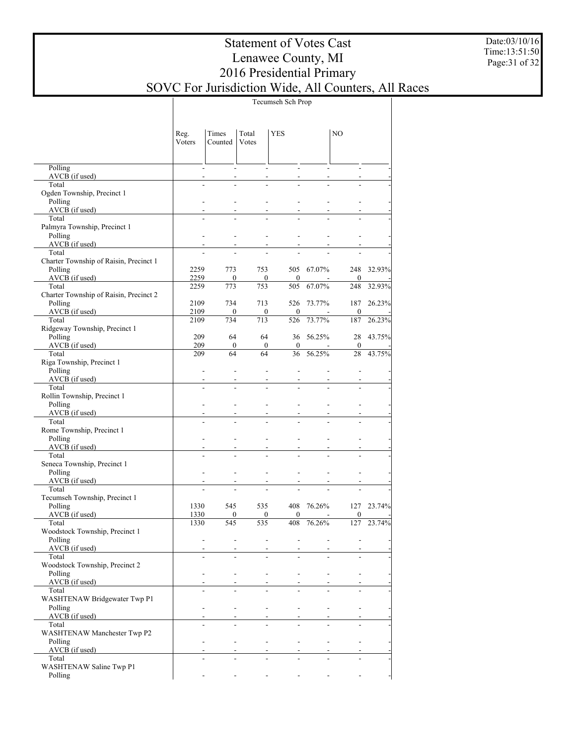Date:03/10/16 Time:13:51:50 Page:31 of 32

|                                                   | Tecumseh Sch Prop        |                      |                |                          |                          |                  |        |  |  |  |  |  |
|---------------------------------------------------|--------------------------|----------------------|----------------|--------------------------|--------------------------|------------------|--------|--|--|--|--|--|
|                                                   | Reg.<br>Voters           | Times<br>Counted     | Total<br>Votes | <b>YES</b>               |                          | NO.              |        |  |  |  |  |  |
| Polling                                           | $\blacksquare$           |                      |                |                          |                          | $\sim$           |        |  |  |  |  |  |
| $AVCB$ (if used)<br>Total                         | $\overline{a}$<br>L.     |                      |                |                          | L.                       |                  |        |  |  |  |  |  |
| Ogden Township, Precinct 1                        |                          |                      |                |                          |                          |                  |        |  |  |  |  |  |
| Polling                                           | $\overline{a}$           |                      |                |                          |                          |                  |        |  |  |  |  |  |
| AVCB (if used)                                    | $\overline{a}$           |                      |                |                          |                          |                  |        |  |  |  |  |  |
| Total<br>Palmyra Township, Precinct 1             | L.                       |                      |                |                          |                          |                  |        |  |  |  |  |  |
| Polling                                           | $\overline{a}$           |                      | L.             |                          |                          |                  |        |  |  |  |  |  |
| $AVCB$ (if used)                                  | $\overline{a}$           |                      |                |                          |                          |                  |        |  |  |  |  |  |
| Total<br>Charter Township of Raisin, Precinct 1   | L.                       |                      | L.             |                          |                          |                  |        |  |  |  |  |  |
| Polling                                           | 2259                     | 773                  | 753            |                          | 505 67.07%               | 248              | 32.93% |  |  |  |  |  |
| $AVCB$ (if used)                                  | 2259                     | $\mathbf{0}$         | $\overline{0}$ | $\mathbf{0}$             |                          | $\mathbf{0}$     |        |  |  |  |  |  |
| Total                                             | 2259                     | 773                  | 753            | 505                      | 67.07%                   | 248              | 32.93% |  |  |  |  |  |
| Charter Township of Raisin, Precinct 2<br>Polling | 2109                     | 734                  | 713            | 526                      | 73.77%                   | 187              | 26.23% |  |  |  |  |  |
| $AVCB$ (if used)                                  | 2109                     | $\mathbf{0}$         | $\overline{0}$ | $\overline{0}$           | $\sim$                   | $\mathbf{0}$     |        |  |  |  |  |  |
| Total                                             | 2109                     | 734                  | 713            | 526                      | 73.77%                   | 187              | 26.23% |  |  |  |  |  |
| Ridgeway Township, Precinct 1<br>Polling          | 209                      | 64                   | 64             |                          | 36 56.25%                | 28               | 43.75% |  |  |  |  |  |
| AVCB (if used)                                    | 209                      | $\mathbf{0}$         | $\overline{0}$ | $\overline{0}$           |                          | $\mathbf{0}$     |        |  |  |  |  |  |
| Total                                             | 209                      | 64                   | 64             | 36                       | 56.25%                   | 28               | 43.75% |  |  |  |  |  |
| Riga Township, Precinct 1                         |                          |                      |                |                          |                          |                  |        |  |  |  |  |  |
| Polling<br>AVCB (if used)                         | $\overline{\phantom{a}}$ | $\overline{a}$       | $\overline{a}$ | $\overline{a}$           |                          | $\overline{a}$   |        |  |  |  |  |  |
| Total                                             | $\overline{a}$           |                      |                |                          |                          |                  |        |  |  |  |  |  |
| Rollin Township, Precinct 1                       |                          |                      |                |                          |                          |                  |        |  |  |  |  |  |
| Polling<br>AVCB (if used)                         | $\overline{a}$           |                      |                |                          |                          |                  |        |  |  |  |  |  |
| Total                                             | L.                       |                      |                |                          |                          |                  |        |  |  |  |  |  |
| Rome Township, Precinct 1                         |                          |                      |                |                          |                          |                  |        |  |  |  |  |  |
| Polling                                           | $\overline{\phantom{a}}$ |                      | ÷.             |                          |                          |                  |        |  |  |  |  |  |
| AVCB (if used)<br>Total                           | L.                       |                      |                |                          |                          |                  |        |  |  |  |  |  |
| Seneca Township, Precinct 1                       |                          |                      |                |                          |                          |                  |        |  |  |  |  |  |
| Polling                                           | $\overline{\phantom{a}}$ |                      | ÷.             |                          |                          |                  |        |  |  |  |  |  |
| AVCB (if used)<br>Total                           | L.                       |                      |                |                          |                          |                  |        |  |  |  |  |  |
| Tecumseh Township, Precinct 1                     |                          |                      |                |                          |                          |                  |        |  |  |  |  |  |
| Polling                                           | 1330                     | 545                  | 535            | 408                      | 76.26%                   | 127              | 23.74% |  |  |  |  |  |
| AVCB (if used)                                    | 1330                     | $\mathbf{0}$         | $\overline{0}$ | $\theta$                 | $\overline{\phantom{a}}$ | $\boldsymbol{0}$ |        |  |  |  |  |  |
| Total<br>Woodstock Township, Precinct 1           | 1330                     | 545                  | 535            | 408                      | 76.26%                   | 127              | 23.74% |  |  |  |  |  |
| Polling                                           |                          | ä,<br>$\blacksquare$ | ÷.             | ÷,                       | $\blacksquare$           |                  |        |  |  |  |  |  |
| $AVCB$ (if used)                                  | $\overline{a}$           |                      |                | $\overline{a}$           |                          |                  |        |  |  |  |  |  |
| Total<br>Woodstock Township, Precinct 2           |                          | ÷.<br>$\overline{a}$ | $\overline{a}$ | ÷.                       | $\overline{a}$           | ÷.               |        |  |  |  |  |  |
| Polling                                           | $\overline{a}$           |                      | L.             | $\overline{\phantom{a}}$ | $\overline{\phantom{a}}$ | $\overline{a}$   |        |  |  |  |  |  |
| AVCB (if used)                                    |                          |                      |                |                          |                          |                  |        |  |  |  |  |  |
| Total                                             | ÷.                       |                      | $\overline{a}$ | ÷.                       | $\overline{a}$           | $\overline{a}$   |        |  |  |  |  |  |
| WASHTENAW Bridgewater Twp P1<br>Polling           | $\overline{a}$           |                      | L.             | $\overline{\phantom{a}}$ | $\overline{\phantom{a}}$ | $\overline{a}$   |        |  |  |  |  |  |
| AVCB (if used)                                    |                          |                      |                |                          |                          |                  |        |  |  |  |  |  |
| Total                                             | $\overline{a}$           | ÷.                   | $\overline{a}$ | ÷.                       | $\blacksquare$           | $\overline{a}$   |        |  |  |  |  |  |
| WASHTENAW Manchester Twp P2<br>Polling            | $\overline{a}$           |                      | L.             | $\overline{a}$           | $\overline{\phantom{a}}$ | ÷,               |        |  |  |  |  |  |
| AVCB (if used)                                    |                          |                      |                |                          | $\overline{a}$           |                  |        |  |  |  |  |  |
| Total                                             | $\overline{a}$           | ÷.                   |                |                          | $\overline{a}$           | $\overline{a}$   |        |  |  |  |  |  |
| WASHTENAW Saline Twp P1                           |                          |                      |                |                          |                          |                  |        |  |  |  |  |  |
| Polling                                           |                          |                      |                |                          |                          |                  |        |  |  |  |  |  |